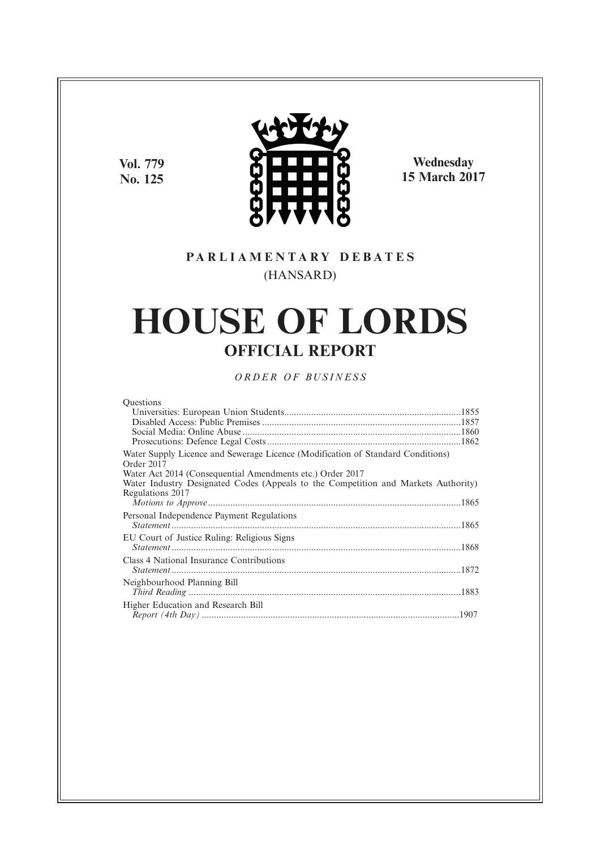**Vol. 779 No. 125**



**Wednesday 15 March 2017**

# **P A R L I A M E N T A R Y D E B A T E S** (HANSARD)

# **HOUSE OF LORDS OFFICIAL REPORT**

*O R D E R O F BU S I N E S S*

| <b>Ouestions</b>                                                                              |  |
|-----------------------------------------------------------------------------------------------|--|
|                                                                                               |  |
|                                                                                               |  |
|                                                                                               |  |
|                                                                                               |  |
| Water Supply Licence and Sewerage Licence (Modification of Standard Conditions)<br>Order 2017 |  |
| Water Act 2014 (Consequential Amendments etc.) Order 2017                                     |  |
| Water Industry Designated Codes (Appeals to the Competition and Markets Authority)            |  |
| Regulations 2017                                                                              |  |
|                                                                                               |  |
| Personal Independence Payment Regulations                                                     |  |
|                                                                                               |  |
| EU Court of Justice Ruling: Religious Signs                                                   |  |
|                                                                                               |  |
| Class 4 National Insurance Contributions                                                      |  |
|                                                                                               |  |
|                                                                                               |  |
| Neighbourhood Planning Bill                                                                   |  |
|                                                                                               |  |
| Higher Education and Research Bill                                                            |  |
|                                                                                               |  |
|                                                                                               |  |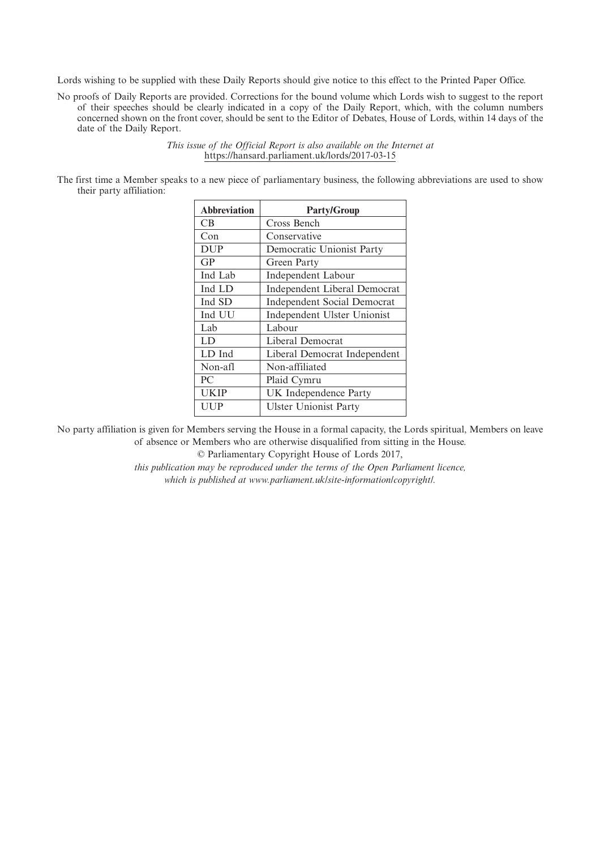Lords wishing to be supplied with these Daily Reports should give notice to this effect to the Printed Paper Office.

No proofs of Daily Reports are provided. Corrections for the bound volume which Lords wish to suggest to the report of their speeches should be clearly indicated in a copy of the Daily Report, which, with the column numbers concerned shown on the front cover, should be sent to the Editor of Debates, House of Lords, within 14 days of the date of the Daily Report.

> *This issue of the Official Report is also available on the Internet at* https://hansard.parliament.uk/lords/2017-03-15

The first time a Member speaks to a new piece of parliamentary business, the following abbreviations are used to show their party affiliation:

| <b>Abbreviation</b> | <b>Party/Group</b>                  |
|---------------------|-------------------------------------|
| CB.                 | Cross Bench                         |
| Con                 | Conservative                        |
| <b>DUP</b>          | Democratic Unionist Party           |
| GP                  | Green Party                         |
| Ind Lab             | <b>Independent Labour</b>           |
| Ind LD              | <b>Independent Liberal Democrat</b> |
| Ind SD              | <b>Independent Social Democrat</b>  |
| Ind UU              | Independent Ulster Unionist         |
| Lab                 | Labour                              |
| LD                  | Liberal Democrat                    |
| LD Ind              | Liberal Democrat Independent        |
| Non-afl             | Non-affiliated                      |
| PC                  | Plaid Cymru                         |
| <b>UKIP</b>         | UK Independence Party               |
| UUP                 | <b>Ulster Unionist Party</b>        |

No party affiliation is given for Members serving the House in a formal capacity, the Lords spiritual, Members on leave of absence or Members who are otherwise disqualified from sitting in the House.

© Parliamentary Copyright House of Lords 2017,

*this publication may be reproduced under the terms of the Open Parliament licence, which is published at www.parliament.uk/site-information/copyright/.*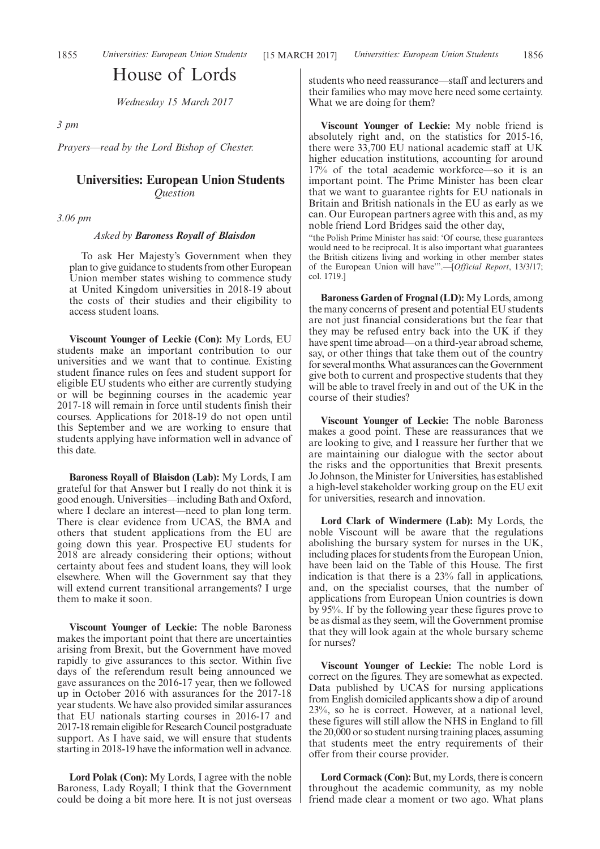# House of Lords

*Wednesday 15 March 2017*

*3 pm*

*Prayers—read by the Lord Bishop of Chester.*

# **Universities: European Union Students** *Question*

*3.06 pm*

#### *Asked by Baroness Royall of Blaisdon*

To ask Her Majesty's Government when they plan to give guidance to students from other European Union member states wishing to commence study at United Kingdom universities in 2018-19 about the costs of their studies and their eligibility to access student loans.

**Viscount Younger of Leckie (Con):** My Lords, EU students make an important contribution to our universities and we want that to continue. Existing student finance rules on fees and student support for eligible EU students who either are currently studying or will be beginning courses in the academic year 2017-18 will remain in force until students finish their courses. Applications for 2018-19 do not open until this September and we are working to ensure that students applying have information well in advance of this date.

**Baroness Royall of Blaisdon (Lab):** My Lords, I am grateful for that Answer but I really do not think it is good enough. Universities—including Bath and Oxford, where I declare an interest—need to plan long term. There is clear evidence from UCAS, the BMA and others that student applications from the EU are going down this year. Prospective EU students for 2018 are already considering their options; without certainty about fees and student loans, they will look elsewhere. When will the Government say that they will extend current transitional arrangements? I urge them to make it soon.

**Viscount Younger of Leckie:** The noble Baroness makes the important point that there are uncertainties arising from Brexit, but the Government have moved rapidly to give assurances to this sector. Within five days of the referendum result being announced we gave assurances on the 2016-17 year, then we followed up in October 2016 with assurances for the 2017-18 year students. We have also provided similar assurances that EU nationals starting courses in 2016-17 and 2017-18 remain eligible for Research Council postgraduate support. As I have said, we will ensure that students starting in 2018-19 have the information well in advance.

**Lord Polak (Con):** My Lords, I agree with the noble Baroness, Lady Royall; I think that the Government could be doing a bit more here. It is not just overseas students who need reassurance—staff and lecturers and their families who may move here need some certainty. What we are doing for them?

**Viscount Younger of Leckie:** My noble friend is absolutely right and, on the statistics for 2015-16, there were 33,700 EU national academic staff at UK higher education institutions, accounting for around 17% of the total academic workforce—so it is an important point. The Prime Minister has been clear that we want to guarantee rights for EU nationals in Britain and British nationals in the EU as early as we can. Our European partners agree with this and, as my noble friend Lord Bridges said the other day,

"the Polish Prime Minister has said: 'Of course, these guarantees would need to be reciprocal. It is also important what guarantees the British citizens living and working in other member states of the European Union will have'".—[*Official Report*, 13/3/17; col. 1719.]

**Baroness Garden of Frognal (LD):** My Lords, among the many concerns of present and potential EU students are not just financial considerations but the fear that they may be refused entry back into the UK if they have spent time abroad—on a third-year abroad scheme, say, or other things that take them out of the country for several months. What assurances can the Government give both to current and prospective students that they will be able to travel freely in and out of the UK in the course of their studies?

**Viscount Younger of Leckie:** The noble Baroness makes a good point. These are reassurances that we are looking to give, and I reassure her further that we are maintaining our dialogue with the sector about the risks and the opportunities that Brexit presents. Jo Johnson, the Minister for Universities, has established a high-level stakeholder working group on the EU exit for universities, research and innovation.

**Lord Clark of Windermere (Lab):** My Lords, the noble Viscount will be aware that the regulations abolishing the bursary system for nurses in the UK, including places for students from the European Union, have been laid on the Table of this House. The first indication is that there is a 23% fall in applications, and, on the specialist courses, that the number of applications from European Union countries is down by 95%. If by the following year these figures prove to be as dismal as they seem, will the Government promise that they will look again at the whole bursary scheme for nurses?

**Viscount Younger of Leckie:** The noble Lord is correct on the figures. They are somewhat as expected. Data published by UCAS for nursing applications from English domiciled applicants show a dip of around 23%, so he is correct. However, at a national level, these figures will still allow the NHS in England to fill the 20,000 or so student nursing training places, assuming that students meet the entry requirements of their offer from their course provider.

**Lord Cormack (Con):** But, my Lords, there is concern throughout the academic community, as my noble friend made clear a moment or two ago. What plans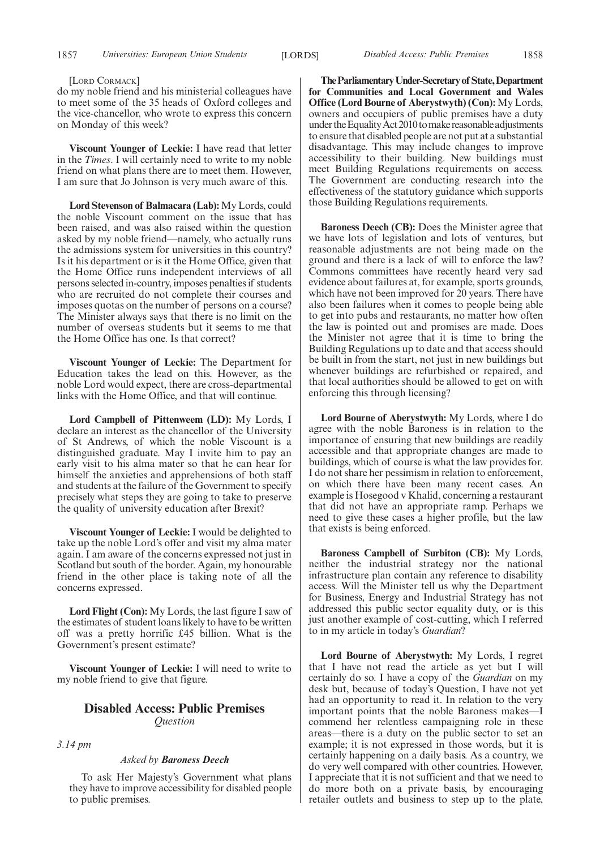#### [LORD CORMACK]

do my noble friend and his ministerial colleagues have to meet some of the 35 heads of Oxford colleges and the vice-chancellor, who wrote to express this concern on Monday of this week?

**Viscount Younger of Leckie:** I have read that letter in the *Times*. I will certainly need to write to my noble friend on what plans there are to meet them. However, I am sure that Jo Johnson is very much aware of this.

**Lord Stevenson of Balmacara (Lab):** My Lords, could the noble Viscount comment on the issue that has been raised, and was also raised within the question asked by my noble friend—namely, who actually runs the admissions system for universities in this country? Is it his department or is it the Home Office, given that the Home Office runs independent interviews of all persons selected in-country, imposes penalties if students who are recruited do not complete their courses and imposes quotas on the number of persons on a course? The Minister always says that there is no limit on the number of overseas students but it seems to me that the Home Office has one. Is that correct?

**Viscount Younger of Leckie:** The Department for Education takes the lead on this. However, as the noble Lord would expect, there are cross-departmental links with the Home Office, and that will continue.

**Lord Campbell of Pittenweem (LD):** My Lords, I declare an interest as the chancellor of the University of St Andrews, of which the noble Viscount is a distinguished graduate. May I invite him to pay an early visit to his alma mater so that he can hear for himself the anxieties and apprehensions of both staff and students at the failure of the Government to specify precisely what steps they are going to take to preserve the quality of university education after Brexit?

**Viscount Younger of Leckie:** I would be delighted to take up the noble Lord's offer and visit my alma mater again. I am aware of the concerns expressed not just in Scotland but south of the border. Again, my honourable friend in the other place is taking note of all the concerns expressed.

**Lord Flight (Con):** My Lords, the last figure I saw of the estimates of student loans likely to have to be written off was a pretty horrific £45 billion. What is the Government's present estimate?

**Viscount Younger of Leckie:** I will need to write to my noble friend to give that figure.

# **Disabled Access: Public Premises** *Question*

*3.14 pm*

*Asked by Baroness Deech*

To ask Her Majesty's Government what plans they have to improve accessibility for disabled people to public premises.

**TheParliamentaryUnder-Secretaryof State,Department for Communities and Local Government and Wales Office (Lord Bourne of Aberystwyth) (Con):** My Lords, owners and occupiers of public premises have a duty under the Equality Act 2010 to make reasonable adjustments to ensure that disabled people are not put at a substantial disadvantage. This may include changes to improve accessibility to their building. New buildings must meet Building Regulations requirements on access. The Government are conducting research into the effectiveness of the statutory guidance which supports those Building Regulations requirements.

**Baroness Deech (CB):** Does the Minister agree that we have lots of legislation and lots of ventures, but reasonable adjustments are not being made on the ground and there is a lack of will to enforce the law? Commons committees have recently heard very sad evidence about failures at, for example, sports grounds, which have not been improved for 20 years. There have also been failures when it comes to people being able to get into pubs and restaurants, no matter how often the law is pointed out and promises are made. Does the Minister not agree that it is time to bring the Building Regulations up to date and that access should be built in from the start, not just in new buildings but whenever buildings are refurbished or repaired, and that local authorities should be allowed to get on with enforcing this through licensing?

**Lord Bourne of Aberystwyth:** My Lords, where I do agree with the noble Baroness is in relation to the importance of ensuring that new buildings are readily accessible and that appropriate changes are made to buildings, which of course is what the law provides for. I do not share her pessimism in relation to enforcement, on which there have been many recent cases. An example is Hosegood v Khalid, concerning a restaurant that did not have an appropriate ramp. Perhaps we need to give these cases a higher profile, but the law that exists is being enforced.

**Baroness Campbell of Surbiton (CB):** My Lords, neither the industrial strategy nor the national infrastructure plan contain any reference to disability access. Will the Minister tell us why the Department for Business, Energy and Industrial Strategy has not addressed this public sector equality duty, or is this just another example of cost-cutting, which I referred to in my article in today's *Guardian*?

**Lord Bourne of Aberystwyth:** My Lords, I regret that I have not read the article as yet but I will certainly do so. I have a copy of the *Guardian* on my desk but, because of today's Question, I have not yet had an opportunity to read it. In relation to the very important points that the noble Baroness makes—I commend her relentless campaigning role in these areas—there is a duty on the public sector to set an example; it is not expressed in those words, but it is certainly happening on a daily basis. As a country, we do very well compared with other countries. However, I appreciate that it is not sufficient and that we need to do more both on a private basis, by encouraging retailer outlets and business to step up to the plate,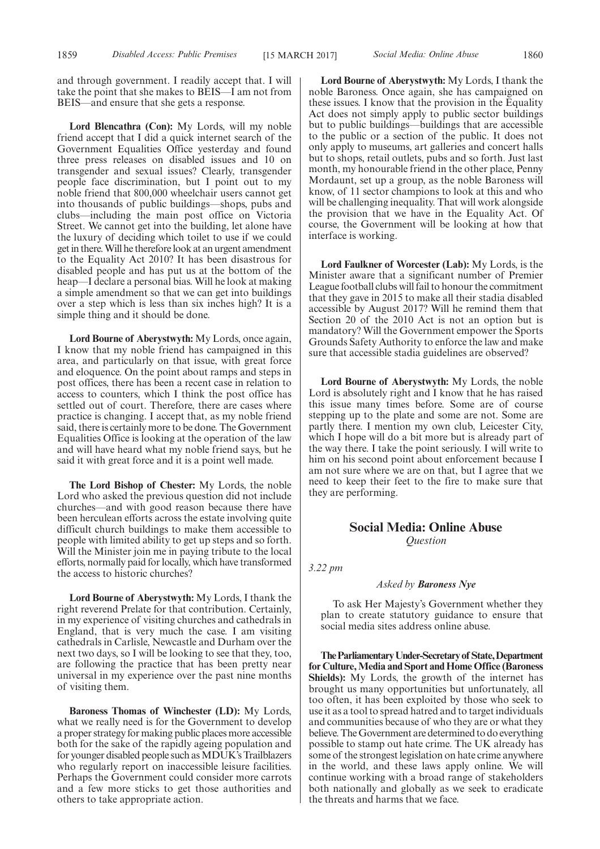and through government. I readily accept that. I will take the point that she makes to BEIS—I am not from BEIS—and ensure that she gets a response.

**Lord Blencathra (Con):** My Lords, will my noble friend accept that I did a quick internet search of the Government Equalities Office yesterday and found three press releases on disabled issues and 10 on transgender and sexual issues? Clearly, transgender people face discrimination, but I point out to my noble friend that 800,000 wheelchair users cannot get into thousands of public buildings—shops, pubs and clubs—including the main post office on Victoria Street. We cannot get into the building, let alone have the luxury of deciding which toilet to use if we could get in there. Will he therefore look at an urgent amendment to the Equality Act 2010? It has been disastrous for disabled people and has put us at the bottom of the heap—I declare a personal bias. Will he look at making a simple amendment so that we can get into buildings over a step which is less than six inches high? It is a simple thing and it should be done.

**Lord Bourne of Aberystwyth:** My Lords, once again, I know that my noble friend has campaigned in this area, and particularly on that issue, with great force and eloquence. On the point about ramps and steps in post offices, there has been a recent case in relation to access to counters, which I think the post office has settled out of court. Therefore, there are cases where practice is changing. I accept that, as my noble friend said, there is certainly more to be done. The Government Equalities Office is looking at the operation of the law and will have heard what my noble friend says, but he said it with great force and it is a point well made.

**The Lord Bishop of Chester:** My Lords, the noble Lord who asked the previous question did not include churches—and with good reason because there have been herculean efforts across the estate involving quite difficult church buildings to make them accessible to people with limited ability to get up steps and so forth. Will the Minister join me in paying tribute to the local efforts, normally paid for locally, which have transformed the access to historic churches?

**Lord Bourne of Aberystwyth:** My Lords, I thank the right reverend Prelate for that contribution. Certainly, in my experience of visiting churches and cathedrals in England, that is very much the case. I am visiting cathedrals in Carlisle, Newcastle and Durham over the next two days, so I will be looking to see that they, too, are following the practice that has been pretty near universal in my experience over the past nine months of visiting them.

**Baroness Thomas of Winchester (LD):** My Lords, what we really need is for the Government to develop a proper strategy for making public places more accessible both for the sake of the rapidly ageing population and for younger disabled people such as MDUK's Trailblazers who regularly report on inaccessible leisure facilities. Perhaps the Government could consider more carrots and a few more sticks to get those authorities and others to take appropriate action.

**Lord Bourne of Aberystwyth:** My Lords, I thank the noble Baroness. Once again, she has campaigned on these issues. I know that the provision in the Equality Act does not simply apply to public sector buildings but to public buildings—buildings that are accessible to the public or a section of the public. It does not only apply to museums, art galleries and concert halls but to shops, retail outlets, pubs and so forth. Just last month, my honourable friend in the other place, Penny Mordaunt, set up a group, as the noble Baroness will know, of 11 sector champions to look at this and who will be challenging inequality. That will work alongside the provision that we have in the Equality Act. Of course, the Government will be looking at how that interface is working.

**Lord Faulkner of Worcester (Lab):** My Lords, is the Minister aware that a significant number of Premier League football clubs will fail to honour the commitment that they gave in 2015 to make all their stadia disabled accessible by August 2017? Will he remind them that Section 20 of the 2010 Act is not an option but is mandatory? Will the Government empower the Sports Grounds Safety Authority to enforce the law and make sure that accessible stadia guidelines are observed?

**Lord Bourne of Aberystwyth:** My Lords, the noble Lord is absolutely right and I know that he has raised this issue many times before. Some are of course stepping up to the plate and some are not. Some are partly there. I mention my own club, Leicester City, which I hope will do a bit more but is already part of the way there. I take the point seriously. I will write to him on his second point about enforcement because I am not sure where we are on that, but I agree that we need to keep their feet to the fire to make sure that they are performing.

# **Social Media: Online Abuse** *Question*

*3.22 pm*

#### *Asked by Baroness Nye*

To ask Her Majesty's Government whether they plan to create statutory guidance to ensure that social media sites address online abuse.

**TheParliamentaryUnder-Secretaryof State,Department for Culture, Media and Sport and Home Office (Baroness Shields):** My Lords, the growth of the internet has brought us many opportunities but unfortunately, all too often, it has been exploited by those who seek to use it as a tool to spread hatred and to target individuals and communities because of who they are or what they believe. The Government are determined to do everything possible to stamp out hate crime. The UK already has some of the strongest legislation on hate crime anywhere in the world, and these laws apply online. We will continue working with a broad range of stakeholders both nationally and globally as we seek to eradicate the threats and harms that we face.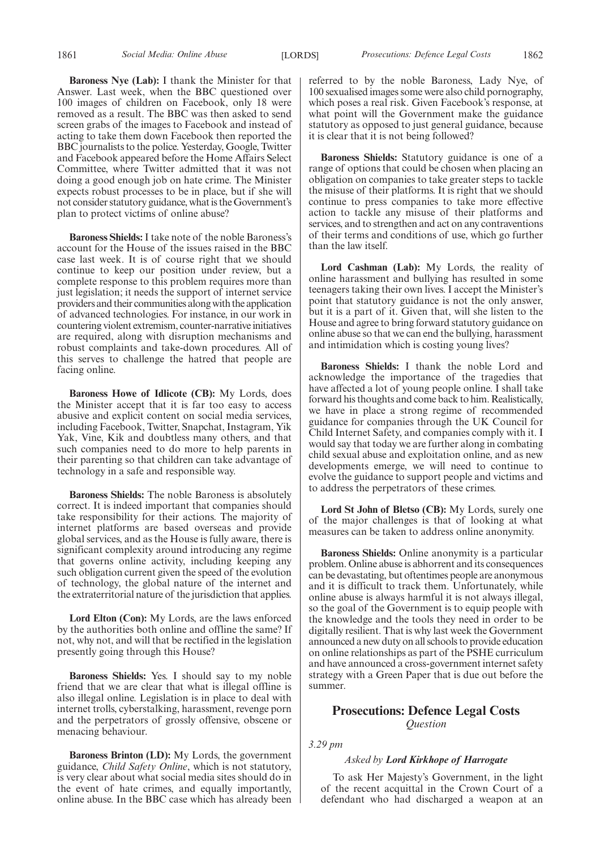**Baroness Nye (Lab):** I thank the Minister for that Answer. Last week, when the BBC questioned over 100 images of children on Facebook, only 18 were removed as a result. The BBC was then asked to send screen grabs of the images to Facebook and instead of acting to take them down Facebook then reported the BBC journalists to the police. Yesterday, Google, Twitter and Facebook appeared before the Home Affairs Select Committee, where Twitter admitted that it was not doing a good enough job on hate crime. The Minister expects robust processes to be in place, but if she will not consider statutory guidance, what is the Government's plan to protect victims of online abuse?

**Baroness Shields:** I take note of the noble Baroness's account for the House of the issues raised in the BBC case last week. It is of course right that we should continue to keep our position under review, but a complete response to this problem requires more than just legislation; it needs the support of internet service providers and their communities along with the application of advanced technologies. For instance, in our work in countering violent extremism, counter-narrative initiatives are required, along with disruption mechanisms and robust complaints and take-down procedures. All of this serves to challenge the hatred that people are facing online.

**Baroness Howe of Idlicote (CB):** My Lords, does the Minister accept that it is far too easy to access abusive and explicit content on social media services, including Facebook, Twitter, Snapchat, Instagram, Yik Yak, Vine, Kik and doubtless many others, and that such companies need to do more to help parents in their parenting so that children can take advantage of technology in a safe and responsible way.

**Baroness Shields:** The noble Baroness is absolutely correct. It is indeed important that companies should take responsibility for their actions. The majority of internet platforms are based overseas and provide global services, and as the House is fully aware, there is significant complexity around introducing any regime that governs online activity, including keeping any such obligation current given the speed of the evolution of technology, the global nature of the internet and the extraterritorial nature of the jurisdiction that applies.

**Lord Elton (Con):** My Lords, are the laws enforced by the authorities both online and offline the same? If not, why not, and will that be rectified in the legislation presently going through this House?

**Baroness Shields:** Yes. I should say to my noble friend that we are clear that what is illegal offline is also illegal online. Legislation is in place to deal with internet trolls, cyberstalking, harassment, revenge porn and the perpetrators of grossly offensive, obscene or menacing behaviour.

**Baroness Brinton (LD):** My Lords, the government guidance, *Child Safety Online*, which is not statutory, is very clear about what social media sites should do in the event of hate crimes, and equally importantly, online abuse. In the BBC case which has already been referred to by the noble Baroness, Lady Nye, of 100 sexualised images some were also child pornography, which poses a real risk. Given Facebook's response, at what point will the Government make the guidance statutory as opposed to just general guidance, because it is clear that it is not being followed?

**Baroness Shields:** Statutory guidance is one of a range of options that could be chosen when placing an obligation on companies to take greater steps to tackle the misuse of their platforms. It is right that we should continue to press companies to take more effective action to tackle any misuse of their platforms and services, and to strengthen and act on any contraventions of their terms and conditions of use, which go further than the law itself.

**Lord Cashman (Lab):** My Lords, the reality of online harassment and bullying has resulted in some teenagers taking their own lives. I accept the Minister's point that statutory guidance is not the only answer, but it is a part of it. Given that, will she listen to the House and agree to bring forward statutory guidance on online abuse so that we can end the bullying, harassment and intimidation which is costing young lives?

**Baroness Shields:** I thank the noble Lord and acknowledge the importance of the tragedies that have affected a lot of young people online. I shall take forward his thoughts and come back to him. Realistically, we have in place a strong regime of recommended guidance for companies through the UK Council for Child Internet Safety, and companies comply with it. I would say that today we are further along in combating child sexual abuse and exploitation online, and as new developments emerge, we will need to continue to evolve the guidance to support people and victims and to address the perpetrators of these crimes.

**Lord St John of Bletso (CB):** My Lords, surely one of the major challenges is that of looking at what measures can be taken to address online anonymity.

**Baroness Shields:** Online anonymity is a particular problem. Online abuse is abhorrent and its consequences can be devastating, but oftentimes people are anonymous and it is difficult to track them. Unfortunately, while online abuse is always harmful it is not always illegal, so the goal of the Government is to equip people with the knowledge and the tools they need in order to be digitally resilient. That is why last week the Government announced a new duty on all schools to provide education on online relationships as part of the PSHE curriculum and have announced a cross-government internet safety strategy with a Green Paper that is due out before the summer.

# **Prosecutions: Defence Legal Costs** *Question*

*3.29 pm*

# *Asked by Lord Kirkhope of Harrogate*

To ask Her Majesty's Government, in the light of the recent acquittal in the Crown Court of a defendant who had discharged a weapon at an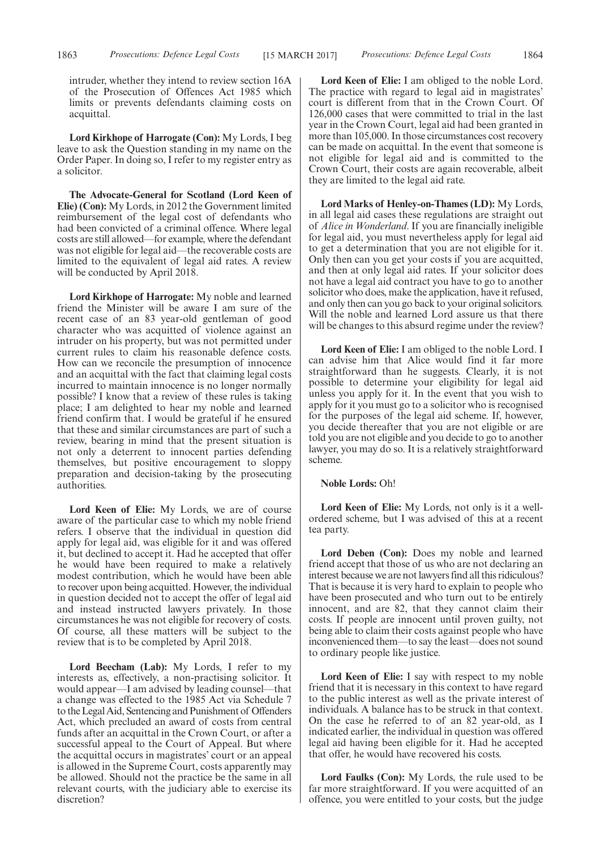intruder, whether they intend to review section 16A of the Prosecution of Offences Act 1985 which limits or prevents defendants claiming costs on acquittal.

**Lord Kirkhope of Harrogate (Con):** My Lords, I beg leave to ask the Question standing in my name on the Order Paper. In doing so, I refer to my register entry as a solicitor.

**The Advocate-General for Scotland (Lord Keen of Elie) (Con):** My Lords, in 2012 the Government limited reimbursement of the legal cost of defendants who had been convicted of a criminal offence. Where legal costs are still allowed—for example, where the defendant was not eligible for legal aid—the recoverable costs are limited to the equivalent of legal aid rates. A review will be conducted by April 2018.

**Lord Kirkhope of Harrogate:** My noble and learned friend the Minister will be aware I am sure of the recent case of an 83 year-old gentleman of good character who was acquitted of violence against an intruder on his property, but was not permitted under current rules to claim his reasonable defence costs. How can we reconcile the presumption of innocence and an acquittal with the fact that claiming legal costs incurred to maintain innocence is no longer normally possible? I know that a review of these rules is taking place; I am delighted to hear my noble and learned friend confirm that. I would be grateful if he ensured that these and similar circumstances are part of such a review, bearing in mind that the present situation is not only a deterrent to innocent parties defending themselves, but positive encouragement to sloppy preparation and decision-taking by the prosecuting authorities.

**Lord Keen of Elie:** My Lords, we are of course aware of the particular case to which my noble friend refers. I observe that the individual in question did apply for legal aid, was eligible for it and was offered it, but declined to accept it. Had he accepted that offer he would have been required to make a relatively modest contribution, which he would have been able to recover upon being acquitted. However, the individual in question decided not to accept the offer of legal aid and instead instructed lawyers privately. In those circumstances he was not eligible for recovery of costs. Of course, all these matters will be subject to the review that is to be completed by April 2018.

**Lord Beecham (Lab):** My Lords, I refer to my interests as, effectively, a non-practising solicitor. It would appear—I am advised by leading counsel—that a change was effected to the 1985 Act via Schedule 7 to the Legal Aid, Sentencing and Punishment of Offenders Act, which precluded an award of costs from central funds after an acquittal in the Crown Court, or after a successful appeal to the Court of Appeal. But where the acquittal occurs in magistrates' court or an appeal is allowed in the Supreme Court, costs apparently may be allowed. Should not the practice be the same in all relevant courts, with the judiciary able to exercise its discretion?

**Lord Keen of Elie:** I am obliged to the noble Lord. The practice with regard to legal aid in magistrates' court is different from that in the Crown Court. Of 126,000 cases that were committed to trial in the last year in the Crown Court, legal aid had been granted in more than 105,000. In those circumstances cost recovery can be made on acquittal. In the event that someone is not eligible for legal aid and is committed to the Crown Court, their costs are again recoverable, albeit they are limited to the legal aid rate.

**Lord Marks of Henley-on-Thames (LD):** My Lords, in all legal aid cases these regulations are straight out of *Alice in Wonderland*. If you are financially ineligible for legal aid, you must nevertheless apply for legal aid to get a determination that you are not eligible for it. Only then can you get your costs if you are acquitted, and then at only legal aid rates. If your solicitor does not have a legal aid contract you have to go to another solicitor who does, make the application, have it refused, and only then can you go back to your original solicitors. Will the noble and learned Lord assure us that there will be changes to this absurd regime under the review?

**Lord Keen of Elie:** I am obliged to the noble Lord. I can advise him that Alice would find it far more straightforward than he suggests. Clearly, it is not possible to determine your eligibility for legal aid unless you apply for it. In the event that you wish to apply for it you must go to a solicitor who is recognised for the purposes of the legal aid scheme. If, however, you decide thereafter that you are not eligible or are told you are not eligible and you decide to go to another lawyer, you may do so. It is a relatively straightforward scheme.

#### **Noble Lords:** Oh!

**Lord Keen of Elie:** My Lords, not only is it a wellordered scheme, but I was advised of this at a recent tea party.

**Lord Deben (Con):** Does my noble and learned friend accept that those of us who are not declaring an interest because we are not lawyers find all this ridiculous? That is because it is very hard to explain to people who have been prosecuted and who turn out to be entirely innocent, and are 82, that they cannot claim their costs. If people are innocent until proven guilty, not being able to claim their costs against people who have inconvenienced them—to say the least—does not sound to ordinary people like justice.

**Lord Keen of Elie:** I say with respect to my noble friend that it is necessary in this context to have regard to the public interest as well as the private interest of individuals. A balance has to be struck in that context. On the case he referred to of an 82 year-old, as I indicated earlier, the individual in question was offered legal aid having been eligible for it. Had he accepted that offer, he would have recovered his costs.

**Lord Faulks (Con):** My Lords, the rule used to be far more straightforward. If you were acquitted of an offence, you were entitled to your costs, but the judge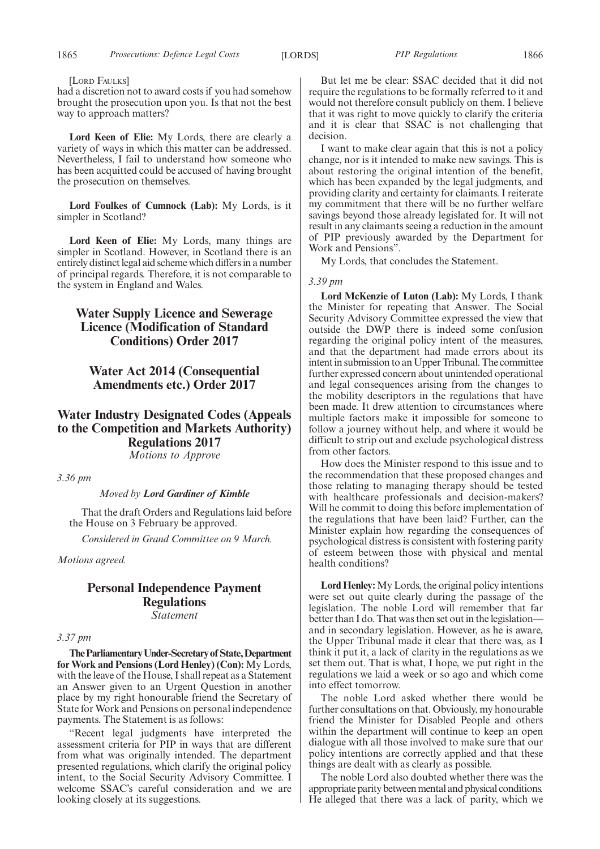#### [LORD FAULKS]

had a discretion not to award costs if you had somehow brought the prosecution upon you. Is that not the best way to approach matters?

**Lord Keen of Elie:** My Lords, there are clearly a variety of ways in which this matter can be addressed. Nevertheless, I fail to understand how someone who has been acquitted could be accused of having brought the prosecution on themselves.

**Lord Foulkes of Cumnock (Lab):** My Lords, is it simpler in Scotland?

**Lord Keen of Elie:** My Lords, many things are simpler in Scotland. However, in Scotland there is an entirely distinct legal aid scheme which differs in a number of principal regards. Therefore, it is not comparable to the system in England and Wales.

# **Water Supply Licence and Sewerage Licence (Modification of Standard Conditions) Order 2017**

# **Water Act 2014 (Consequential Amendments etc.) Order 2017**

# **Water Industry Designated Codes (Appeals to the Competition and Markets Authority) Regulations 2017**

*Motions to Approve*

*3.36 pm*

# *Moved by Lord Gardiner of Kimble*

That the draft Orders and Regulations laid before the House on 3 February be approved.

*Considered in Grand Committee on 9 March.*

*Motions agreed.*

# **Personal Independence Payment Regulations** *Statement*

#### *3.37 pm*

**TheParliamentaryUnder-Secretaryof State,Department for Work and Pensions (Lord Henley) (Con):** My Lords, with the leave of the House, I shall repeat as a Statement an Answer given to an Urgent Question in another place by my right honourable friend the Secretary of State for Work and Pensions on personal independence payments. The Statement is as follows:

"Recent legal judgments have interpreted the assessment criteria for PIP in ways that are different from what was originally intended. The department presented regulations, which clarify the original policy intent, to the Social Security Advisory Committee. I welcome SSAC's careful consideration and we are looking closely at its suggestions.

But let me be clear: SSAC decided that it did not require the regulations to be formally referred to it and would not therefore consult publicly on them. I believe that it was right to move quickly to clarify the criteria and it is clear that SSAC is not challenging that decision.

I want to make clear again that this is not a policy change, nor is it intended to make new savings. This is about restoring the original intention of the benefit, which has been expanded by the legal judgments, and providing clarity and certainty for claimants. I reiterate my commitment that there will be no further welfare savings beyond those already legislated for. It will not result in any claimants seeing a reduction in the amount of PIP previously awarded by the Department for Work and Pensions".

My Lords, that concludes the Statement.

### *3.39 pm*

**Lord McKenzie of Luton (Lab):** My Lords, I thank the Minister for repeating that Answer. The Social Security Advisory Committee expressed the view that outside the DWP there is indeed some confusion regarding the original policy intent of the measures, and that the department had made errors about its intent in submission to an Upper Tribunal. The committee further expressed concern about unintended operational and legal consequences arising from the changes to the mobility descriptors in the regulations that have been made. It drew attention to circumstances where multiple factors make it impossible for someone to follow a journey without help, and where it would be difficult to strip out and exclude psychological distress from other factors.

How does the Minister respond to this issue and to the recommendation that these proposed changes and those relating to managing therapy should be tested with healthcare professionals and decision-makers? Will he commit to doing this before implementation of the regulations that have been laid? Further, can the Minister explain how regarding the consequences of psychological distress is consistent with fostering parity of esteem between those with physical and mental health conditions?

**Lord Henley:** My Lords, the original policy intentions were set out quite clearly during the passage of the legislation. The noble Lord will remember that far better than I do. That was then set out in the legislation and in secondary legislation. However, as he is aware, the Upper Tribunal made it clear that there was, as I think it put it, a lack of clarity in the regulations as we set them out. That is what, I hope, we put right in the regulations we laid a week or so ago and which come into effect tomorrow.

The noble Lord asked whether there would be further consultations on that. Obviously, my honourable friend the Minister for Disabled People and others within the department will continue to keep an open dialogue with all those involved to make sure that our policy intentions are correctly applied and that these things are dealt with as clearly as possible.

The noble Lord also doubted whether there was the appropriate parity between mental and physical conditions. He alleged that there was a lack of parity, which we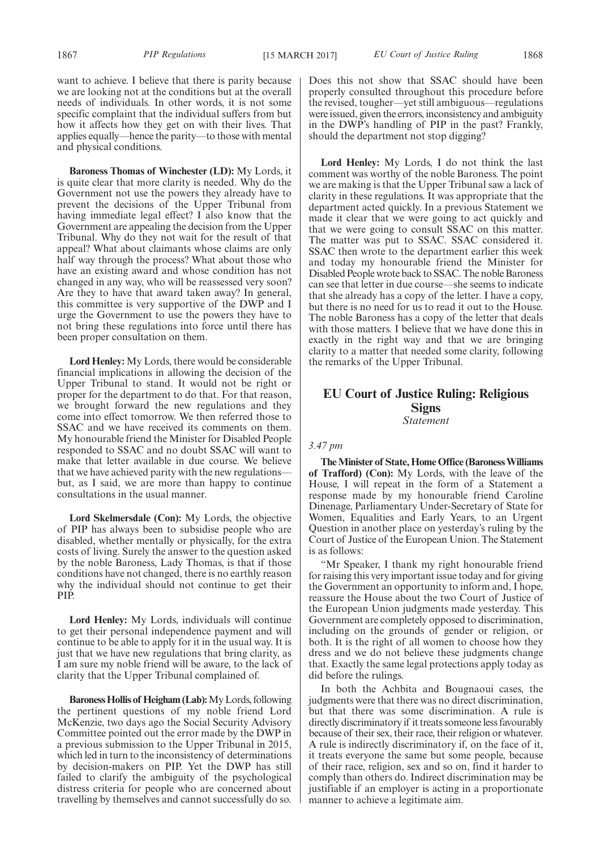want to achieve. I believe that there is parity because we are looking not at the conditions but at the overall needs of individuals. In other words, it is not some specific complaint that the individual suffers from but how it affects how they get on with their lives. That applies equally—hence the parity—to those with mental and physical conditions.

**Baroness Thomas of Winchester (LD):** My Lords, it is quite clear that more clarity is needed. Why do the Government not use the powers they already have to prevent the decisions of the Upper Tribunal from having immediate legal effect? I also know that the Government are appealing the decision from the Upper Tribunal. Why do they not wait for the result of that appeal? What about claimants whose claims are only half way through the process? What about those who have an existing award and whose condition has not changed in any way, who will be reassessed very soon? Are they to have that award taken away? In general, this committee is very supportive of the DWP and I urge the Government to use the powers they have to not bring these regulations into force until there has been proper consultation on them.

**Lord Henley:** My Lords, there would be considerable financial implications in allowing the decision of the Upper Tribunal to stand. It would not be right or proper for the department to do that. For that reason, we brought forward the new regulations and they come into effect tomorrow. We then referred those to SSAC and we have received its comments on them. My honourable friend the Minister for Disabled People responded to SSAC and no doubt SSAC will want to make that letter available in due course. We believe that we have achieved parity with the new regulations but, as I said, we are more than happy to continue consultations in the usual manner.

**Lord Skelmersdale (Con):** My Lords, the objective of PIP has always been to subsidise people who are disabled, whether mentally or physically, for the extra costs of living. Surely the answer to the question asked by the noble Baroness, Lady Thomas, is that if those conditions have not changed, there is no earthly reason why the individual should not continue to get their PIP.

**Lord Henley:** My Lords, individuals will continue to get their personal independence payment and will continue to be able to apply for it in the usual way. It is just that we have new regulations that bring clarity, as I am sure my noble friend will be aware, to the lack of clarity that the Upper Tribunal complained of.

**Baroness Hollis of Heigham (Lab):**My Lords, following the pertinent questions of my noble friend Lord McKenzie, two days ago the Social Security Advisory Committee pointed out the error made by the DWP in a previous submission to the Upper Tribunal in 2015, which led in turn to the inconsistency of determinations by decision-makers on PIP. Yet the DWP has still failed to clarify the ambiguity of the psychological distress criteria for people who are concerned about travelling by themselves and cannot successfully do so.

Does this not show that SSAC should have been properly consulted throughout this procedure before the revised, tougher—yet still ambiguous—regulations were issued, given the errors, inconsistency and ambiguity in the DWP's handling of PIP in the past? Frankly, should the department not stop digging?

**Lord Henley:** My Lords, I do not think the last comment was worthy of the noble Baroness. The point we are making is that the Upper Tribunal saw a lack of clarity in these regulations. It was appropriate that the department acted quickly. In a previous Statement we made it clear that we were going to act quickly and that we were going to consult SSAC on this matter. The matter was put to SSAC. SSAC considered it. SSAC then wrote to the department earlier this week and today my honourable friend the Minister for Disabled People wrote back to SSAC. The noble Baroness can see that letter in due course—she seems to indicate that she already has a copy of the letter. I have a copy, but there is no need for us to read it out to the House. The noble Baroness has a copy of the letter that deals with those matters. I believe that we have done this in exactly in the right way and that we are bringing clarity to a matter that needed some clarity, following the remarks of the Upper Tribunal.

# **EU Court of Justice Ruling: Religious Signs** *Statement*

## *3.47 pm*

**The Minister of State, Home Office (Baroness Williams of Trafford) (Con):** My Lords, with the leave of the House, I will repeat in the form of a Statement a response made by my honourable friend Caroline Dinenage, Parliamentary Under-Secretary of State for Women, Equalities and Early Years, to an Urgent Question in another place on yesterday's ruling by the Court of Justice of the European Union. The Statement is as follows:

"Mr Speaker, I thank my right honourable friend for raising this very important issue today and for giving the Government an opportunity to inform and, I hope, reassure the House about the two Court of Justice of the European Union judgments made yesterday. This Government are completely opposed to discrimination, including on the grounds of gender or religion, or both. It is the right of all women to choose how they dress and we do not believe these judgments change that. Exactly the same legal protections apply today as did before the rulings.

In both the Achbita and Bougnaoui cases, the judgments were that there was no direct discrimination, but that there was some discrimination. A rule is directly discriminatory if it treats someone less favourably because of their sex, their race, their religion or whatever. A rule is indirectly discriminatory if, on the face of it, it treats everyone the same but some people, because of their race, religion, sex and so on, find it harder to comply than others do. Indirect discrimination may be justifiable if an employer is acting in a proportionate manner to achieve a legitimate aim.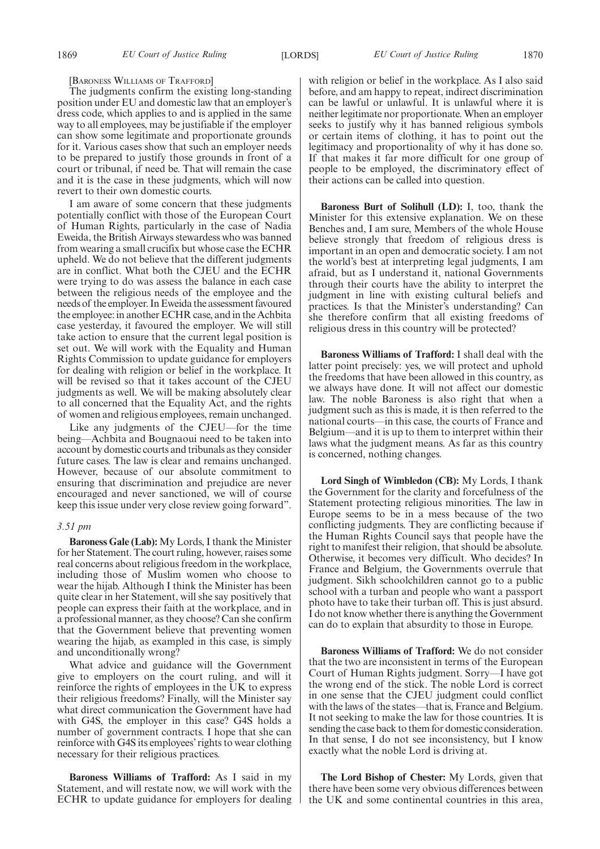[BARONESS WILLIAMS OF TRAFFORD]

The judgments confirm the existing long-standing position under EU and domestic law that an employer's dress code, which applies to and is applied in the same way to all employees, may be justifiable if the employer can show some legitimate and proportionate grounds for it. Various cases show that such an employer needs to be prepared to justify those grounds in front of a court or tribunal, if need be. That will remain the case and it is the case in these judgments, which will now revert to their own domestic courts.

I am aware of some concern that these judgments potentially conflict with those of the European Court of Human Rights, particularly in the case of Nadia Eweida, the British Airways stewardess who was banned from wearing a small crucifix but whose case the ECHR upheld. We do not believe that the different judgments are in conflict. What both the CJEU and the ECHR were trying to do was assess the balance in each case between the religious needs of the employee and the needs of the employer. In Eweida the assessment favoured the employee: in another ECHR case, and in the Achbita case yesterday, it favoured the employer. We will still take action to ensure that the current legal position is set out. We will work with the Equality and Human Rights Commission to update guidance for employers for dealing with religion or belief in the workplace. It will be revised so that it takes account of the CJEU judgments as well. We will be making absolutely clear to all concerned that the Equality Act, and the rights of women and religious employees, remain unchanged.

Like any judgments of the CJEU—for the time being—Achbita and Bougnaoui need to be taken into account by domestic courts and tribunals as they consider future cases. The law is clear and remains unchanged. However, because of our absolute commitment to ensuring that discrimination and prejudice are never encouraged and never sanctioned, we will of course keep this issue under very close review going forward".

#### *3.51 pm*

**Baroness Gale (Lab):** My Lords, I thank the Minister for her Statement. The court ruling, however, raises some real concerns about religious freedom in the workplace, including those of Muslim women who choose to wear the hijab. Although I think the Minister has been quite clear in her Statement, will she say positively that people can express their faith at the workplace, and in a professional manner, as they choose? Can she confirm that the Government believe that preventing women wearing the hijab, as exampled in this case, is simply and unconditionally wrong?

What advice and guidance will the Government give to employers on the court ruling, and will it reinforce the rights of employees in the UK to express their religious freedoms? Finally, will the Minister say what direct communication the Government have had with G4S, the employer in this case? G4S holds a number of government contracts. I hope that she can reinforce with G4S its employees' rights to wear clothing necessary for their religious practices.

**Baroness Williams of Trafford:** As I said in my Statement, and will restate now, we will work with the ECHR to update guidance for employers for dealing with religion or belief in the workplace. As I also said before, and am happy to repeat, indirect discrimination can be lawful or unlawful. It is unlawful where it is neither legitimate nor proportionate. When an employer seeks to justify why it has banned religious symbols or certain items of clothing, it has to point out the legitimacy and proportionality of why it has done so. If that makes it far more difficult for one group of people to be employed, the discriminatory effect of their actions can be called into question.

**Baroness Burt of Solihull (LD):** I, too, thank the Minister for this extensive explanation. We on these Benches and, I am sure, Members of the whole House believe strongly that freedom of religious dress is important in an open and democratic society. I am not the world's best at interpreting legal judgments, I am afraid, but as I understand it, national Governments through their courts have the ability to interpret the judgment in line with existing cultural beliefs and practices. Is that the Minister's understanding? Can she therefore confirm that all existing freedoms of religious dress in this country will be protected?

**Baroness Williams of Trafford:** I shall deal with the latter point precisely: yes, we will protect and uphold the freedoms that have been allowed in this country, as we always have done. It will not affect our domestic law. The noble Baroness is also right that when a judgment such as this is made, it is then referred to the national courts—in this case, the courts of France and Belgium—and it is up to them to interpret within their laws what the judgment means. As far as this country is concerned, nothing changes.

**Lord Singh of Wimbledon (CB):** My Lords, I thank the Government for the clarity and forcefulness of the Statement protecting religious minorities. The law in Europe seems to be in a mess because of the two conflicting judgments. They are conflicting because if the Human Rights Council says that people have the right to manifest their religion, that should be absolute. Otherwise, it becomes very difficult. Who decides? In France and Belgium, the Governments overrule that judgment. Sikh schoolchildren cannot go to a public school with a turban and people who want a passport photo have to take their turban off. This is just absurd. I do not know whether there is anything the Government can do to explain that absurdity to those in Europe.

**Baroness Williams of Trafford:** We do not consider that the two are inconsistent in terms of the European Court of Human Rights judgment. Sorry—I have got the wrong end of the stick. The noble Lord is correct in one sense that the CJEU judgment could conflict with the laws of the states—that is, France and Belgium. It not seeking to make the law for those countries. It is sending the case back to them for domestic consideration. In that sense, I do not see inconsistency, but I know exactly what the noble Lord is driving at.

**The Lord Bishop of Chester:** My Lords, given that there have been some very obvious differences between the UK and some continental countries in this area,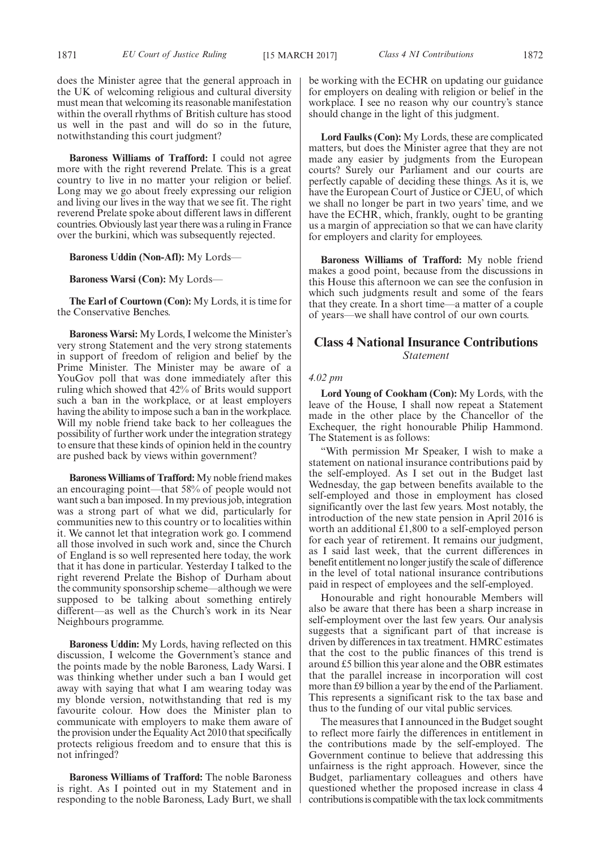does the Minister agree that the general approach in the UK of welcoming religious and cultural diversity must mean that welcoming its reasonable manifestation within the overall rhythms of British culture has stood us well in the past and will do so in the future, notwithstanding this court judgment?

**Baroness Williams of Trafford:** I could not agree more with the right reverend Prelate. This is a great country to live in no matter your religion or belief. Long may we go about freely expressing our religion and living our lives in the way that we see fit. The right reverend Prelate spoke about different laws in different countries. Obviously last year there was a ruling in France over the burkini, which was subsequently rejected.

**Baroness Uddin (Non-Afl):** My Lords—

**Baroness Warsi (Con):** My Lords—

**The Earl of Courtown (Con):** My Lords, it is time for the Conservative Benches.

**Baroness Warsi:** My Lords, I welcome the Minister's very strong Statement and the very strong statements in support of freedom of religion and belief by the Prime Minister. The Minister may be aware of a YouGov poll that was done immediately after this ruling which showed that 42% of Brits would support such a ban in the workplace, or at least employers having the ability to impose such a ban in the workplace. Will my noble friend take back to her colleagues the possibility of further work under the integration strategy to ensure that these kinds of opinion held in the country are pushed back by views within government?

**Baroness Williams of Trafford:**My noble friend makes an encouraging point—that 58% of people would not want such a ban imposed. In my previous job, integration was a strong part of what we did, particularly for communities new to this country or to localities within it. We cannot let that integration work go. I commend all those involved in such work and, since the Church of England is so well represented here today, the work that it has done in particular. Yesterday I talked to the right reverend Prelate the Bishop of Durham about the community sponsorship scheme—although we were supposed to be talking about something entirely different—as well as the Church's work in its Near Neighbours programme.

**Baroness Uddin:** My Lords, having reflected on this discussion, I welcome the Government's stance and the points made by the noble Baroness, Lady Warsi. I was thinking whether under such a ban I would get away with saying that what I am wearing today was my blonde version, notwithstanding that red is my favourite colour. How does the Minister plan to communicate with employers to make them aware of the provision under the Equality Act 2010 that specifically protects religious freedom and to ensure that this is not infringed?

**Baroness Williams of Trafford:** The noble Baroness is right. As I pointed out in my Statement and in responding to the noble Baroness, Lady Burt, we shall be working with the ECHR on updating our guidance for employers on dealing with religion or belief in the workplace. I see no reason why our country's stance should change in the light of this judgment.

**Lord Faulks (Con):** My Lords, these are complicated matters, but does the Minister agree that they are not made any easier by judgments from the European courts? Surely our Parliament and our courts are perfectly capable of deciding these things. As it is, we have the European Court of Justice or CJEU, of which we shall no longer be part in two years' time, and we have the ECHR, which, frankly, ought to be granting us a margin of appreciation so that we can have clarity for employers and clarity for employees.

**Baroness Williams of Trafford:** My noble friend makes a good point, because from the discussions in this House this afternoon we can see the confusion in which such judgments result and some of the fears that they create. In a short time—a matter of a couple of years—we shall have control of our own courts.

# **Class 4 National Insurance Contributions** *Statement*

#### *4.02 pm*

**Lord Young of Cookham (Con):** My Lords, with the leave of the House, I shall now repeat a Statement made in the other place by the Chancellor of the Exchequer, the right honourable Philip Hammond. The Statement is as follows:

"With permission Mr Speaker, I wish to make a statement on national insurance contributions paid by the self-employed. As I set out in the Budget last Wednesday, the gap between benefits available to the self-employed and those in employment has closed significantly over the last few years. Most notably, the introduction of the new state pension in April 2016 is worth an additional £1,800 to a self-employed person for each year of retirement. It remains our judgment, as I said last week, that the current differences in benefit entitlement no longer justify the scale of difference in the level of total national insurance contributions paid in respect of employees and the self-employed.

Honourable and right honourable Members will also be aware that there has been a sharp increase in self-employment over the last few years. Our analysis suggests that a significant part of that increase is driven by differences in tax treatment. HMRC estimates that the cost to the public finances of this trend is around £5 billion this year alone and the OBR estimates that the parallel increase in incorporation will cost more than £9 billion a year by the end of the Parliament. This represents a significant risk to the tax base and thus to the funding of our vital public services.

The measures that I announced in the Budget sought to reflect more fairly the differences in entitlement in the contributions made by the self-employed. The Government continue to believe that addressing this unfairness is the right approach. However, since the Budget, parliamentary colleagues and others have questioned whether the proposed increase in class 4 contributions is compatible with the tax lock commitments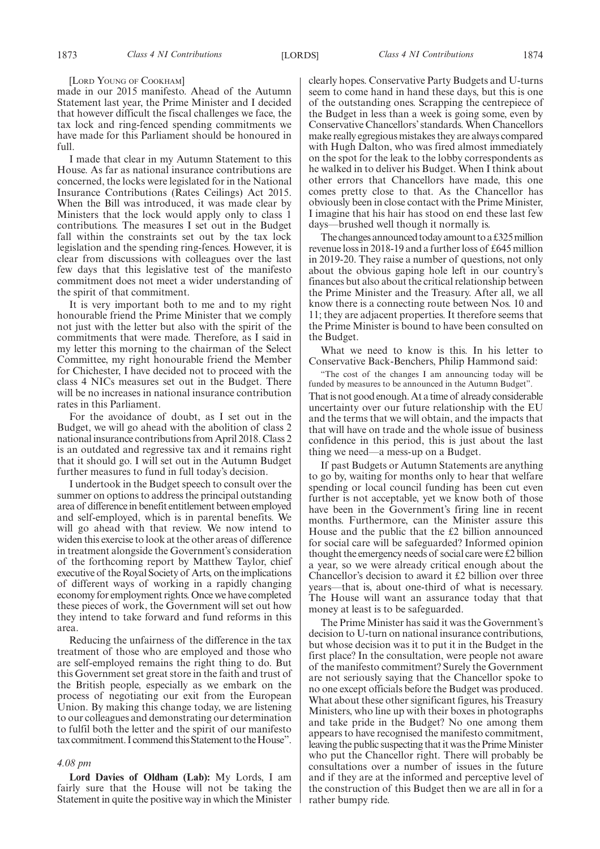#### [LORD YOUNG OF COOKHAM]

made in our 2015 manifesto. Ahead of the Autumn Statement last year, the Prime Minister and I decided that however difficult the fiscal challenges we face, the tax lock and ring-fenced spending commitments we have made for this Parliament should be honoured in full.

I made that clear in my Autumn Statement to this House. As far as national insurance contributions are concerned, the locks were legislated for in the National Insurance Contributions (Rates Ceilings) Act 2015. When the Bill was introduced, it was made clear by Ministers that the lock would apply only to class 1 contributions. The measures I set out in the Budget fall within the constraints set out by the tax lock legislation and the spending ring-fences. However, it is clear from discussions with colleagues over the last few days that this legislative test of the manifesto commitment does not meet a wider understanding of the spirit of that commitment.

It is very important both to me and to my right honourable friend the Prime Minister that we comply not just with the letter but also with the spirit of the commitments that were made. Therefore, as I said in my letter this morning to the chairman of the Select Committee, my right honourable friend the Member for Chichester, I have decided not to proceed with the class 4 NICs measures set out in the Budget. There will be no increases in national insurance contribution rates in this Parliament.

For the avoidance of doubt, as I set out in the Budget, we will go ahead with the abolition of class 2 national insurance contributions from April 2018. Class 2 is an outdated and regressive tax and it remains right that it should go. I will set out in the Autumn Budget further measures to fund in full today's decision.

I undertook in the Budget speech to consult over the summer on options to address the principal outstanding area of difference in benefit entitlement between employed and self-employed, which is in parental benefits. We will go ahead with that review. We now intend to widen this exercise to look at the other areas of difference in treatment alongside the Government's consideration of the forthcoming report by Matthew Taylor, chief executive of the Royal Society of Arts, on the implications of different ways of working in a rapidly changing economy for employment rights. Once we have completed these pieces of work, the Government will set out how they intend to take forward and fund reforms in this area.

Reducing the unfairness of the difference in the tax treatment of those who are employed and those who are self-employed remains the right thing to do. But this Government set great store in the faith and trust of the British people, especially as we embark on the process of negotiating our exit from the European Union. By making this change today, we are listening to our colleagues and demonstrating our determination to fulfil both the letter and the spirit of our manifesto tax commitment. I commend this Statement to the House".

#### *4.08 pm*

**Lord Davies of Oldham (Lab):** My Lords, I am fairly sure that the House will not be taking the Statement in quite the positive way in which the Minister clearly hopes. Conservative Party Budgets and U-turns seem to come hand in hand these days, but this is one of the outstanding ones. Scrapping the centrepiece of the Budget in less than a week is going some, even by Conservative Chancellors' standards. When Chancellors make really egregious mistakes they are always compared with Hugh Dalton, who was fired almost immediately on the spot for the leak to the lobby correspondents as he walked in to deliver his Budget. When I think about other errors that Chancellors have made, this one comes pretty close to that. As the Chancellor has obviously been in close contact with the Prime Minister, I imagine that his hair has stood on end these last few days—brushed well though it normally is.

The changes announced today amount to a £325 million revenue loss in 2018-19 and a further loss of £645 million in 2019-20. They raise a number of questions, not only about the obvious gaping hole left in our country's finances but also about the critical relationship between the Prime Minister and the Treasury. After all, we all know there is a connecting route between Nos. 10 and 11; they are adjacent properties. It therefore seems that the Prime Minister is bound to have been consulted on the Budget.

What we need to know is this. In his letter to Conservative Back-Benchers, Philip Hammond said:

"The cost of the changes I am announcing today will be funded by measures to be announced in the Autumn Budget". That is not good enough. At a time of already considerable

uncertainty over our future relationship with the EU and the terms that we will obtain, and the impacts that that will have on trade and the whole issue of business confidence in this period, this is just about the last thing we need—a mess-up on a Budget.

If past Budgets or Autumn Statements are anything to go by, waiting for months only to hear that welfare spending or local council funding has been cut even further is not acceptable, yet we know both of those have been in the Government's firing line in recent months. Furthermore, can the Minister assure this House and the public that the £2 billion announced for social care will be safeguarded? Informed opinion thought the emergency needs of social care were £2 billion a year, so we were already critical enough about the Chancellor's decision to award it £2 billion over three years—that is, about one-third of what is necessary. The House will want an assurance today that that money at least is to be safeguarded.

The Prime Minister has said it was the Government's decision to U-turn on national insurance contributions, but whose decision was it to put it in the Budget in the first place? In the consultation, were people not aware of the manifesto commitment? Surely the Government are not seriously saying that the Chancellor spoke to no one except officials before the Budget was produced. What about these other significant figures, his Treasury Ministers, who line up with their boxes in photographs and take pride in the Budget? No one among them appears to have recognised the manifesto commitment, leaving the public suspecting that it was the Prime Minister who put the Chancellor right. There will probably be consultations over a number of issues in the future and if they are at the informed and perceptive level of the construction of this Budget then we are all in for a rather bumpy ride.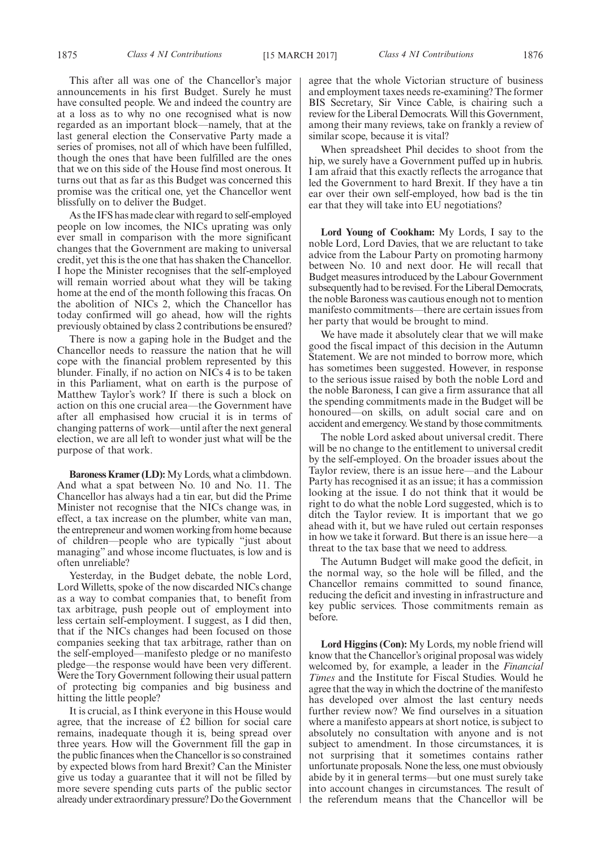This after all was one of the Chancellor's major announcements in his first Budget. Surely he must have consulted people. We and indeed the country are at a loss as to why no one recognised what is now regarded as an important block—namely, that at the last general election the Conservative Party made a series of promises, not all of which have been fulfilled, though the ones that have been fulfilled are the ones that we on this side of the House find most onerous. It turns out that as far as this Budget was concerned this promise was the critical one, yet the Chancellor went blissfully on to deliver the Budget.

As the IFS has made clear with regard to self-employed people on low incomes, the NICs uprating was only ever small in comparison with the more significant changes that the Government are making to universal credit, yet this is the one that has shaken the Chancellor. I hope the Minister recognises that the self-employed will remain worried about what they will be taking home at the end of the month following this fracas. On the abolition of NICs 2, which the Chancellor has today confirmed will go ahead, how will the rights previously obtained by class 2 contributions be ensured?

There is now a gaping hole in the Budget and the Chancellor needs to reassure the nation that he will cope with the financial problem represented by this blunder. Finally, if no action on NICs 4 is to be taken in this Parliament, what on earth is the purpose of Matthew Taylor's work? If there is such a block on action on this one crucial area—the Government have after all emphasised how crucial it is in terms of changing patterns of work—until after the next general election, we are all left to wonder just what will be the purpose of that work.

**Baroness Kramer (LD):** My Lords, what a climbdown. And what a spat between No. 10 and No. 11. The Chancellor has always had a tin ear, but did the Prime Minister not recognise that the NICs change was, in effect, a tax increase on the plumber, white van man, the entrepreneur and women working from home because of children—people who are typically "just about managing" and whose income fluctuates, is low and is often unreliable?

Yesterday, in the Budget debate, the noble Lord, Lord Willetts, spoke of the now discarded NICs change as a way to combat companies that, to benefit from tax arbitrage, push people out of employment into less certain self-employment. I suggest, as I did then, that if the NICs changes had been focused on those companies seeking that tax arbitrage, rather than on the self-employed—manifesto pledge or no manifesto pledge—the response would have been very different. Were the Tory Government following their usual pattern of protecting big companies and big business and hitting the little people?

It is crucial, as I think everyone in this House would agree, that the increase of £2 billion for social care remains, inadequate though it is, being spread over three years. How will the Government fill the gap in the public finances when the Chancellor is so constrained by expected blows from hard Brexit? Can the Minister give us today a guarantee that it will not be filled by more severe spending cuts parts of the public sector already under extraordinary pressure? Do the Government agree that the whole Victorian structure of business and employment taxes needs re-examining? The former BIS Secretary, Sir Vince Cable, is chairing such a review for the Liberal Democrats. Will this Government, among their many reviews, take on frankly a review of similar scope, because it is vital?

When spreadsheet Phil decides to shoot from the hip, we surely have a Government puffed up in hubris. I am afraid that this exactly reflects the arrogance that led the Government to hard Brexit. If they have a tin ear over their own self-employed, how bad is the tin ear that they will take into EU negotiations?

**Lord Young of Cookham:** My Lords, I say to the noble Lord, Lord Davies, that we are reluctant to take advice from the Labour Party on promoting harmony between No. 10 and next door. He will recall that Budget measures introduced by the Labour Government subsequently had to be revised. For the Liberal Democrats, the noble Baroness was cautious enough not to mention manifesto commitments—there are certain issues from her party that would be brought to mind.

We have made it absolutely clear that we will make good the fiscal impact of this decision in the Autumn Statement. We are not minded to borrow more, which has sometimes been suggested. However, in response to the serious issue raised by both the noble Lord and the noble Baroness, I can give a firm assurance that all the spending commitments made in the Budget will be honoured—on skills, on adult social care and on accident and emergency. We stand by those commitments.

The noble Lord asked about universal credit. There will be no change to the entitlement to universal credit by the self-employed. On the broader issues about the Taylor review, there is an issue here—and the Labour Party has recognised it as an issue; it has a commission looking at the issue. I do not think that it would be right to do what the noble Lord suggested, which is to ditch the Taylor review. It is important that we go ahead with it, but we have ruled out certain responses in how we take it forward. But there is an issue here—a threat to the tax base that we need to address.

The Autumn Budget will make good the deficit, in the normal way, so the hole will be filled, and the Chancellor remains committed to sound finance, reducing the deficit and investing in infrastructure and key public services. Those commitments remain as before.

**Lord Higgins (Con):** My Lords, my noble friend will know that the Chancellor's original proposal was widely welcomed by, for example, a leader in the *Financial Times* and the Institute for Fiscal Studies. Would he agree that the way in which the doctrine of the manifesto has developed over almost the last century needs further review now? We find ourselves in a situation where a manifesto appears at short notice, is subject to absolutely no consultation with anyone and is not subject to amendment. In those circumstances, it is not surprising that it sometimes contains rather unfortunate proposals. None the less, one must obviously abide by it in general terms—but one must surely take into account changes in circumstances. The result of the referendum means that the Chancellor will be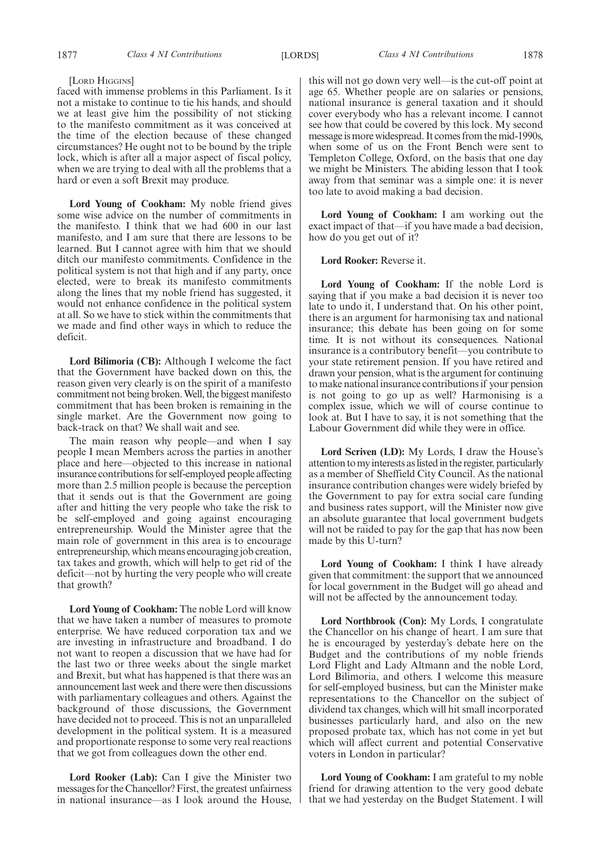#### [LORD HIGGINS]

faced with immense problems in this Parliament. Is it not a mistake to continue to tie his hands, and should we at least give him the possibility of not sticking to the manifesto commitment as it was conceived at the time of the election because of these changed circumstances? He ought not to be bound by the triple lock, which is after all a major aspect of fiscal policy, when we are trying to deal with all the problems that a hard or even a soft Brexit may produce.

**Lord Young of Cookham:** My noble friend gives some wise advice on the number of commitments in the manifesto. I think that we had 600 in our last manifesto, and I am sure that there are lessons to be learned. But I cannot agree with him that we should ditch our manifesto commitments. Confidence in the political system is not that high and if any party, once elected, were to break its manifesto commitments along the lines that my noble friend has suggested, it would not enhance confidence in the political system at all. So we have to stick within the commitments that we made and find other ways in which to reduce the deficit.

**Lord Bilimoria (CB):** Although I welcome the fact that the Government have backed down on this, the reason given very clearly is on the spirit of a manifesto commitment not being broken. Well, the biggest manifesto commitment that has been broken is remaining in the single market. Are the Government now going to back-track on that? We shall wait and see.

The main reason why people—and when I say people I mean Members across the parties in another place and here—objected to this increase in national insurance contributions for self-employed people affecting more than 2.5 million people is because the perception that it sends out is that the Government are going after and hitting the very people who take the risk to be self-employed and going against encouraging entrepreneurship. Would the Minister agree that the main role of government in this area is to encourage entrepreneurship, which means encouraging job creation, tax takes and growth, which will help to get rid of the deficit—not by hurting the very people who will create that growth?

**Lord Young of Cookham:** The noble Lord will know that we have taken a number of measures to promote enterprise. We have reduced corporation tax and we are investing in infrastructure and broadband. I do not want to reopen a discussion that we have had for the last two or three weeks about the single market and Brexit, but what has happened is that there was an announcement last week and there were then discussions with parliamentary colleagues and others. Against the background of those discussions, the Government have decided not to proceed. This is not an unparalleled development in the political system. It is a measured and proportionate response to some very real reactions that we got from colleagues down the other end.

**Lord Rooker (Lab):** Can I give the Minister two messages for the Chancellor? First, the greatest unfairness in national insurance—as I look around the House, this will not go down very well—is the cut-off point at age 65. Whether people are on salaries or pensions, national insurance is general taxation and it should cover everybody who has a relevant income. I cannot see how that could be covered by this lock. My second message is more widespread. It comes from the mid-1990s, when some of us on the Front Bench were sent to Templeton College, Oxford, on the basis that one day we might be Ministers. The abiding lesson that I took away from that seminar was a simple one: it is never too late to avoid making a bad decision.

**Lord Young of Cookham:** I am working out the exact impact of that—if you have made a bad decision, how do you get out of it?

**Lord Rooker:** Reverse it.

**Lord Young of Cookham:** If the noble Lord is saying that if you make a bad decision it is never too late to undo it, I understand that. On his other point, there is an argument for harmonising tax and national insurance; this debate has been going on for some time. It is not without its consequences. National insurance is a contributory benefit—you contribute to your state retirement pension. If you have retired and drawn your pension, what is the argument for continuing to make national insurance contributions if your pension is not going to go up as well? Harmonising is a complex issue, which we will of course continue to look at. But I have to say, it is not something that the Labour Government did while they were in office.

**Lord Scriven (LD):** My Lords, I draw the House's attention to my interests as listed in the register, particularly as a member of Sheffield City Council. As the national insurance contribution changes were widely briefed by the Government to pay for extra social care funding and business rates support, will the Minister now give an absolute guarantee that local government budgets will not be raided to pay for the gap that has now been made by this U-turn?

**Lord Young of Cookham:** I think I have already given that commitment: the support that we announced for local government in the Budget will go ahead and will not be affected by the announcement today.

**Lord Northbrook (Con):** My Lords, I congratulate the Chancellor on his change of heart. I am sure that he is encouraged by yesterday's debate here on the Budget and the contributions of my noble friends Lord Flight and Lady Altmann and the noble Lord, Lord Bilimoria, and others. I welcome this measure for self-employed business, but can the Minister make representations to the Chancellor on the subject of dividend tax changes, which will hit small incorporated businesses particularly hard, and also on the new proposed probate tax, which has not come in yet but which will affect current and potential Conservative voters in London in particular?

**Lord Young of Cookham:** I am grateful to my noble friend for drawing attention to the very good debate that we had yesterday on the Budget Statement. I will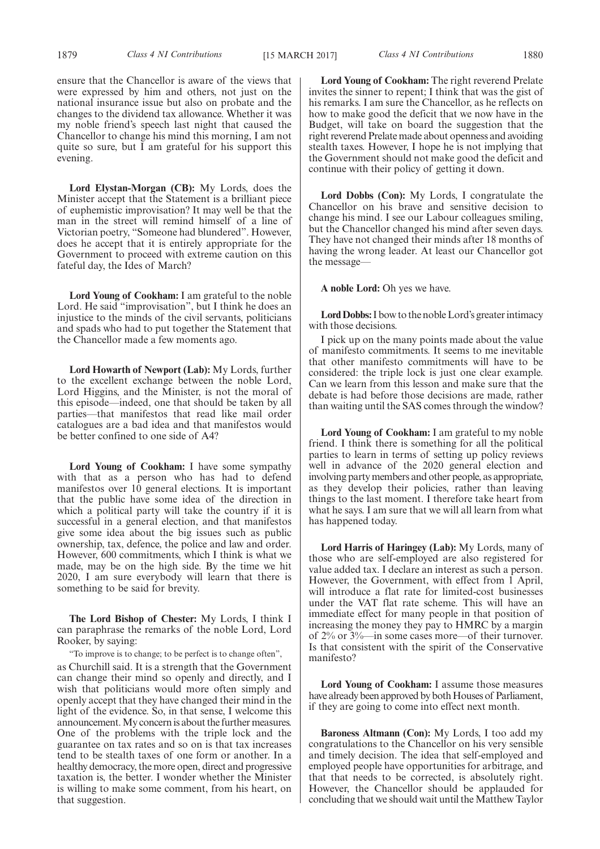**Lord Elystan-Morgan (CB):** My Lords, does the Minister accept that the Statement is a brilliant piece of euphemistic improvisation? It may well be that the man in the street will remind himself of a line of Victorian poetry, "Someone had blundered". However, does he accept that it is entirely appropriate for the Government to proceed with extreme caution on this fateful day, the Ides of March?

**Lord Young of Cookham:** I am grateful to the noble Lord. He said "improvisation", but I think he does an injustice to the minds of the civil servants, politicians and spads who had to put together the Statement that the Chancellor made a few moments ago.

**Lord Howarth of Newport (Lab):** My Lords, further to the excellent exchange between the noble Lord, Lord Higgins, and the Minister, is not the moral of this episode—indeed, one that should be taken by all parties—that manifestos that read like mail order catalogues are a bad idea and that manifestos would be better confined to one side of A4?

**Lord Young of Cookham:** I have some sympathy with that as a person who has had to defend manifestos over 10 general elections. It is important that the public have some idea of the direction in which a political party will take the country if it is successful in a general election, and that manifestos give some idea about the big issues such as public ownership, tax, defence, the police and law and order. However, 600 commitments, which I think is what we made, may be on the high side. By the time we hit 2020, I am sure everybody will learn that there is something to be said for brevity.

**The Lord Bishop of Chester:** My Lords, I think I can paraphrase the remarks of the noble Lord, Lord Rooker, by saying:

"To improve is to change; to be perfect is to change often",

as Churchill said. It is a strength that the Government can change their mind so openly and directly, and I wish that politicians would more often simply and openly accept that they have changed their mind in the light of the evidence. So, in that sense, I welcome this announcement. My concern is about the further measures. One of the problems with the triple lock and the guarantee on tax rates and so on is that tax increases tend to be stealth taxes of one form or another. In a healthy democracy, the more open, direct and progressive taxation is, the better. I wonder whether the Minister is willing to make some comment, from his heart, on that suggestion.

**Lord Young of Cookham:** The right reverend Prelate invites the sinner to repent; I think that was the gist of his remarks. I am sure the Chancellor, as he reflects on how to make good the deficit that we now have in the Budget, will take on board the suggestion that the right reverend Prelate made about openness and avoiding stealth taxes. However, I hope he is not implying that the Government should not make good the deficit and continue with their policy of getting it down.

**Lord Dobbs (Con):** My Lords, I congratulate the Chancellor on his brave and sensitive decision to change his mind. I see our Labour colleagues smiling, but the Chancellor changed his mind after seven days. They have not changed their minds after 18 months of having the wrong leader. At least our Chancellor got the message—

**A noble Lord:** Oh yes we have.

**Lord Dobbs:**I bow to the noble Lord's greater intimacy with those decisions.

I pick up on the many points made about the value of manifesto commitments. It seems to me inevitable that other manifesto commitments will have to be considered: the triple lock is just one clear example. Can we learn from this lesson and make sure that the debate is had before those decisions are made, rather than waiting until the SAS comes through the window?

**Lord Young of Cookham:** I am grateful to my noble friend. I think there is something for all the political parties to learn in terms of setting up policy reviews well in advance of the 2020 general election and involving party members and other people, as appropriate, as they develop their policies, rather than leaving things to the last moment. I therefore take heart from what he says. I am sure that we will all learn from what has happened today.

**Lord Harris of Haringey (Lab):** My Lords, many of those who are self-employed are also registered for value added tax. I declare an interest as such a person. However, the Government, with effect from 1 April, will introduce a flat rate for limited-cost businesses under the VAT flat rate scheme. This will have an immediate effect for many people in that position of increasing the money they pay to HMRC by a margin of 2% or 3%—in some cases more—of their turnover. Is that consistent with the spirit of the Conservative manifesto?

**Lord Young of Cookham:** I assume those measures have already been approved by both Houses of Parliament, if they are going to come into effect next month.

**Baroness Altmann (Con):** My Lords, I too add my congratulations to the Chancellor on his very sensible and timely decision. The idea that self-employed and employed people have opportunities for arbitrage, and that that needs to be corrected, is absolutely right. However, the Chancellor should be applauded for concluding that we should wait until the Matthew Taylor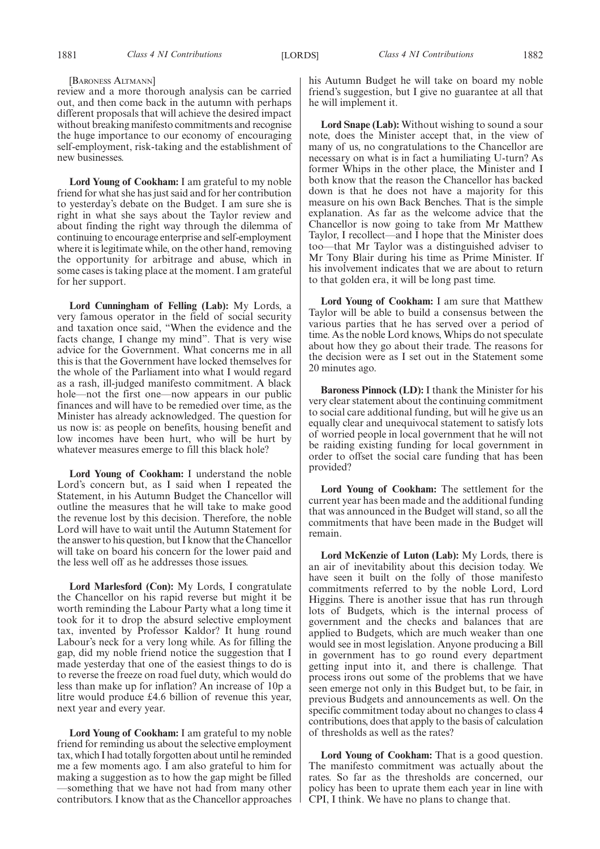#### [BARONESS ALTMANN]

review and a more thorough analysis can be carried out, and then come back in the autumn with perhaps different proposals that will achieve the desired impact without breaking manifesto commitments and recognise the huge importance to our economy of encouraging self-employment, risk-taking and the establishment of new businesses.

**Lord Young of Cookham:** I am grateful to my noble friend for what she has just said and for her contribution to yesterday's debate on the Budget. I am sure she is right in what she says about the Taylor review and about finding the right way through the dilemma of continuing to encourage enterprise and self-employment where it is legitimate while, on the other hand, removing the opportunity for arbitrage and abuse, which in some cases is taking place at the moment. I am grateful for her support.

**Lord Cunningham of Felling (Lab):** My Lords, a very famous operator in the field of social security and taxation once said, "When the evidence and the facts change, I change my mind". That is very wise advice for the Government. What concerns me in all this is that the Government have locked themselves for the whole of the Parliament into what I would regard as a rash, ill-judged manifesto commitment. A black hole—not the first one—now appears in our public finances and will have to be remedied over time, as the Minister has already acknowledged. The question for us now is: as people on benefits, housing benefit and low incomes have been hurt, who will be hurt by whatever measures emerge to fill this black hole?

**Lord Young of Cookham:** I understand the noble Lord's concern but, as I said when I repeated the Statement, in his Autumn Budget the Chancellor will outline the measures that he will take to make good the revenue lost by this decision. Therefore, the noble Lord will have to wait until the Autumn Statement for the answer to his question, but I know that the Chancellor will take on board his concern for the lower paid and the less well off as he addresses those issues.

**Lord Marlesford (Con):** My Lords, I congratulate the Chancellor on his rapid reverse but might it be worth reminding the Labour Party what a long time it took for it to drop the absurd selective employment tax, invented by Professor Kaldor? It hung round Labour's neck for a very long while. As for filling the gap, did my noble friend notice the suggestion that I made yesterday that one of the easiest things to do is to reverse the freeze on road fuel duty, which would do less than make up for inflation? An increase of 10p a litre would produce £4.6 billion of revenue this year, next year and every year.

**Lord Young of Cookham:** I am grateful to my noble friend for reminding us about the selective employment tax, which I had totally forgotten about until he reminded me a few moments ago. I am also grateful to him for making a suggestion as to how the gap might be filled —something that we have not had from many other contributors. I know that as the Chancellor approaches his Autumn Budget he will take on board my noble friend's suggestion, but I give no guarantee at all that he will implement it.

**Lord Snape (Lab):** Without wishing to sound a sour note, does the Minister accept that, in the view of many of us, no congratulations to the Chancellor are necessary on what is in fact a humiliating U-turn? As former Whips in the other place, the Minister and I both know that the reason the Chancellor has backed down is that he does not have a majority for this measure on his own Back Benches. That is the simple explanation. As far as the welcome advice that the Chancellor is now going to take from Mr Matthew Taylor, I recollect—and I hope that the Minister does too—that Mr Taylor was a distinguished adviser to Mr Tony Blair during his time as Prime Minister. If his involvement indicates that we are about to return to that golden era, it will be long past time.

**Lord Young of Cookham:** I am sure that Matthew Taylor will be able to build a consensus between the various parties that he has served over a period of time. As the noble Lord knows, Whips do not speculate about how they go about their trade. The reasons for the decision were as I set out in the Statement some 20 minutes ago.

**Baroness Pinnock (LD):** I thank the Minister for his very clear statement about the continuing commitment to social care additional funding, but will he give us an equally clear and unequivocal statement to satisfy lots of worried people in local government that he will not be raiding existing funding for local government in order to offset the social care funding that has been provided?

**Lord Young of Cookham:** The settlement for the current year has been made and the additional funding that was announced in the Budget will stand, so all the commitments that have been made in the Budget will remain.

**Lord McKenzie of Luton (Lab):** My Lords, there is an air of inevitability about this decision today. We have seen it built on the folly of those manifesto commitments referred to by the noble Lord, Lord Higgins. There is another issue that has run through lots of Budgets, which is the internal process of government and the checks and balances that are applied to Budgets, which are much weaker than one would see in most legislation. Anyone producing a Bill in government has to go round every department getting input into it, and there is challenge. That process irons out some of the problems that we have seen emerge not only in this Budget but, to be fair, in previous Budgets and announcements as well. On the specific commitment today about no changes to class 4 contributions, does that apply to the basis of calculation of thresholds as well as the rates?

**Lord Young of Cookham:** That is a good question. The manifesto commitment was actually about the rates. So far as the thresholds are concerned, our policy has been to uprate them each year in line with CPI, I think. We have no plans to change that.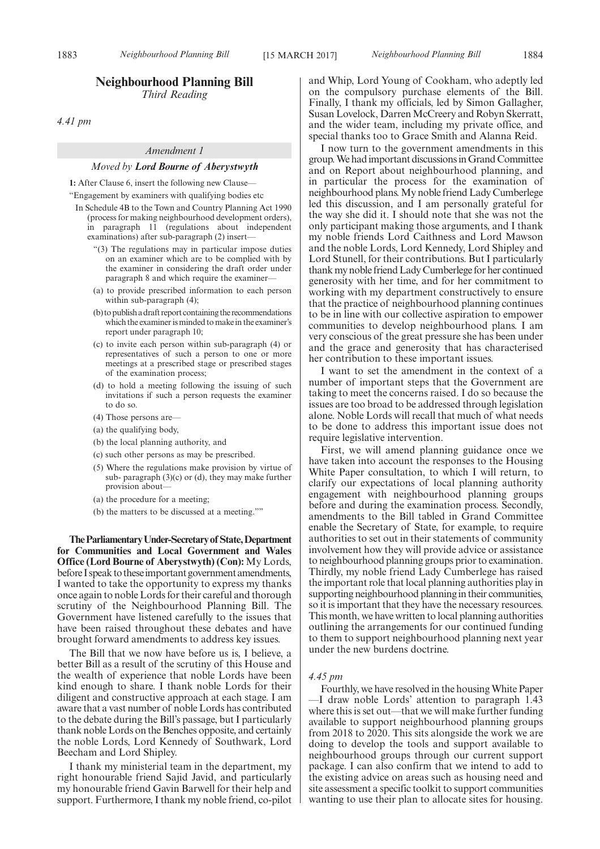# **Neighbourhood Planning Bill**

*Third Reading*

*4.41 pm*

#### *Amendment 1*

#### *Moved by Lord Bourne of Aberystwyth*

**1:** After Clause 6, insert the following new Clause—

"Engagement by examiners with qualifying bodies etc

- In Schedule 4B to the Town and Country Planning Act 1990 (process for making neighbourhood development orders), in paragraph 11 (regulations about independent examinations) after sub-paragraph (2) insert—
	- "(3) The regulations may in particular impose duties on an examiner which are to be complied with by the examiner in considering the draft order under paragraph 8 and which require the examiner—
	- (a) to provide prescribed information to each person within sub-paragraph (4);
	- (b) to publish a draft report containing the recommendations which the examiner is minded to make in the examiner's report under paragraph 10;
	- (c) to invite each person within sub-paragraph (4) or representatives of such a person to one or more meetings at a prescribed stage or prescribed stages of the examination process;
	- (d) to hold a meeting following the issuing of such invitations if such a person requests the examiner to do so.
	- (4) Those persons are—
	- (a) the qualifying body,
	- (b) the local planning authority, and
	- (c) such other persons as may be prescribed.
	- (5) Where the regulations make provision by virtue of sub- paragraph  $(3)(c)$  or  $(d)$ , they may make further provision about—
	- (a) the procedure for a meeting;
	- (b) the matters to be discussed at a meeting.""

**TheParliamentaryUnder-Secretaryof State,Department for Communities and Local Government and Wales Office (Lord Bourne of Aberystwyth) (Con):** My Lords, before I speak to these important government amendments, I wanted to take the opportunity to express my thanks once again to noble Lords for their careful and thorough scrutiny of the Neighbourhood Planning Bill. The Government have listened carefully to the issues that have been raised throughout these debates and have brought forward amendments to address key issues.

The Bill that we now have before us is, I believe, a better Bill as a result of the scrutiny of this House and the wealth of experience that noble Lords have been kind enough to share. I thank noble Lords for their diligent and constructive approach at each stage. I am aware that a vast number of noble Lords has contributed to the debate during the Bill's passage, but I particularly thank noble Lords on the Benches opposite, and certainly the noble Lords, Lord Kennedy of Southwark, Lord Beecham and Lord Shipley.

I thank my ministerial team in the department, my right honourable friend Sajid Javid, and particularly my honourable friend Gavin Barwell for their help and support. Furthermore, I thank my noble friend, co-pilot and Whip, Lord Young of Cookham, who adeptly led on the compulsory purchase elements of the Bill. Finally, I thank my officials, led by Simon Gallagher, Susan Lovelock, Darren McCreery and Robyn Skerratt, and the wider team, including my private office, and special thanks too to Grace Smith and Alanna Reid.

I now turn to the government amendments in this group. We had important discussions in Grand Committee and on Report about neighbourhood planning, and in particular the process for the examination of neighbourhood plans. My noble friend Lady Cumberlege led this discussion, and I am personally grateful for the way she did it. I should note that she was not the only participant making those arguments, and I thank my noble friends Lord Caithness and Lord Mawson and the noble Lords, Lord Kennedy, Lord Shipley and Lord Stunell, for their contributions. But I particularly thank my noble friend Lady Cumberlege for her continued generosity with her time, and for her commitment to working with my department constructively to ensure that the practice of neighbourhood planning continues to be in line with our collective aspiration to empower communities to develop neighbourhood plans. I am very conscious of the great pressure she has been under and the grace and generosity that has characterised her contribution to these important issues.

I want to set the amendment in the context of a number of important steps that the Government are taking to meet the concerns raised. I do so because the issues are too broad to be addressed through legislation alone. Noble Lords will recall that much of what needs to be done to address this important issue does not require legislative intervention.

First, we will amend planning guidance once we have taken into account the responses to the Housing White Paper consultation, to which I will return, to clarify our expectations of local planning authority engagement with neighbourhood planning groups before and during the examination process. Secondly, amendments to the Bill tabled in Grand Committee enable the Secretary of State, for example, to require authorities to set out in their statements of community involvement how they will provide advice or assistance to neighbourhood planning groups prior to examination. Thirdly, my noble friend Lady Cumberlege has raised the important role that local planning authorities play in supporting neighbourhood planning in their communities, so it is important that they have the necessary resources. This month, we have written to local planning authorities outlining the arrangements for our continued funding to them to support neighbourhood planning next year under the new burdens doctrine.

# *4.45 pm*

Fourthly, we have resolved in the housing White Paper —I draw noble Lords' attention to paragraph 1.43 where this is set out—that we will make further funding available to support neighbourhood planning groups from 2018 to 2020. This sits alongside the work we are doing to develop the tools and support available to neighbourhood groups through our current support package. I can also confirm that we intend to add to the existing advice on areas such as housing need and site assessment a specific toolkit to support communities wanting to use their plan to allocate sites for housing.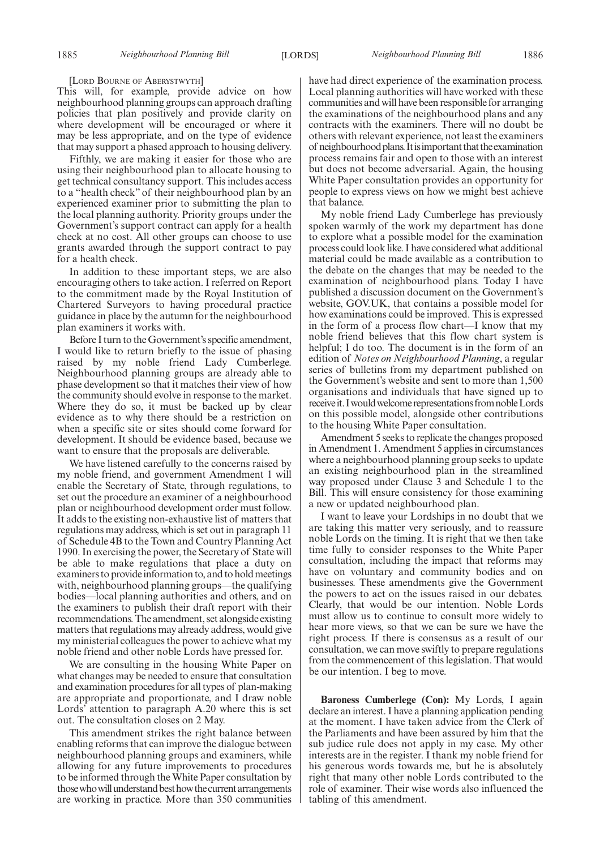[LORD BOURNE OF ABERYSTWYTH]

This will, for example, provide advice on how neighbourhood planning groups can approach drafting policies that plan positively and provide clarity on where development will be encouraged or where it may be less appropriate, and on the type of evidence that may support a phased approach to housing delivery.

Fifthly, we are making it easier for those who are using their neighbourhood plan to allocate housing to get technical consultancy support. This includes access to a "health check" of their neighbourhood plan by an experienced examiner prior to submitting the plan to the local planning authority. Priority groups under the Government's support contract can apply for a health check at no cost. All other groups can choose to use grants awarded through the support contract to pay for a health check.

In addition to these important steps, we are also encouraging others to take action. I referred on Report to the commitment made by the Royal Institution of Chartered Surveyors to having procedural practice guidance in place by the autumn for the neighbourhood plan examiners it works with.

Before I turn to the Government's specific amendment, I would like to return briefly to the issue of phasing raised by my noble friend Lady Cumberlege. Neighbourhood planning groups are already able to phase development so that it matches their view of how the community should evolve in response to the market. Where they do so, it must be backed up by clear evidence as to why there should be a restriction on when a specific site or sites should come forward for development. It should be evidence based, because we want to ensure that the proposals are deliverable.

We have listened carefully to the concerns raised by my noble friend, and government Amendment 1 will enable the Secretary of State, through regulations, to set out the procedure an examiner of a neighbourhood plan or neighbourhood development order must follow. It adds to the existing non-exhaustive list of matters that regulations may address, which is set out in paragraph 11 of Schedule 4B to the Town and Country Planning Act 1990. In exercising the power, the Secretary of State will be able to make regulations that place a duty on examiners to provide information to, and to hold meetings with, neighbourhood planning groups—the qualifying bodies—local planning authorities and others, and on the examiners to publish their draft report with their recommendations. The amendment, set alongside existing matters that regulations may already address, would give my ministerial colleagues the power to achieve what my noble friend and other noble Lords have pressed for.

We are consulting in the housing White Paper on what changes may be needed to ensure that consultation and examination procedures for all types of plan-making are appropriate and proportionate, and I draw noble Lords' attention to paragraph A.20 where this is set out. The consultation closes on 2 May.

This amendment strikes the right balance between enabling reforms that can improve the dialogue between neighbourhood planning groups and examiners, while allowing for any future improvements to procedures to be informed through the White Paper consultation by those who will understand best how the current arrangements are working in practice. More than 350 communities have had direct experience of the examination process. Local planning authorities will have worked with these communities and will have been responsible for arranging the examinations of the neighbourhood plans and any contracts with the examiners. There will no doubt be others with relevant experience, not least the examiners of neighbourhood plans. It is important that the examination process remains fair and open to those with an interest but does not become adversarial. Again, the housing White Paper consultation provides an opportunity for people to express views on how we might best achieve that balance.

My noble friend Lady Cumberlege has previously spoken warmly of the work my department has done to explore what a possible model for the examination process could look like. I have considered what additional material could be made available as a contribution to the debate on the changes that may be needed to the examination of neighbourhood plans. Today I have published a discussion document on the Government's website, GOV.UK, that contains a possible model for how examinations could be improved. This is expressed in the form of a process flow chart—I know that my noble friend believes that this flow chart system is helpful; I do too. The document is in the form of an edition of *Notes on Neighbourhood Planning*, a regular series of bulletins from my department published on the Government's website and sent to more than 1,500 organisations and individuals that have signed up to receive it. I would welcome representations from noble Lords on this possible model, alongside other contributions to the housing White Paper consultation.

Amendment 5 seeks to replicate the changes proposed in Amendment 1. Amendment 5 applies in circumstances where a neighbourhood planning group seeks to update an existing neighbourhood plan in the streamlined way proposed under Clause 3 and Schedule 1 to the Bill. This will ensure consistency for those examining a new or updated neighbourhood plan.

I want to leave your Lordships in no doubt that we are taking this matter very seriously, and to reassure noble Lords on the timing. It is right that we then take time fully to consider responses to the White Paper consultation, including the impact that reforms may have on voluntary and community bodies and on businesses. These amendments give the Government the powers to act on the issues raised in our debates. Clearly, that would be our intention. Noble Lords must allow us to continue to consult more widely to hear more views, so that we can be sure we have the right process. If there is consensus as a result of our consultation, we can move swiftly to prepare regulations from the commencement of this legislation. That would be our intention. I beg to move.

**Baroness Cumberlege (Con):** My Lords, I again declare an interest. I have a planning application pending at the moment. I have taken advice from the Clerk of the Parliaments and have been assured by him that the sub judice rule does not apply in my case. My other interests are in the register. I thank my noble friend for his generous words towards me, but he is absolutely right that many other noble Lords contributed to the role of examiner. Their wise words also influenced the tabling of this amendment.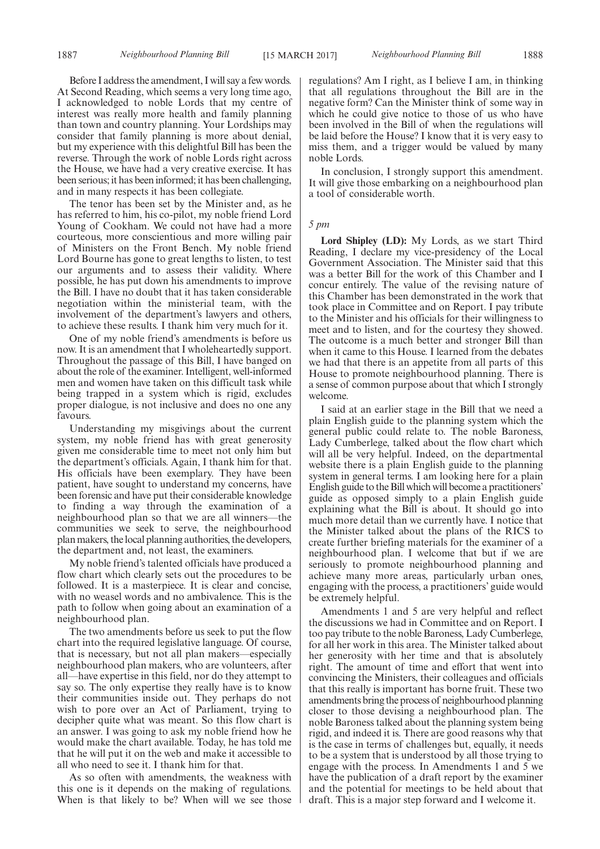Before I address the amendment, I will say a few words. At Second Reading, which seems a very long time ago, I acknowledged to noble Lords that my centre of interest was really more health and family planning than town and country planning. Your Lordships may consider that family planning is more about denial, but my experience with this delightful Bill has been the reverse. Through the work of noble Lords right across the House, we have had a very creative exercise. It has been serious; it has been informed; it has been challenging, and in many respects it has been collegiate.

The tenor has been set by the Minister and, as he has referred to him, his co-pilot, my noble friend Lord Young of Cookham. We could not have had a more courteous, more conscientious and more willing pair of Ministers on the Front Bench. My noble friend Lord Bourne has gone to great lengths to listen, to test our arguments and to assess their validity. Where possible, he has put down his amendments to improve the Bill. I have no doubt that it has taken considerable negotiation within the ministerial team, with the involvement of the department's lawyers and others, to achieve these results. I thank him very much for it.

One of my noble friend's amendments is before us now. It is an amendment that I wholeheartedly support. Throughout the passage of this Bill, I have banged on about the role of the examiner. Intelligent, well-informed men and women have taken on this difficult task while being trapped in a system which is rigid, excludes proper dialogue, is not inclusive and does no one any favours.

Understanding my misgivings about the current system, my noble friend has with great generosity given me considerable time to meet not only him but the department's officials. Again, I thank him for that. His officials have been exemplary. They have been patient, have sought to understand my concerns, have been forensic and have put their considerable knowledge to finding a way through the examination of a neighbourhood plan so that we are all winners—the communities we seek to serve, the neighbourhood plan makers, the local planning authorities, the developers, the department and, not least, the examiners.

My noble friend's talented officials have produced a flow chart which clearly sets out the procedures to be followed. It is a masterpiece. It is clear and concise, with no weasel words and no ambivalence. This is the path to follow when going about an examination of a neighbourhood plan.

The two amendments before us seek to put the flow chart into the required legislative language. Of course, that is necessary, but not all plan makers—especially neighbourhood plan makers, who are volunteers, after all—have expertise in this field, nor do they attempt to say so. The only expertise they really have is to know their communities inside out. They perhaps do not wish to pore over an Act of Parliament, trying to decipher quite what was meant. So this flow chart is an answer. I was going to ask my noble friend how he would make the chart available. Today, he has told me that he will put it on the web and make it accessible to all who need to see it. I thank him for that.

As so often with amendments, the weakness with this one is it depends on the making of regulations. When is that likely to be? When will we see those regulations? Am I right, as I believe I am, in thinking that all regulations throughout the Bill are in the negative form? Can the Minister think of some way in which he could give notice to those of us who have been involved in the Bill of when the regulations will be laid before the House? I know that it is very easy to miss them, and a trigger would be valued by many noble Lords.

In conclusion, I strongly support this amendment. It will give those embarking on a neighbourhood plan a tool of considerable worth.

# *5 pm*

**Lord Shipley (LD):** My Lords, as we start Third Reading, I declare my vice-presidency of the Local Government Association. The Minister said that this was a better Bill for the work of this Chamber and I concur entirely. The value of the revising nature of this Chamber has been demonstrated in the work that took place in Committee and on Report. I pay tribute to the Minister and his officials for their willingness to meet and to listen, and for the courtesy they showed. The outcome is a much better and stronger Bill than when it came to this House. I learned from the debates we had that there is an appetite from all parts of this House to promote neighbourhood planning. There is a sense of common purpose about that which I strongly welcome.

I said at an earlier stage in the Bill that we need a plain English guide to the planning system which the general public could relate to. The noble Baroness, Lady Cumberlege, talked about the flow chart which will all be very helpful. Indeed, on the departmental website there is a plain English guide to the planning system in general terms. I am looking here for a plain English guide to the Bill which will become a practitioners' guide as opposed simply to a plain English guide explaining what the Bill is about. It should go into much more detail than we currently have. I notice that the Minister talked about the plans of the RICS to create further briefing materials for the examiner of a neighbourhood plan. I welcome that but if we are seriously to promote neighbourhood planning and achieve many more areas, particularly urban ones, engaging with the process, a practitioners' guide would be extremely helpful.

Amendments 1 and 5 are very helpful and reflect the discussions we had in Committee and on Report. I too pay tribute to the noble Baroness, Lady Cumberlege, for all her work in this area. The Minister talked about her generosity with her time and that is absolutely right. The amount of time and effort that went into convincing the Ministers, their colleagues and officials that this really is important has borne fruit. These two amendments bring the process of neighbourhood planning closer to those devising a neighbourhood plan. The noble Baroness talked about the planning system being rigid, and indeed it is. There are good reasons why that is the case in terms of challenges but, equally, it needs to be a system that is understood by all those trying to engage with the process. In Amendments 1 and 5 we have the publication of a draft report by the examiner and the potential for meetings to be held about that draft. This is a major step forward and I welcome it.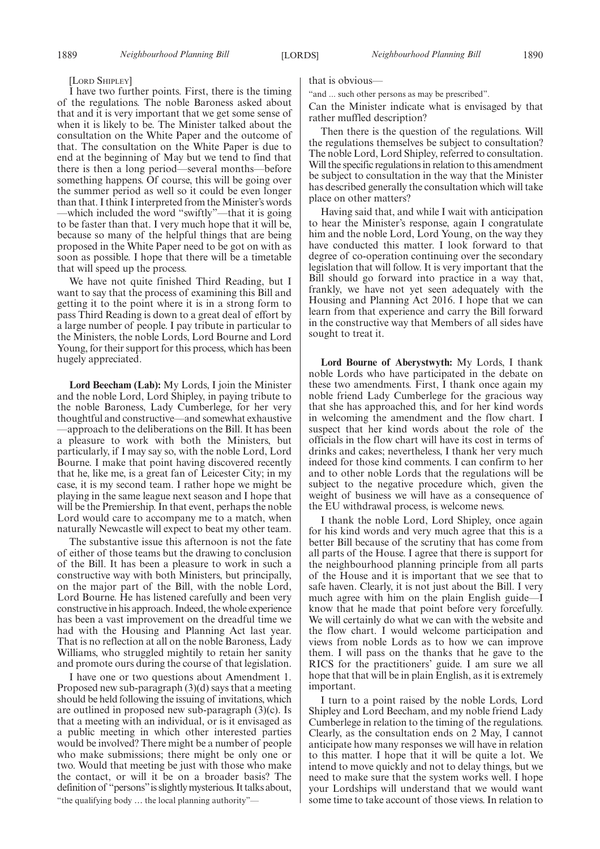#### [LORD SHIPLEY]

I have two further points. First, there is the timing of the regulations. The noble Baroness asked about that and it is very important that we get some sense of when it is likely to be. The Minister talked about the consultation on the White Paper and the outcome of that. The consultation on the White Paper is due to end at the beginning of May but we tend to find that there is then a long period—several months—before something happens. Of course, this will be going over the summer period as well so it could be even longer than that. I think I interpreted from the Minister's words —which included the word "swiftly"—that it is going to be faster than that. I very much hope that it will be, because so many of the helpful things that are being proposed in the White Paper need to be got on with as soon as possible. I hope that there will be a timetable that will speed up the process.

We have not quite finished Third Reading, but I want to say that the process of examining this Bill and getting it to the point where it is in a strong form to pass Third Reading is down to a great deal of effort by a large number of people. I pay tribute in particular to the Ministers, the noble Lords, Lord Bourne and Lord Young, for their support for this process, which has been hugely appreciated.

**Lord Beecham (Lab):** My Lords, I join the Minister and the noble Lord, Lord Shipley, in paying tribute to the noble Baroness, Lady Cumberlege, for her very thoughtful and constructive—and somewhat exhaustive —approach to the deliberations on the Bill. It has been a pleasure to work with both the Ministers, but particularly, if I may say so, with the noble Lord, Lord Bourne. I make that point having discovered recently that he, like me, is a great fan of Leicester City; in my case, it is my second team. I rather hope we might be playing in the same league next season and I hope that will be the Premiership. In that event, perhaps the noble Lord would care to accompany me to a match, when naturally Newcastle will expect to beat my other team.

The substantive issue this afternoon is not the fate of either of those teams but the drawing to conclusion of the Bill. It has been a pleasure to work in such a constructive way with both Ministers, but principally, on the major part of the Bill, with the noble Lord, Lord Bourne. He has listened carefully and been very constructive in his approach. Indeed, the whole experience has been a vast improvement on the dreadful time we had with the Housing and Planning Act last year. That is no reflection at all on the noble Baroness, Lady Williams, who struggled mightily to retain her sanity and promote ours during the course of that legislation.

I have one or two questions about Amendment 1. Proposed new sub-paragraph (3)(d) says that a meeting should be held following the issuing of invitations, which are outlined in proposed new sub-paragraph (3)(c). Is that a meeting with an individual, or is it envisaged as a public meeting in which other interested parties would be involved? There might be a number of people who make submissions; there might be only one or two. Would that meeting be just with those who make the contact, or will it be on a broader basis? The definition of "persons"is slightly mysterious. It talks about, "the qualifying body … the local planning authority"—

that is obvious—

"and ... such other persons as may be prescribed".

Can the Minister indicate what is envisaged by that rather muffled description?

Then there is the question of the regulations. Will the regulations themselves be subject to consultation? The noble Lord, Lord Shipley, referred to consultation. Will the specific regulations in relation to this amendment be subject to consultation in the way that the Minister has described generally the consultation which will take place on other matters?

Having said that, and while I wait with anticipation to hear the Minister's response, again I congratulate him and the noble Lord, Lord Young, on the way they have conducted this matter. I look forward to that degree of co-operation continuing over the secondary legislation that will follow. It is very important that the Bill should go forward into practice in a way that, frankly, we have not yet seen adequately with the Housing and Planning Act 2016. I hope that we can learn from that experience and carry the Bill forward in the constructive way that Members of all sides have sought to treat it.

**Lord Bourne of Aberystwyth:** My Lords, I thank noble Lords who have participated in the debate on these two amendments. First, I thank once again my noble friend Lady Cumberlege for the gracious way that she has approached this, and for her kind words in welcoming the amendment and the flow chart. I suspect that her kind words about the role of the officials in the flow chart will have its cost in terms of drinks and cakes; nevertheless, I thank her very much indeed for those kind comments. I can confirm to her and to other noble Lords that the regulations will be subject to the negative procedure which, given the weight of business we will have as a consequence of the EU withdrawal process, is welcome news.

I thank the noble Lord, Lord Shipley, once again for his kind words and very much agree that this is a better Bill because of the scrutiny that has come from all parts of the House. I agree that there is support for the neighbourhood planning principle from all parts of the House and it is important that we see that to safe haven. Clearly, it is not just about the Bill. I very much agree with him on the plain English guide—I know that he made that point before very forcefully. We will certainly do what we can with the website and the flow chart. I would welcome participation and views from noble Lords as to how we can improve them. I will pass on the thanks that he gave to the RICS for the practitioners' guide. I am sure we all hope that that will be in plain English, as it is extremely important.

I turn to a point raised by the noble Lords, Lord Shipley and Lord Beecham, and my noble friend Lady Cumberlege in relation to the timing of the regulations. Clearly, as the consultation ends on 2 May, I cannot anticipate how many responses we will have in relation to this matter. I hope that it will be quite a lot. We intend to move quickly and not to delay things, but we need to make sure that the system works well. I hope your Lordships will understand that we would want some time to take account of those views. In relation to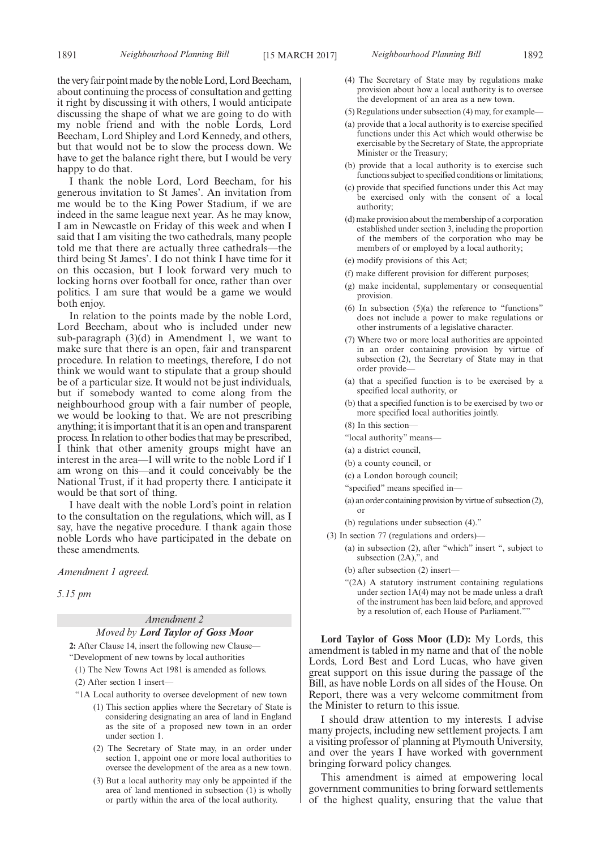the very fair point made by the noble Lord, Lord Beecham, about continuing the process of consultation and getting it right by discussing it with others, I would anticipate discussing the shape of what we are going to do with my noble friend and with the noble Lords, Lord Beecham, Lord Shipley and Lord Kennedy, and others, but that would not be to slow the process down. We have to get the balance right there, but I would be very happy to do that.

I thank the noble Lord, Lord Beecham, for his generous invitation to St James'. An invitation from me would be to the King Power Stadium, if we are indeed in the same league next year. As he may know, I am in Newcastle on Friday of this week and when I said that I am visiting the two cathedrals, many people told me that there are actually three cathedrals—the third being St James'. I do not think I have time for it on this occasion, but I look forward very much to locking horns over football for once, rather than over politics. I am sure that would be a game we would both enjoy.

In relation to the points made by the noble Lord, Lord Beecham, about who is included under new sub-paragraph (3)(d) in Amendment 1, we want to make sure that there is an open, fair and transparent procedure. In relation to meetings, therefore, I do not think we would want to stipulate that a group should be of a particular size. It would not be just individuals, but if somebody wanted to come along from the neighbourhood group with a fair number of people, we would be looking to that. We are not prescribing anything; it is important that it is an open and transparent process. In relation to other bodies that may be prescribed, I think that other amenity groups might have an interest in the area—I will write to the noble Lord if I am wrong on this—and it could conceivably be the National Trust, if it had property there. I anticipate it would be that sort of thing.

I have dealt with the noble Lord's point in relation to the consultation on the regulations, which will, as I say, have the negative procedure. I thank again those noble Lords who have participated in the debate on these amendments.

*Amendment 1 agreed.*

*5.15 pm*

# *Amendment 2 Moved by Lord Taylor of Goss Moor*

**2:** After Clause 14, insert the following new Clause— "Development of new towns by local authorities

- (1) The New Towns Act 1981 is amended as follows.
- (2) After section 1 insert—
- "1A Local authority to oversee development of new town
	- (1) This section applies where the Secretary of State is considering designating an area of land in England as the site of a proposed new town in an order under section 1.
	- (2) The Secretary of State may, in an order under section 1, appoint one or more local authorities to oversee the development of the area as a new town.
	- (3) But a local authority may only be appointed if the area of land mentioned in subsection (1) is wholly or partly within the area of the local authority.
- 1891 *Neighbourhood Planning Bill Neighbourhood Planning Bill* [15 MARCH 2017] 1892
	- (4) The Secretary of State may by regulations make provision about how a local authority is to oversee the development of an area as a new town.
	- (5) Regulations under subsection (4) may, for example—
	- (a) provide that a local authority is to exercise specified functions under this Act which would otherwise be exercisable by the Secretary of State, the appropriate Minister or the Treasury;
	- (b) provide that a local authority is to exercise such functions subject to specified conditions or limitations;
	- (c) provide that specified functions under this Act may be exercised only with the consent of a local authority;
	- (d) make provision about the membership of a corporation established under section 3, including the proportion of the members of the corporation who may be members of or employed by a local authority;
	- (e) modify provisions of this Act;
	- (f) make different provision for different purposes;
	- (g) make incidental, supplementary or consequential provision.
	- (6) In subsection  $(5)(a)$  the reference to "functions" does not include a power to make regulations or other instruments of a legislative character.
	- (7) Where two or more local authorities are appointed in an order containing provision by virtue of subsection (2), the Secretary of State may in that order provide—
	- (a) that a specified function is to be exercised by a specified local authority, or
	- (b) that a specified function is to be exercised by two or more specified local authorities jointly.
	- (8) In this section—
	- "local authority" means—
	- (a) a district council,
	- (b) a county council, or
	- (c) a London borough council;
	- "specified" means specified in—
	- (a) an order containing provision by virtue of subsection (2), or
	- (b) regulations under subsection (4)."
	- (3) In section 77 (regulations and orders)—
		- (a) in subsection (2), after "which" insert ", subject to subsection (2A),", and
		- (b) after subsection (2) insert—
		- "(2A) A statutory instrument containing regulations under section 1A(4) may not be made unless a draft of the instrument has been laid before, and approved by a resolution of, each House of Parliament."

**Lord Taylor of Goss Moor (LD):** My Lords, this amendment is tabled in my name and that of the noble Lords, Lord Best and Lord Lucas, who have given great support on this issue during the passage of the Bill, as have noble Lords on all sides of the House. On Report, there was a very welcome commitment from the Minister to return to this issue.

I should draw attention to my interests. I advise many projects, including new settlement projects. I am a visiting professor of planning at Plymouth University, and over the years I have worked with government bringing forward policy changes.

This amendment is aimed at empowering local government communities to bring forward settlements of the highest quality, ensuring that the value that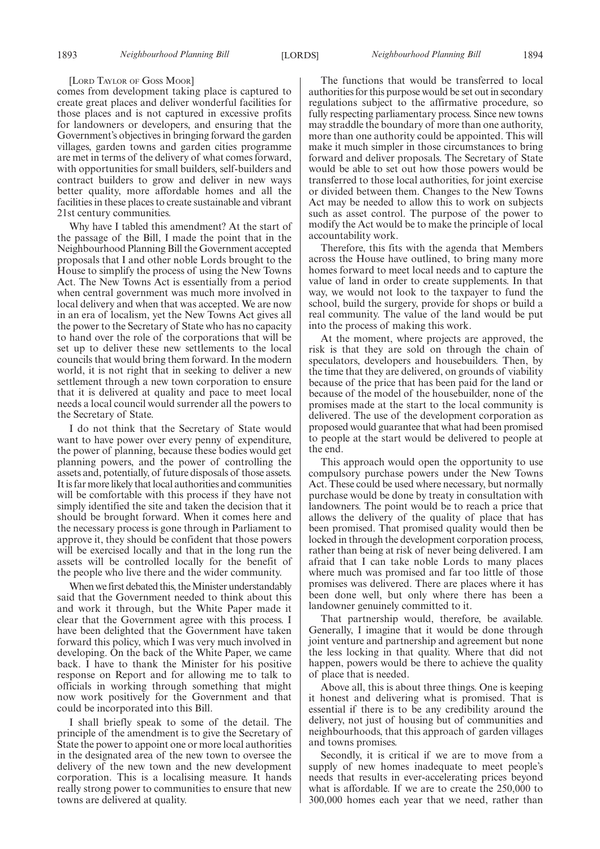#### [LORD TAYLOR OF GOSS MOOR]

comes from development taking place is captured to create great places and deliver wonderful facilities for those places and is not captured in excessive profits for landowners or developers, and ensuring that the Government's objectives in bringing forward the garden villages, garden towns and garden cities programme are met in terms of the delivery of what comes forward, with opportunities for small builders, self-builders and contract builders to grow and deliver in new ways better quality, more affordable homes and all the facilities in these places to create sustainable and vibrant 21st century communities.

Why have I tabled this amendment? At the start of the passage of the Bill, I made the point that in the Neighbourhood Planning Bill the Government accepted proposals that I and other noble Lords brought to the House to simplify the process of using the New Towns Act. The New Towns Act is essentially from a period when central government was much more involved in local delivery and when that was accepted. We are now in an era of localism, yet the New Towns Act gives all the power to the Secretary of State who has no capacity to hand over the role of the corporations that will be set up to deliver these new settlements to the local councils that would bring them forward. In the modern world, it is not right that in seeking to deliver a new settlement through a new town corporation to ensure that it is delivered at quality and pace to meet local needs a local council would surrender all the powers to the Secretary of State.

I do not think that the Secretary of State would want to have power over every penny of expenditure, the power of planning, because these bodies would get planning powers, and the power of controlling the assets and, potentially, of future disposals of those assets. It is far more likely that local authorities and communities will be comfortable with this process if they have not simply identified the site and taken the decision that it should be brought forward. When it comes here and the necessary process is gone through in Parliament to approve it, they should be confident that those powers will be exercised locally and that in the long run the assets will be controlled locally for the benefit of the people who live there and the wider community.

When we first debated this, the Minister understandably said that the Government needed to think about this and work it through, but the White Paper made it clear that the Government agree with this process. I have been delighted that the Government have taken forward this policy, which I was very much involved in developing. On the back of the White Paper, we came back. I have to thank the Minister for his positive response on Report and for allowing me to talk to officials in working through something that might now work positively for the Government and that could be incorporated into this Bill.

I shall briefly speak to some of the detail. The principle of the amendment is to give the Secretary of State the power to appoint one or more local authorities in the designated area of the new town to oversee the delivery of the new town and the new development corporation. This is a localising measure. It hands really strong power to communities to ensure that new towns are delivered at quality.

The functions that would be transferred to local authorities for this purpose would be set out in secondary regulations subject to the affirmative procedure, so fully respecting parliamentary process. Since new towns may straddle the boundary of more than one authority, more than one authority could be appointed. This will make it much simpler in those circumstances to bring forward and deliver proposals. The Secretary of State would be able to set out how those powers would be transferred to those local authorities, for joint exercise or divided between them. Changes to the New Towns Act may be needed to allow this to work on subjects such as asset control. The purpose of the power to modify the Act would be to make the principle of local accountability work.

Therefore, this fits with the agenda that Members across the House have outlined, to bring many more homes forward to meet local needs and to capture the value of land in order to create supplements. In that way, we would not look to the taxpayer to fund the school, build the surgery, provide for shops or build a real community. The value of the land would be put into the process of making this work.

At the moment, where projects are approved, the risk is that they are sold on through the chain of speculators, developers and housebuilders. Then, by the time that they are delivered, on grounds of viability because of the price that has been paid for the land or because of the model of the housebuilder, none of the promises made at the start to the local community is delivered. The use of the development corporation as proposed would guarantee that what had been promised to people at the start would be delivered to people at the end.

This approach would open the opportunity to use compulsory purchase powers under the New Towns Act. These could be used where necessary, but normally purchase would be done by treaty in consultation with landowners. The point would be to reach a price that allows the delivery of the quality of place that has been promised. That promised quality would then be locked in through the development corporation process, rather than being at risk of never being delivered. I am afraid that I can take noble Lords to many places where much was promised and far too little of those promises was delivered. There are places where it has been done well, but only where there has been a landowner genuinely committed to it.

That partnership would, therefore, be available. Generally, I imagine that it would be done through joint venture and partnership and agreement but none the less locking in that quality. Where that did not happen, powers would be there to achieve the quality of place that is needed.

Above all, this is about three things. One is keeping it honest and delivering what is promised. That is essential if there is to be any credibility around the delivery, not just of housing but of communities and neighbourhoods, that this approach of garden villages and towns promises.

Secondly, it is critical if we are to move from a supply of new homes inadequate to meet people's needs that results in ever-accelerating prices beyond what is affordable. If we are to create the 250,000 to 300,000 homes each year that we need, rather than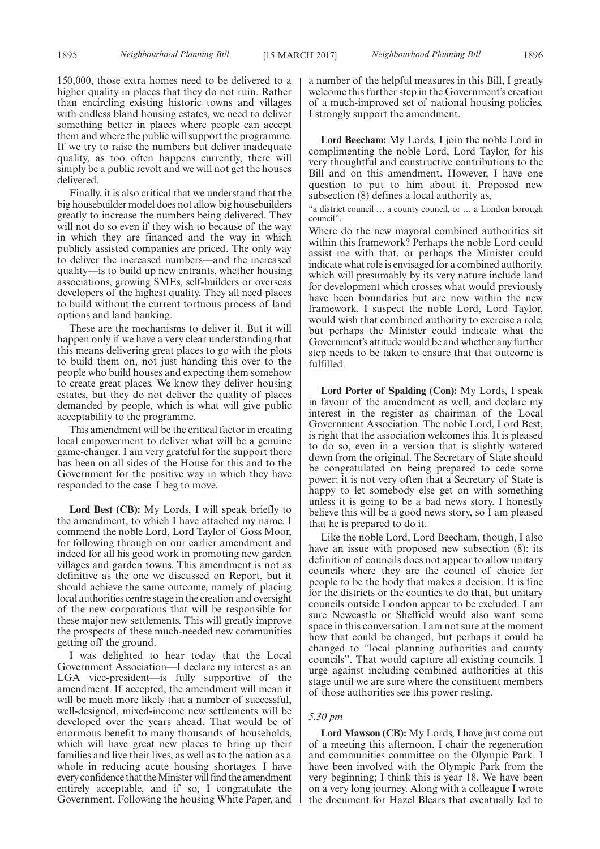150,000, those extra homes need to be delivered to a higher quality in places that they do not ruin. Rather than encircling existing historic towns and villages with endless bland housing estates, we need to deliver something better in places where people can accept them and where the public will support the programme. If we try to raise the numbers but deliver inadequate quality, as too often happens currently, there will simply be a public revolt and we will not get the houses delivered.

Finally, it is also critical that we understand that the big housebuilder model does not allow big housebuilders greatly to increase the numbers being delivered. They will not do so even if they wish to because of the way in which they are financed and the way in which publicly assisted companies are priced. The only way to deliver the increased numbers—and the increased quality—is to build up new entrants, whether housing associations, growing SMEs, self-builders or overseas developers of the highest quality. They all need places to build without the current tortuous process of land options and land banking.

These are the mechanisms to deliver it. But it will happen only if we have a very clear understanding that this means delivering great places to go with the plots to build them on, not just handing this over to the people who build houses and expecting them somehow to create great places. We know they deliver housing estates, but they do not deliver the quality of places demanded by people, which is what will give public acceptability to the programme.

This amendment will be the critical factor in creating local empowerment to deliver what will be a genuine game-changer. I am very grateful for the support there has been on all sides of the House for this and to the Government for the positive way in which they have responded to the case. I beg to move.

**Lord Best (CB):** My Lords, I will speak briefly to the amendment, to which I have attached my name. I commend the noble Lord, Lord Taylor of Goss Moor, for following through on our earlier amendment and indeed for all his good work in promoting new garden villages and garden towns. This amendment is not as definitive as the one we discussed on Report, but it should achieve the same outcome, namely of placing local authorities centre stage in the creation and oversight of the new corporations that will be responsible for these major new settlements. This will greatly improve the prospects of these much-needed new communities getting off the ground.

I was delighted to hear today that the Local Government Association—I declare my interest as an LGA vice-president—is fully supportive of the amendment. If accepted, the amendment will mean it will be much more likely that a number of successful, well-designed, mixed-income new settlements will be developed over the years ahead. That would be of enormous benefit to many thousands of households, which will have great new places to bring up their families and live their lives, as well as to the nation as a whole in reducing acute housing shortages. I have every confidence that the Minister will find the amendment entirely acceptable, and if so, I congratulate the Government. Following the housing White Paper, and a number of the helpful measures in this Bill, I greatly welcome this further step in the Government's creation of a much-improved set of national housing policies. I strongly support the amendment.

**Lord Beecham:** My Lords, I join the noble Lord in complimenting the noble Lord, Lord Taylor, for his very thoughtful and constructive contributions to the Bill and on this amendment. However, I have one question to put to him about it. Proposed new subsection (8) defines a local authority as,

"a district council … a county council, or … a London borough council".

Where do the new mayoral combined authorities sit within this framework? Perhaps the noble Lord could assist me with that, or perhaps the Minister could indicate what role is envisaged for a combined authority, which will presumably by its very nature include land for development which crosses what would previously have been boundaries but are now within the new framework. I suspect the noble Lord, Lord Taylor, would wish that combined authority to exercise a role, but perhaps the Minister could indicate what the Government's attitude would be and whether any further step needs to be taken to ensure that that outcome is fulfilled.

**Lord Porter of Spalding (Con):** My Lords, I speak in favour of the amendment as well, and declare my interest in the register as chairman of the Local Government Association. The noble Lord, Lord Best, is right that the association welcomes this. It is pleased to do so, even in a version that is slightly watered down from the original. The Secretary of State should be congratulated on being prepared to cede some power: it is not very often that a Secretary of State is happy to let somebody else get on with something unless it is going to be a bad news story. I honestly believe this will be a good news story, so I am pleased that he is prepared to do it.

Like the noble Lord, Lord Beecham, though, I also have an issue with proposed new subsection (8): its definition of councils does not appear to allow unitary councils where they are the council of choice for people to be the body that makes a decision. It is fine for the districts or the counties to do that, but unitary councils outside London appear to be excluded. I am sure Newcastle or Sheffield would also want some space in this conversation. I am not sure at the moment how that could be changed, but perhaps it could be changed to "local planning authorities and county councils". That would capture all existing councils. I urge against including combined authorities at this stage until we are sure where the constituent members of those authorities see this power resting.

#### *5.30 pm*

**Lord Mawson (CB):** My Lords, I have just come out of a meeting this afternoon. I chair the regeneration and communities committee on the Olympic Park. I have been involved with the Olympic Park from the very beginning; I think this is year 18. We have been on a very long journey. Along with a colleague I wrote the document for Hazel Blears that eventually led to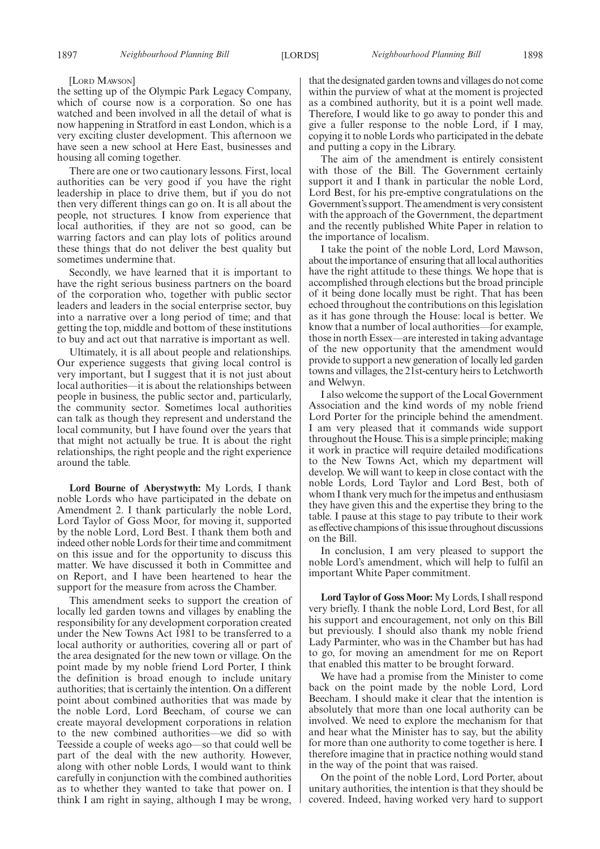[LORD MAWSON]

the setting up of the Olympic Park Legacy Company, which of course now is a corporation. So one has watched and been involved in all the detail of what is now happening in Stratford in east London, which is a very exciting cluster development. This afternoon we have seen a new school at Here East, businesses and housing all coming together.

There are one or two cautionary lessons. First, local authorities can be very good if you have the right leadership in place to drive them, but if you do not then very different things can go on. It is all about the people, not structures. I know from experience that local authorities, if they are not so good, can be warring factors and can play lots of politics around these things that do not deliver the best quality but sometimes undermine that.

Secondly, we have learned that it is important to have the right serious business partners on the board of the corporation who, together with public sector leaders and leaders in the social enterprise sector, buy into a narrative over a long period of time; and that getting the top, middle and bottom of these institutions to buy and act out that narrative is important as well.

Ultimately, it is all about people and relationships. Our experience suggests that giving local control is very important, but I suggest that it is not just about local authorities—it is about the relationships between people in business, the public sector and, particularly, the community sector. Sometimes local authorities can talk as though they represent and understand the local community, but I have found over the years that that might not actually be true. It is about the right relationships, the right people and the right experience around the table.

**Lord Bourne of Aberystwyth:** My Lords, I thank noble Lords who have participated in the debate on Amendment 2. I thank particularly the noble Lord, Lord Taylor of Goss Moor, for moving it, supported by the noble Lord, Lord Best. I thank them both and indeed other noble Lords for their time and commitment on this issue and for the opportunity to discuss this matter. We have discussed it both in Committee and on Report, and I have been heartened to hear the support for the measure from across the Chamber.

This amendment seeks to support the creation of locally led garden towns and villages by enabling the responsibility for any development corporation created under the New Towns Act 1981 to be transferred to a local authority or authorities, covering all or part of the area designated for the new town or village. On the point made by my noble friend Lord Porter, I think the definition is broad enough to include unitary authorities; that is certainly the intention. On a different point about combined authorities that was made by the noble Lord, Lord Beecham, of course we can create mayoral development corporations in relation to the new combined authorities—we did so with Teesside a couple of weeks ago—so that could well be part of the deal with the new authority. However, along with other noble Lords, I would want to think carefully in conjunction with the combined authorities as to whether they wanted to take that power on. I think I am right in saying, although I may be wrong,

that the designated garden towns and villages do not come within the purview of what at the moment is projected as a combined authority, but it is a point well made. Therefore, I would like to go away to ponder this and give a fuller response to the noble Lord, if I may, copying it to noble Lords who participated in the debate and putting a copy in the Library.

The aim of the amendment is entirely consistent with those of the Bill. The Government certainly support it and I thank in particular the noble Lord, Lord Best, for his pre-emptive congratulations on the Government's support. The amendment is very consistent with the approach of the Government, the department and the recently published White Paper in relation to the importance of localism.

I take the point of the noble Lord, Lord Mawson, about the importance of ensuring that all local authorities have the right attitude to these things. We hope that is accomplished through elections but the broad principle of it being done locally must be right. That has been echoed throughout the contributions on this legislation as it has gone through the House: local is better. We know that a number of local authorities—for example, those in north Essex—are interested in taking advantage of the new opportunity that the amendment would provide to support a new generation of locally led garden towns and villages, the 21st-century heirs to Letchworth and Welwyn.

I also welcome the support of the Local Government Association and the kind words of my noble friend Lord Porter for the principle behind the amendment. I am very pleased that it commands wide support throughout the House. This is a simple principle; making it work in practice will require detailed modifications to the New Towns Act, which my department will develop. We will want to keep in close contact with the noble Lords, Lord Taylor and Lord Best, both of whom I thank very much for the impetus and enthusiasm they have given this and the expertise they bring to the table. I pause at this stage to pay tribute to their work as effective champions of this issue throughout discussions on the Bill.

In conclusion, I am very pleased to support the noble Lord's amendment, which will help to fulfil an important White Paper commitment.

**Lord Taylor of Goss Moor:** My Lords, I shall respond very briefly. I thank the noble Lord, Lord Best, for all his support and encouragement, not only on this Bill but previously. I should also thank my noble friend Lady Parminter, who was in the Chamber but has had to go, for moving an amendment for me on Report that enabled this matter to be brought forward.

We have had a promise from the Minister to come back on the point made by the noble Lord, Lord Beecham. I should make it clear that the intention is absolutely that more than one local authority can be involved. We need to explore the mechanism for that and hear what the Minister has to say, but the ability for more than one authority to come together is here. I therefore imagine that in practice nothing would stand in the way of the point that was raised.

On the point of the noble Lord, Lord Porter, about unitary authorities, the intention is that they should be covered. Indeed, having worked very hard to support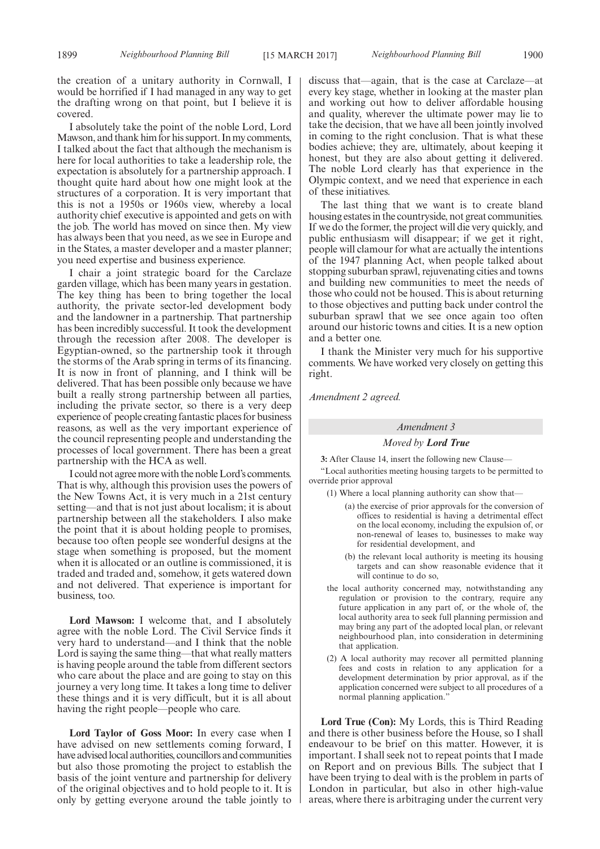the creation of a unitary authority in Cornwall, I would be horrified if I had managed in any way to get the drafting wrong on that point, but I believe it is covered.

I absolutely take the point of the noble Lord, Lord Mawson, and thank him for his support. In my comments, I talked about the fact that although the mechanism is here for local authorities to take a leadership role, the expectation is absolutely for a partnership approach. I thought quite hard about how one might look at the structures of a corporation. It is very important that this is not a 1950s or 1960s view, whereby a local authority chief executive is appointed and gets on with the job. The world has moved on since then. My view has always been that you need, as we see in Europe and in the States, a master developer and a master planner; you need expertise and business experience.

I chair a joint strategic board for the Carclaze garden village, which has been many years in gestation. The key thing has been to bring together the local authority, the private sector-led development body and the landowner in a partnership. That partnership has been incredibly successful. It took the development through the recession after 2008. The developer is Egyptian-owned, so the partnership took it through the storms of the Arab spring in terms of its financing. It is now in front of planning, and I think will be delivered. That has been possible only because we have built a really strong partnership between all parties, including the private sector, so there is a very deep experience of people creating fantastic places for business reasons, as well as the very important experience of the council representing people and understanding the processes of local government. There has been a great partnership with the HCA as well.

I could not agree more with the noble Lord's comments. That is why, although this provision uses the powers of the New Towns Act, it is very much in a 21st century setting—and that is not just about localism; it is about partnership between all the stakeholders. I also make the point that it is about holding people to promises, because too often people see wonderful designs at the stage when something is proposed, but the moment when it is allocated or an outline is commissioned, it is traded and traded and, somehow, it gets watered down and not delivered. That experience is important for business, too.

**Lord Mawson:** I welcome that, and I absolutely agree with the noble Lord. The Civil Service finds it very hard to understand—and I think that the noble Lord is saying the same thing—that what really matters is having people around the table from different sectors who care about the place and are going to stay on this journey a very long time. It takes a long time to deliver these things and it is very difficult, but it is all about having the right people—people who care.

**Lord Taylor of Goss Moor:** In every case when I have advised on new settlements coming forward, I have advised local authorities, councillors and communities but also those promoting the project to establish the basis of the joint venture and partnership for delivery of the original objectives and to hold people to it. It is only by getting everyone around the table jointly to discuss that—again, that is the case at Carclaze—at every key stage, whether in looking at the master plan and working out how to deliver affordable housing and quality, wherever the ultimate power may lie to take the decision, that we have all been jointly involved in coming to the right conclusion. That is what these bodies achieve; they are, ultimately, about keeping it honest, but they are also about getting it delivered. The noble Lord clearly has that experience in the Olympic context, and we need that experience in each of these initiatives.

The last thing that we want is to create bland housing estates in the countryside, not great communities. If we do the former, the project will die very quickly, and public enthusiasm will disappear; if we get it right, people will clamour for what are actually the intentions of the 1947 planning Act, when people talked about stopping suburban sprawl, rejuvenating cities and towns and building new communities to meet the needs of those who could not be housed. This is about returning to those objectives and putting back under control the suburban sprawl that we see once again too often around our historic towns and cities. It is a new option and a better one.

I thank the Minister very much for his supportive comments. We have worked very closely on getting this right.

*Amendment 2 agreed.*

#### *Amendment 3*

#### *Moved by Lord True*

**3:** After Clause 14, insert the following new Clause—

"Local authorities meeting housing targets to be permitted to override prior approval

- (1) Where a local planning authority can show that—
	- (a) the exercise of prior approvals for the conversion of offices to residential is having a detrimental effect on the local economy, including the expulsion of, or non-renewal of leases to, businesses to make way for residential development, and
	- (b) the relevant local authority is meeting its housing targets and can show reasonable evidence that it will continue to do so,
- the local authority concerned may, notwithstanding any regulation or provision to the contrary, require any future application in any part of, or the whole of, the local authority area to seek full planning permission and may bring any part of the adopted local plan, or relevant neighbourhood plan, into consideration in determining that application.
- (2) A local authority may recover all permitted planning fees and costs in relation to any application for a development determination by prior approval, as if the application concerned were subject to all procedures of a normal planning application."

**Lord True (Con):** My Lords, this is Third Reading and there is other business before the House, so I shall endeavour to be brief on this matter. However, it is important. I shall seek not to repeat points that I made on Report and on previous Bills. The subject that I have been trying to deal with is the problem in parts of London in particular, but also in other high-value areas, where there is arbitraging under the current very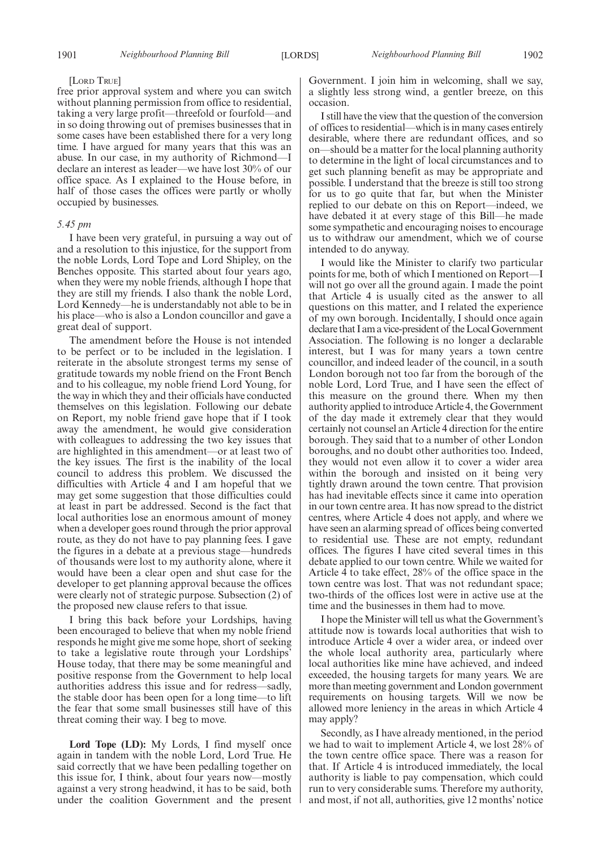#### [LORD TRUE]

free prior approval system and where you can switch without planning permission from office to residential, taking a very large profit—threefold or fourfold—and in so doing throwing out of premises businesses that in some cases have been established there for a very long time. I have argued for many years that this was an abuse. In our case, in my authority of Richmond—I declare an interest as leader—we have lost 30% of our office space. As I explained to the House before, in half of those cases the offices were partly or wholly occupied by businesses.

# *5.45 pm*

I have been very grateful, in pursuing a way out of and a resolution to this injustice, for the support from the noble Lords, Lord Tope and Lord Shipley, on the Benches opposite. This started about four years ago, when they were my noble friends, although I hope that they are still my friends. I also thank the noble Lord, Lord Kennedy—he is understandably not able to be in his place—who is also a London councillor and gave a great deal of support.

The amendment before the House is not intended to be perfect or to be included in the legislation. I reiterate in the absolute strongest terms my sense of gratitude towards my noble friend on the Front Bench and to his colleague, my noble friend Lord Young, for the way in which they and their officials have conducted themselves on this legislation. Following our debate on Report, my noble friend gave hope that if I took away the amendment, he would give consideration with colleagues to addressing the two key issues that are highlighted in this amendment—or at least two of the key issues. The first is the inability of the local council to address this problem. We discussed the difficulties with Article 4 and I am hopeful that we may get some suggestion that those difficulties could at least in part be addressed. Second is the fact that local authorities lose an enormous amount of money when a developer goes round through the prior approval route, as they do not have to pay planning fees. I gave the figures in a debate at a previous stage—hundreds of thousands were lost to my authority alone, where it would have been a clear open and shut case for the developer to get planning approval because the offices were clearly not of strategic purpose. Subsection (2) of the proposed new clause refers to that issue.

I bring this back before your Lordships, having been encouraged to believe that when my noble friend responds he might give me some hope, short of seeking to take a legislative route through your Lordships' House today, that there may be some meaningful and positive response from the Government to help local authorities address this issue and for redress—sadly, the stable door has been open for a long time—to lift the fear that some small businesses still have of this threat coming their way. I beg to move.

**Lord Tope (LD):** My Lords, I find myself once again in tandem with the noble Lord, Lord True. He said correctly that we have been pedalling together on this issue for, I think, about four years now—mostly against a very strong headwind, it has to be said, both under the coalition Government and the present Government. I join him in welcoming, shall we say, a slightly less strong wind, a gentler breeze, on this occasion.

I still have the view that the question of the conversion of offices to residential—which is in many cases entirely desirable, where there are redundant offices, and so on—should be a matter for the local planning authority to determine in the light of local circumstances and to get such planning benefit as may be appropriate and possible. I understand that the breeze is still too strong for us to go quite that far, but when the Minister replied to our debate on this on Report—indeed, we have debated it at every stage of this Bill—he made some sympathetic and encouraging noises to encourage us to withdraw our amendment, which we of course intended to do anyway.

I would like the Minister to clarify two particular points for me, both of which I mentioned on Report—I will not go over all the ground again. I made the point that Article 4 is usually cited as the answer to all questions on this matter, and I related the experience of my own borough. Incidentally, I should once again declare that I am a vice-president of the Local Government Association. The following is no longer a declarable interest, but I was for many years a town centre councillor, and indeed leader of the council, in a south London borough not too far from the borough of the noble Lord, Lord True, and I have seen the effect of this measure on the ground there. When my then authority applied to introduce Article 4, the Government of the day made it extremely clear that they would certainly not counsel an Article 4 direction for the entire borough. They said that to a number of other London boroughs, and no doubt other authorities too. Indeed, they would not even allow it to cover a wider area within the borough and insisted on it being very tightly drawn around the town centre. That provision has had inevitable effects since it came into operation in our town centre area. It has now spread to the district centres, where Article 4 does not apply, and where we have seen an alarming spread of offices being converted to residential use. These are not empty, redundant offices. The figures I have cited several times in this debate applied to our town centre. While we waited for Article 4 to take effect, 28% of the office space in the town centre was lost. That was not redundant space; two-thirds of the offices lost were in active use at the time and the businesses in them had to move.

I hope the Minister will tell us what the Government's attitude now is towards local authorities that wish to introduce Article 4 over a wider area, or indeed over the whole local authority area, particularly where local authorities like mine have achieved, and indeed exceeded, the housing targets for many years. We are more than meeting government and London government requirements on housing targets. Will we now be allowed more leniency in the areas in which Article 4 may apply?

Secondly, as I have already mentioned, in the period we had to wait to implement Article 4, we lost 28% of the town centre office space. There was a reason for that. If Article 4 is introduced immediately, the local authority is liable to pay compensation, which could run to very considerable sums. Therefore my authority, and most, if not all, authorities, give 12 months' notice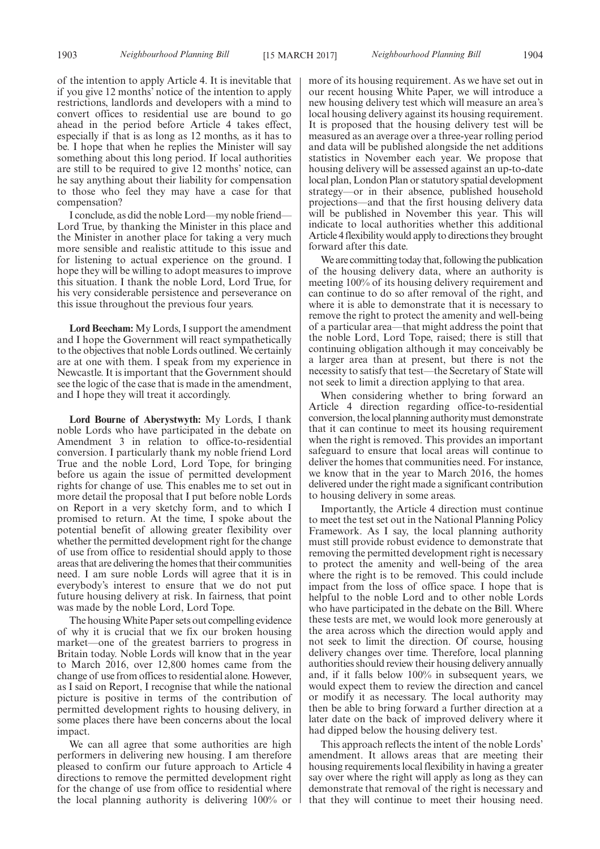of the intention to apply Article 4. It is inevitable that if you give 12 months' notice of the intention to apply restrictions, landlords and developers with a mind to convert offices to residential use are bound to go ahead in the period before Article 4 takes effect, especially if that is as long as 12 months, as it has to be. I hope that when he replies the Minister will say something about this long period. If local authorities are still to be required to give 12 months' notice, can he say anything about their liability for compensation to those who feel they may have a case for that compensation?

I conclude, as did the noble Lord—my noble friend— Lord True, by thanking the Minister in this place and the Minister in another place for taking a very much more sensible and realistic attitude to this issue and for listening to actual experience on the ground. I hope they will be willing to adopt measures to improve this situation. I thank the noble Lord, Lord True, for his very considerable persistence and perseverance on this issue throughout the previous four years.

**Lord Beecham:** My Lords, I support the amendment and I hope the Government will react sympathetically to the objectives that noble Lords outlined. We certainly are at one with them. I speak from my experience in Newcastle. It is important that the Government should see the logic of the case that is made in the amendment, and I hope they will treat it accordingly.

**Lord Bourne of Aberystwyth:** My Lords, I thank noble Lords who have participated in the debate on Amendment 3 in relation to office-to-residential conversion. I particularly thank my noble friend Lord True and the noble Lord, Lord Tope, for bringing before us again the issue of permitted development rights for change of use. This enables me to set out in more detail the proposal that I put before noble Lords on Report in a very sketchy form, and to which I promised to return. At the time, I spoke about the potential benefit of allowing greater flexibility over whether the permitted development right for the change of use from office to residential should apply to those areas that are delivering the homes that their communities need. I am sure noble Lords will agree that it is in everybody's interest to ensure that we do not put future housing delivery at risk. In fairness, that point was made by the noble Lord, Lord Tope.

The housing White Paper sets out compelling evidence of why it is crucial that we fix our broken housing market—one of the greatest barriers to progress in Britain today. Noble Lords will know that in the year to March 2016, over 12,800 homes came from the change of use from offices to residential alone. However, as I said on Report, I recognise that while the national picture is positive in terms of the contribution of permitted development rights to housing delivery, in some places there have been concerns about the local impact.

We can all agree that some authorities are high performers in delivering new housing. I am therefore pleased to confirm our future approach to Article 4 directions to remove the permitted development right for the change of use from office to residential where the local planning authority is delivering 100% or more of its housing requirement. As we have set out in our recent housing White Paper, we will introduce a new housing delivery test which will measure an area's local housing delivery against its housing requirement. It is proposed that the housing delivery test will be measured as an average over a three-year rolling period and data will be published alongside the net additions statistics in November each year. We propose that housing delivery will be assessed against an up-to-date local plan, London Plan or statutory spatial development strategy—or in their absence, published household projections—and that the first housing delivery data will be published in November this year. This will indicate to local authorities whether this additional Article 4 flexibility would apply to directions they brought forward after this date.

We are committing today that, following the publication of the housing delivery data, where an authority is meeting 100% of its housing delivery requirement and can continue to do so after removal of the right, and where it is able to demonstrate that it is necessary to remove the right to protect the amenity and well-being of a particular area—that might address the point that the noble Lord, Lord Tope, raised; there is still that continuing obligation although it may conceivably be a larger area than at present, but there is not the necessity to satisfy that test—the Secretary of State will not seek to limit a direction applying to that area.

When considering whether to bring forward an Article 4 direction regarding office-to-residential conversion, the local planning authority must demonstrate that it can continue to meet its housing requirement when the right is removed. This provides an important safeguard to ensure that local areas will continue to deliver the homes that communities need. For instance, we know that in the year to March 2016, the homes delivered under the right made a significant contribution to housing delivery in some areas.

Importantly, the Article 4 direction must continue to meet the test set out in the National Planning Policy Framework. As I say, the local planning authority must still provide robust evidence to demonstrate that removing the permitted development right is necessary to protect the amenity and well-being of the area where the right is to be removed. This could include impact from the loss of office space. I hope that is helpful to the noble Lord and to other noble Lords who have participated in the debate on the Bill. Where these tests are met, we would look more generously at the area across which the direction would apply and not seek to limit the direction. Of course, housing delivery changes over time. Therefore, local planning authorities should review their housing delivery annually and, if it falls below 100% in subsequent years, we would expect them to review the direction and cancel or modify it as necessary. The local authority may then be able to bring forward a further direction at a later date on the back of improved delivery where it had dipped below the housing delivery test.

This approach reflects the intent of the noble Lords' amendment. It allows areas that are meeting their housing requirements local flexibility in having a greater say over where the right will apply as long as they can demonstrate that removal of the right is necessary and that they will continue to meet their housing need.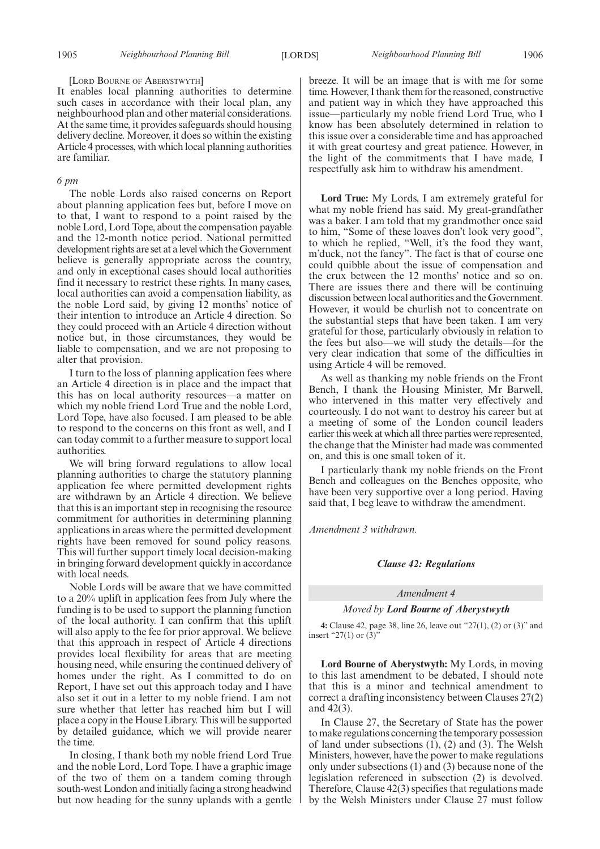#### [LORD BOURNE OF ABERYSTWYTH]

It enables local planning authorities to determine such cases in accordance with their local plan, any neighbourhood plan and other material considerations. At the same time, it provides safeguards should housing delivery decline. Moreover, it does so within the existing Article 4 processes, with which local planning authorities are familiar.

# *6 pm*

The noble Lords also raised concerns on Report about planning application fees but, before I move on to that, I want to respond to a point raised by the noble Lord, Lord Tope, about the compensation payable and the 12-month notice period. National permitted development rights are set at a level which the Government believe is generally appropriate across the country, and only in exceptional cases should local authorities find it necessary to restrict these rights. In many cases, local authorities can avoid a compensation liability, as the noble Lord said, by giving 12 months' notice of their intention to introduce an Article 4 direction. So they could proceed with an Article 4 direction without notice but, in those circumstances, they would be liable to compensation, and we are not proposing to alter that provision.

I turn to the loss of planning application fees where an Article 4 direction is in place and the impact that this has on local authority resources—a matter on which my noble friend Lord True and the noble Lord, Lord Tope, have also focused. I am pleased to be able to respond to the concerns on this front as well, and I can today commit to a further measure to support local authorities.

We will bring forward regulations to allow local planning authorities to charge the statutory planning application fee where permitted development rights are withdrawn by an Article 4 direction. We believe that this is an important step in recognising the resource commitment for authorities in determining planning applications in areas where the permitted development rights have been removed for sound policy reasons. This will further support timely local decision-making in bringing forward development quickly in accordance with local needs.

Noble Lords will be aware that we have committed to a 20% uplift in application fees from July where the funding is to be used to support the planning function of the local authority. I can confirm that this uplift will also apply to the fee for prior approval. We believe that this approach in respect of Article 4 directions provides local flexibility for areas that are meeting housing need, while ensuring the continued delivery of homes under the right. As I committed to do on Report, I have set out this approach today and I have also set it out in a letter to my noble friend. I am not sure whether that letter has reached him but I will place a copy in the House Library. This will be supported by detailed guidance, which we will provide nearer the time.

In closing, I thank both my noble friend Lord True and the noble Lord, Lord Tope. I have a graphic image of the two of them on a tandem coming through south-west London and initially facing a strong headwind but now heading for the sunny uplands with a gentle breeze. It will be an image that is with me for some time. However, I thank them for the reasoned, constructive and patient way in which they have approached this issue—particularly my noble friend Lord True, who I know has been absolutely determined in relation to this issue over a considerable time and has approached it with great courtesy and great patience. However, in the light of the commitments that I have made, I respectfully ask him to withdraw his amendment.

**Lord True:** My Lords, I am extremely grateful for what my noble friend has said. My great-grandfather was a baker. I am told that my grandmother once said to him, "Some of these loaves don't look very good", to which he replied, "Well, it's the food they want, m'duck, not the fancy". The fact is that of course one could quibble about the issue of compensation and the crux between the 12 months' notice and so on. There are issues there and there will be continuing discussion between local authorities and the Government. However, it would be churlish not to concentrate on the substantial steps that have been taken. I am very grateful for those, particularly obviously in relation to the fees but also—we will study the details—for the very clear indication that some of the difficulties in using Article 4 will be removed.

As well as thanking my noble friends on the Front Bench, I thank the Housing Minister, Mr Barwell, who intervened in this matter very effectively and courteously. I do not want to destroy his career but at a meeting of some of the London council leaders earlier this week at which all three parties were represented, the change that the Minister had made was commented on, and this is one small token of it.

I particularly thank my noble friends on the Front Bench and colleagues on the Benches opposite, who have been very supportive over a long period. Having said that, I beg leave to withdraw the amendment.

*Amendment 3 withdrawn.*

#### *Clause 42: Regulations*

#### *Amendment 4*

#### *Moved by Lord Bourne of Aberystwyth*

**4:** Clause 42, page 38, line 26, leave out "27(1), (2) or (3)" and insert "27(1) or (3)"

**Lord Bourne of Aberystwyth:** My Lords, in moving to this last amendment to be debated, I should note that this is a minor and technical amendment to correct a drafting inconsistency between Clauses 27(2) and 42(3).

In Clause 27, the Secretary of State has the power to make regulations concerning the temporary possession of land under subsections (1), (2) and (3). The Welsh Ministers, however, have the power to make regulations only under subsections (1) and (3) because none of the legislation referenced in subsection (2) is devolved. Therefore, Clause 42(3) specifies that regulations made by the Welsh Ministers under Clause 27 must follow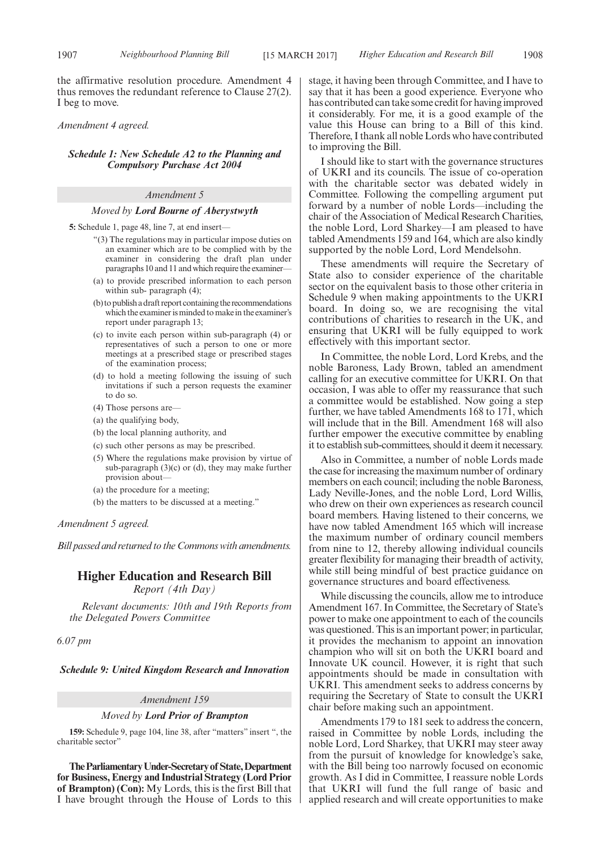the affirmative resolution procedure. Amendment 4 thus removes the redundant reference to Clause 27(2). I beg to move.

*Amendment 4 agreed.*

## *Schedule 1: New Schedule A2 to the Planning and Compulsory Purchase Act 2004*

#### *Amendment 5*

#### *Moved by Lord Bourne of Aberystwyth*

**5:** Schedule 1, page 48, line 7, at end insert—

- "(3) The regulations may in particular impose duties on an examiner which are to be complied with by the examiner in considering the draft plan under paragraphs 10 and 11 and which require the examiner-
- (a) to provide prescribed information to each person within sub- paragraph (4);
- (b) to publish a draft report containing the recommendations which the examiner is minded to make in the examiner's report under paragraph 13;
- (c) to invite each person within sub-paragraph (4) or representatives of such a person to one or more meetings at a prescribed stage or prescribed stages of the examination process;
- (d) to hold a meeting following the issuing of such invitations if such a person requests the examiner to do so.
- (4) Those persons are—
- (a) the qualifying body,
- (b) the local planning authority, and
- (c) such other persons as may be prescribed.
- (5) Where the regulations make provision by virtue of sub-paragraph (3)(c) or (d), they may make further provision about—
- (a) the procedure for a meeting;
- (b) the matters to be discussed at a meeting."

*Amendment 5 agreed.*

*Bill passed and returned to the Commons with amendments.*

# **Higher Education and Research Bill**

*Report (4th Day)*

*Relevant documents: 10th and 19th Reports from the Delegated Powers Committee*

*6.07 pm*

*Schedule 9: United Kingdom Research and Innovation*

#### *Amendment 159*

#### *Moved by Lord Prior of Brampton*

**159:** Schedule 9, page 104, line 38, after "matters" insert ", the charitable sector'

**TheParliamentaryUnder-Secretaryof State,Department for Business, Energy and Industrial Strategy (Lord Prior of Brampton) (Con):** My Lords, this is the first Bill that I have brought through the House of Lords to this stage, it having been through Committee, and I have to say that it has been a good experience. Everyone who has contributed can take some credit for having improved it considerably. For me, it is a good example of the value this House can bring to a Bill of this kind. Therefore, I thank all noble Lords who have contributed to improving the Bill.

I should like to start with the governance structures of UKRI and its councils. The issue of co-operation with the charitable sector was debated widely in Committee. Following the compelling argument put forward by a number of noble Lords—including the chair of the Association of Medical Research Charities, the noble Lord, Lord Sharkey—I am pleased to have tabled Amendments 159 and 164, which are also kindly supported by the noble Lord, Lord Mendelsohn.

These amendments will require the Secretary of State also to consider experience of the charitable sector on the equivalent basis to those other criteria in Schedule 9 when making appointments to the UKRI board. In doing so, we are recognising the vital contributions of charities to research in the UK, and ensuring that UKRI will be fully equipped to work effectively with this important sector.

In Committee, the noble Lord, Lord Krebs, and the noble Baroness, Lady Brown, tabled an amendment calling for an executive committee for UKRI. On that occasion, I was able to offer my reassurance that such a committee would be established. Now going a step further, we have tabled Amendments 168 to 171, which will include that in the Bill. Amendment 168 will also further empower the executive committee by enabling it to establish sub-committees, should it deem it necessary.

Also in Committee, a number of noble Lords made the case for increasing the maximum number of ordinary members on each council; including the noble Baroness, Lady Neville-Jones, and the noble Lord, Lord Willis, who drew on their own experiences as research council board members. Having listened to their concerns, we have now tabled Amendment 165 which will increase the maximum number of ordinary council members from nine to 12, thereby allowing individual councils greater flexibility for managing their breadth of activity, while still being mindful of best practice guidance on governance structures and board effectiveness.

While discussing the councils, allow me to introduce Amendment 167. In Committee, the Secretary of State's power to make one appointment to each of the councils was questioned. This is an important power; in particular, it provides the mechanism to appoint an innovation champion who will sit on both the UKRI board and Innovate UK council. However, it is right that such appointments should be made in consultation with UKRI. This amendment seeks to address concerns by requiring the Secretary of State to consult the UKRI chair before making such an appointment.

Amendments 179 to 181 seek to address the concern, raised in Committee by noble Lords, including the noble Lord, Lord Sharkey, that UKRI may steer away from the pursuit of knowledge for knowledge's sake, with the Bill being too narrowly focused on economic growth. As I did in Committee, I reassure noble Lords that UKRI will fund the full range of basic and applied research and will create opportunities to make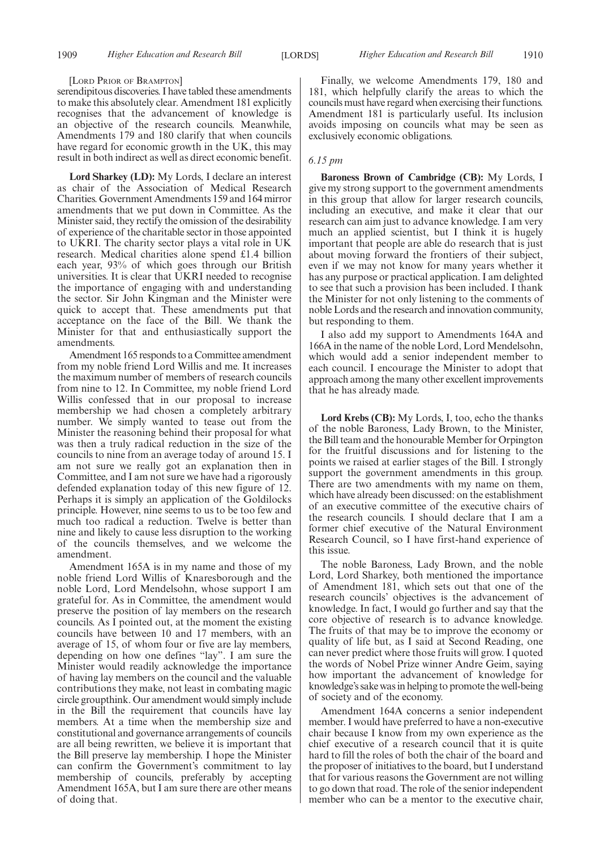#### [LORD PRIOR OF BRAMPTON]

serendipitous discoveries. I have tabled these amendments to make this absolutely clear. Amendment 181 explicitly recognises that the advancement of knowledge is an objective of the research councils. Meanwhile, Amendments 179 and 180 clarify that when councils have regard for economic growth in the UK, this may result in both indirect as well as direct economic benefit.

**Lord Sharkey (LD):** My Lords, I declare an interest as chair of the Association of Medical Research Charities. Government Amendments 159 and 164 mirror amendments that we put down in Committee. As the Minister said, they rectify the omission of the desirability of experience of the charitable sector in those appointed to UKRI. The charity sector plays a vital role in UK research. Medical charities alone spend £1.4 billion each year, 93% of which goes through our British universities. It is clear that UKRI needed to recognise the importance of engaging with and understanding the sector. Sir John Kingman and the Minister were quick to accept that. These amendments put that acceptance on the face of the Bill. We thank the Minister for that and enthusiastically support the amendments.

Amendment 165 responds to a Committee amendment from my noble friend Lord Willis and me. It increases the maximum number of members of research councils from nine to 12. In Committee, my noble friend Lord Willis confessed that in our proposal to increase membership we had chosen a completely arbitrary number. We simply wanted to tease out from the Minister the reasoning behind their proposal for what was then a truly radical reduction in the size of the councils to nine from an average today of around 15. I am not sure we really got an explanation then in Committee, and I am not sure we have had a rigorously defended explanation today of this new figure of 12. Perhaps it is simply an application of the Goldilocks principle. However, nine seems to us to be too few and much too radical a reduction. Twelve is better than nine and likely to cause less disruption to the working of the councils themselves, and we welcome the amendment.

Amendment 165A is in my name and those of my noble friend Lord Willis of Knaresborough and the noble Lord, Lord Mendelsohn, whose support I am grateful for. As in Committee, the amendment would preserve the position of lay members on the research councils. As I pointed out, at the moment the existing councils have between 10 and 17 members, with an average of 15, of whom four or five are lay members, depending on how one defines "lay". I am sure the Minister would readily acknowledge the importance of having lay members on the council and the valuable contributions they make, not least in combating magic circle groupthink. Our amendment would simply include in the Bill the requirement that councils have lay members. At a time when the membership size and constitutional and governance arrangements of councils are all being rewritten, we believe it is important that the Bill preserve lay membership. I hope the Minister can confirm the Government's commitment to lay membership of councils, preferably by accepting Amendment 165A, but I am sure there are other means of doing that.

Finally, we welcome Amendments 179, 180 and 181, which helpfully clarify the areas to which the councils must have regard when exercising their functions. Amendment 181 is particularly useful. Its inclusion avoids imposing on councils what may be seen as exclusively economic obligations.

# *6.15 pm*

**Baroness Brown of Cambridge (CB):** My Lords, I give my strong support to the government amendments in this group that allow for larger research councils, including an executive, and make it clear that our research can aim just to advance knowledge. I am very much an applied scientist, but I think it is hugely important that people are able do research that is just about moving forward the frontiers of their subject, even if we may not know for many years whether it has any purpose or practical application. I am delighted to see that such a provision has been included. I thank the Minister for not only listening to the comments of noble Lords and the research and innovation community, but responding to them.

I also add my support to Amendments 164A and 166A in the name of the noble Lord, Lord Mendelsohn, which would add a senior independent member to each council. I encourage the Minister to adopt that approach among the many other excellent improvements that he has already made.

**Lord Krebs (CB):** My Lords, I, too, echo the thanks of the noble Baroness, Lady Brown, to the Minister, the Bill team and the honourable Member for Orpington for the fruitful discussions and for listening to the points we raised at earlier stages of the Bill. I strongly support the government amendments in this group. There are two amendments with my name on them, which have already been discussed: on the establishment of an executive committee of the executive chairs of the research councils. I should declare that I am a former chief executive of the Natural Environment Research Council, so I have first-hand experience of this issue.

The noble Baroness, Lady Brown, and the noble Lord, Lord Sharkey, both mentioned the importance of Amendment 181, which sets out that one of the research councils' objectives is the advancement of knowledge. In fact, I would go further and say that the core objective of research is to advance knowledge. The fruits of that may be to improve the economy or quality of life but, as I said at Second Reading, one can never predict where those fruits will grow. I quoted the words of Nobel Prize winner Andre Geim, saying how important the advancement of knowledge for knowledge's sake was in helping to promote the well-being of society and of the economy.

Amendment 164A concerns a senior independent member. I would have preferred to have a non-executive chair because I know from my own experience as the chief executive of a research council that it is quite hard to fill the roles of both the chair of the board and the proposer of initiatives to the board, but I understand that for various reasons the Government are not willing to go down that road. The role of the senior independent member who can be a mentor to the executive chair,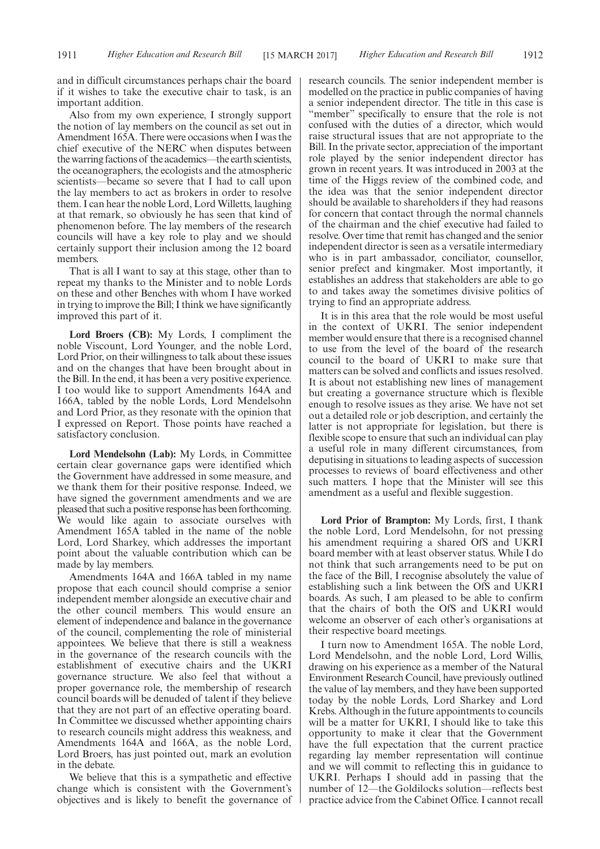and in difficult circumstances perhaps chair the board if it wishes to take the executive chair to task, is an important addition.

Also from my own experience, I strongly support the notion of lay members on the council as set out in Amendment 165A. There were occasions when I was the chief executive of the NERC when disputes between the warring factions of the academics—the earth scientists, the oceanographers, the ecologists and the atmospheric scientists—became so severe that I had to call upon the lay members to act as brokers in order to resolve them. I can hear the noble Lord, Lord Willetts, laughing at that remark, so obviously he has seen that kind of phenomenon before. The lay members of the research councils will have a key role to play and we should certainly support their inclusion among the 12 board members.

That is all I want to say at this stage, other than to repeat my thanks to the Minister and to noble Lords on these and other Benches with whom I have worked in trying to improve the Bill; I think we have significantly improved this part of it.

**Lord Broers (CB):** My Lords, I compliment the noble Viscount, Lord Younger, and the noble Lord, Lord Prior, on their willingness to talk about these issues and on the changes that have been brought about in the Bill. In the end, it has been a very positive experience. I too would like to support Amendments 164A and 166A, tabled by the noble Lords, Lord Mendelsohn and Lord Prior, as they resonate with the opinion that I expressed on Report. Those points have reached a satisfactory conclusion.

**Lord Mendelsohn (Lab):** My Lords, in Committee certain clear governance gaps were identified which the Government have addressed in some measure, and we thank them for their positive response. Indeed, we have signed the government amendments and we are pleased that such a positive response has been forthcoming. We would like again to associate ourselves with Amendment 165A tabled in the name of the noble Lord, Lord Sharkey, which addresses the important point about the valuable contribution which can be made by lay members.

Amendments 164A and 166A tabled in my name propose that each council should comprise a senior independent member alongside an executive chair and the other council members. This would ensure an element of independence and balance in the governance of the council, complementing the role of ministerial appointees. We believe that there is still a weakness in the governance of the research councils with the establishment of executive chairs and the UKRI governance structure. We also feel that without a proper governance role, the membership of research council boards will be denuded of talent if they believe that they are not part of an effective operating board. In Committee we discussed whether appointing chairs to research councils might address this weakness, and Amendments 164A and 166A, as the noble Lord, Lord Broers, has just pointed out, mark an evolution in the debate.

We believe that this is a sympathetic and effective change which is consistent with the Government's objectives and is likely to benefit the governance of research councils. The senior independent member is modelled on the practice in public companies of having a senior independent director. The title in this case is "member" specifically to ensure that the role is not confused with the duties of a director, which would raise structural issues that are not appropriate to the Bill. In the private sector, appreciation of the important role played by the senior independent director has grown in recent years. It was introduced in 2003 at the time of the Higgs review of the combined code, and the idea was that the senior independent director should be available to shareholders if they had reasons for concern that contact through the normal channels of the chairman and the chief executive had failed to resolve. Over time that remit has changed and the senior independent director is seen as a versatile intermediary who is in part ambassador, conciliator, counsellor, senior prefect and kingmaker. Most importantly, it establishes an address that stakeholders are able to go to and takes away the sometimes divisive politics of trying to find an appropriate address.

It is in this area that the role would be most useful in the context of UKRI. The senior independent member would ensure that there is a recognised channel to use from the level of the board of the research council to the board of UKRI to make sure that matters can be solved and conflicts and issues resolved. It is about not establishing new lines of management but creating a governance structure which is flexible enough to resolve issues as they arise. We have not set out a detailed role or job description, and certainly the latter is not appropriate for legislation, but there is flexible scope to ensure that such an individual can play a useful role in many different circumstances, from deputising in situations to leading aspects of succession processes to reviews of board effectiveness and other such matters. I hope that the Minister will see this amendment as a useful and flexible suggestion.

**Lord Prior of Brampton:** My Lords, first, I thank the noble Lord, Lord Mendelsohn, for not pressing his amendment requiring a shared OfS and UKRI board member with at least observer status. While I do not think that such arrangements need to be put on the face of the Bill, I recognise absolutely the value of establishing such a link between the OfS and UKRI boards. As such, I am pleased to be able to confirm that the chairs of both the OfS and UKRI would welcome an observer of each other's organisations at their respective board meetings.

I turn now to Amendment 165A. The noble Lord, Lord Mendelsohn, and the noble Lord, Lord Willis, drawing on his experience as a member of the Natural Environment Research Council, have previously outlined the value of lay members, and they have been supported today by the noble Lords, Lord Sharkey and Lord Krebs. Although in the future appointments to councils will be a matter for UKRI, I should like to take this opportunity to make it clear that the Government have the full expectation that the current practice regarding lay member representation will continue and we will commit to reflecting this in guidance to UKRI. Perhaps I should add in passing that the number of 12—the Goldilocks solution—reflects best practice advice from the Cabinet Office. I cannot recall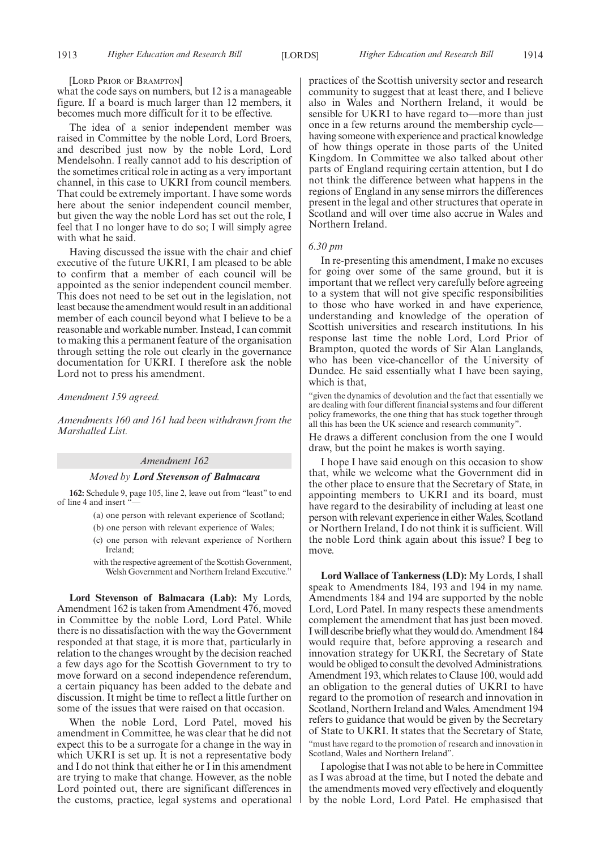#### [LORD PRIOR OF BRAMPTON]

what the code says on numbers, but 12 is a manageable figure. If a board is much larger than 12 members, it becomes much more difficult for it to be effective.

The idea of a senior independent member was raised in Committee by the noble Lord, Lord Broers, and described just now by the noble Lord, Lord Mendelsohn. I really cannot add to his description of the sometimes critical role in acting as a very important channel, in this case to UKRI from council members. That could be extremely important. I have some words here about the senior independent council member, but given the way the noble Lord has set out the role, I feel that I no longer have to do so; I will simply agree with what he said.

Having discussed the issue with the chair and chief executive of the future UKRI, I am pleased to be able to confirm that a member of each council will be appointed as the senior independent council member. This does not need to be set out in the legislation, not least because the amendment would result in an additional member of each council beyond what I believe to be a reasonable and workable number. Instead, I can commit to making this a permanent feature of the organisation through setting the role out clearly in the governance documentation for UKRI. I therefore ask the noble Lord not to press his amendment.

### *Amendment 159 agreed.*

*Amendments 160 and 161 had been withdrawn from the Marshalled List.*

#### *Amendment 162*

#### *Moved by Lord Stevenson of Balmacara*

**162:** Schedule 9, page 105, line 2, leave out from "least" to end of line 4 and insert '

- (a) one person with relevant experience of Scotland;
- (b) one person with relevant experience of Wales;
- (c) one person with relevant experience of Northern Ireland;
- with the respective agreement of the Scottish Government, Welsh Government and Northern Ireland Executive.'

**Lord Stevenson of Balmacara (Lab):** My Lords, Amendment 162 is taken from Amendment 476, moved in Committee by the noble Lord, Lord Patel. While there is no dissatisfaction with the way the Government responded at that stage, it is more that, particularly in relation to the changes wrought by the decision reached a few days ago for the Scottish Government to try to move forward on a second independence referendum, a certain piquancy has been added to the debate and discussion. It might be time to reflect a little further on some of the issues that were raised on that occasion.

When the noble Lord, Lord Patel, moved his amendment in Committee, he was clear that he did not expect this to be a surrogate for a change in the way in which UKRI is set up. It is not a representative body and I do not think that either he or I in this amendment are trying to make that change. However, as the noble Lord pointed out, there are significant differences in the customs, practice, legal systems and operational practices of the Scottish university sector and research community to suggest that at least there, and I believe also in Wales and Northern Ireland, it would be sensible for UKRI to have regard to—more than just once in a few returns around the membership cycle having someone with experience and practical knowledge of how things operate in those parts of the United Kingdom. In Committee we also talked about other parts of England requiring certain attention, but I do not think the difference between what happens in the regions of England in any sense mirrors the differences present in the legal and other structures that operate in Scotland and will over time also accrue in Wales and Northern Ireland.

# *6.30 pm*

In re-presenting this amendment, I make no excuses for going over some of the same ground, but it is important that we reflect very carefully before agreeing to a system that will not give specific responsibilities to those who have worked in and have experience, understanding and knowledge of the operation of Scottish universities and research institutions. In his response last time the noble Lord, Lord Prior of Brampton, quoted the words of Sir Alan Langlands, who has been vice-chancellor of the University of Dundee. He said essentially what I have been saying, which is that,

"given the dynamics of devolution and the fact that essentially we are dealing with four different financial systems and four different policy frameworks, the one thing that has stuck together through all this has been the UK science and research community".

He draws a different conclusion from the one I would draw, but the point he makes is worth saying.

I hope I have said enough on this occasion to show that, while we welcome what the Government did in the other place to ensure that the Secretary of State, in appointing members to UKRI and its board, must have regard to the desirability of including at least one person with relevant experience in either Wales, Scotland or Northern Ireland, I do not think it is sufficient. Will the noble Lord think again about this issue? I beg to move.

**Lord Wallace of Tankerness (LD):** My Lords, I shall speak to Amendments 184, 193 and 194 in my name. Amendments 184 and 194 are supported by the noble Lord, Lord Patel. In many respects these amendments complement the amendment that has just been moved. I will describe briefly what they would do. Amendment 184 would require that, before approving a research and innovation strategy for UKRI, the Secretary of State would be obliged to consult the devolved Administrations. Amendment 193, which relates to Clause 100, would add an obligation to the general duties of UKRI to have regard to the promotion of research and innovation in Scotland, Northern Ireland and Wales. Amendment 194 refers to guidance that would be given by the Secretary of State to UKRI. It states that the Secretary of State, "must have regard to the promotion of research and innovation in Scotland, Wales and Northern Ireland".

I apologise that I was not able to be here in Committee as I was abroad at the time, but I noted the debate and the amendments moved very effectively and eloquently by the noble Lord, Lord Patel. He emphasised that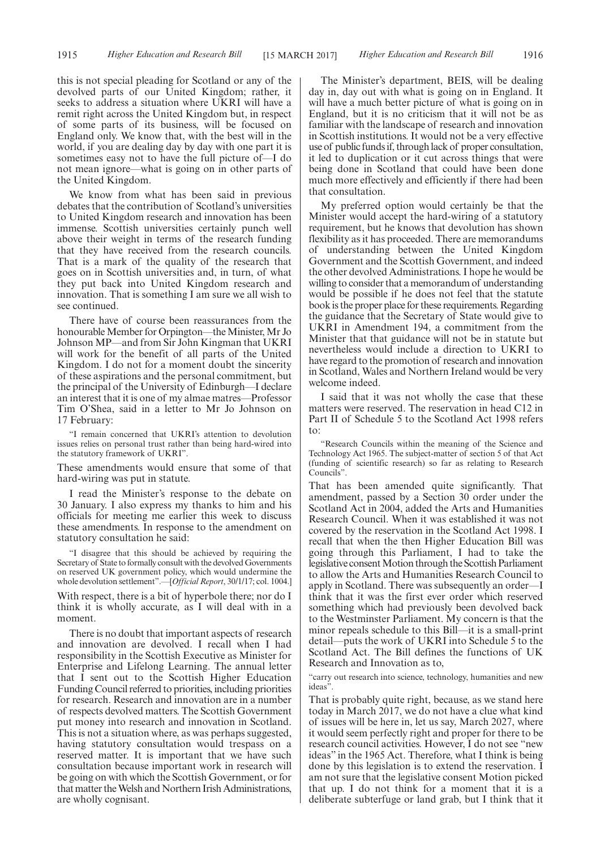this is not special pleading for Scotland or any of the devolved parts of our United Kingdom; rather, it seeks to address a situation where UKRI will have a remit right across the United Kingdom but, in respect of some parts of its business, will be focused on England only. We know that, with the best will in the world, if you are dealing day by day with one part it is sometimes easy not to have the full picture of—I do not mean ignore—what is going on in other parts of the United Kingdom.

We know from what has been said in previous debates that the contribution of Scotland's universities to United Kingdom research and innovation has been immense. Scottish universities certainly punch well above their weight in terms of the research funding that they have received from the research councils. That is a mark of the quality of the research that goes on in Scottish universities and, in turn, of what they put back into United Kingdom research and innovation. That is something I am sure we all wish to see continued.

There have of course been reassurances from the honourable Member for Orpington—the Minister, Mr Jo Johnson MP—and from Sir John Kingman that UKRI will work for the benefit of all parts of the United Kingdom. I do not for a moment doubt the sincerity of these aspirations and the personal commitment, but the principal of the University of Edinburgh—I declare an interest that it is one of my almae matres—Professor Tim O'Shea, said in a letter to Mr Jo Johnson on 17 February:

"I remain concerned that UKRI's attention to devolution issues relies on personal trust rather than being hard-wired into the statutory framework of UKRI".

These amendments would ensure that some of that hard-wiring was put in statute.

I read the Minister's response to the debate on 30 January. I also express my thanks to him and his officials for meeting me earlier this week to discuss these amendments. In response to the amendment on statutory consultation he said:

"I disagree that this should be achieved by requiring the Secretary of State to formally consult with the devolved Governments on reserved UK government policy, which would undermine the whole devolution settlement".—[*Official Report*, 30/1/17; col. 1004.]

With respect, there is a bit of hyperbole there; nor do I think it is wholly accurate, as I will deal with in a moment.

There is no doubt that important aspects of research and innovation are devolved. I recall when I had responsibility in the Scottish Executive as Minister for Enterprise and Lifelong Learning. The annual letter that I sent out to the Scottish Higher Education Funding Council referred to priorities, including priorities for research. Research and innovation are in a number of respects devolved matters. The Scottish Government put money into research and innovation in Scotland. This is not a situation where, as was perhaps suggested, having statutory consultation would trespass on a reserved matter. It is important that we have such consultation because important work in research will be going on with which the Scottish Government, or for that matter the Welsh and Northern Irish Administrations, are wholly cognisant.

The Minister's department, BEIS, will be dealing day in, day out with what is going on in England. It will have a much better picture of what is going on in England, but it is no criticism that it will not be as familiar with the landscape of research and innovation in Scottish institutions. It would not be a very effective use of public funds if, through lack of proper consultation, it led to duplication or it cut across things that were being done in Scotland that could have been done much more effectively and efficiently if there had been that consultation.

My preferred option would certainly be that the Minister would accept the hard-wiring of a statutory requirement, but he knows that devolution has shown flexibility as it has proceeded. There are memorandums of understanding between the United Kingdom Government and the Scottish Government, and indeed the other devolved Administrations. I hope he would be willing to consider that a memorandum of understanding would be possible if he does not feel that the statute book is the proper place for these requirements. Regarding the guidance that the Secretary of State would give to UKRI in Amendment 194, a commitment from the Minister that that guidance will not be in statute but nevertheless would include a direction to UKRI to have regard to the promotion of research and innovation in Scotland, Wales and Northern Ireland would be very welcome indeed.

I said that it was not wholly the case that these matters were reserved. The reservation in head C12 in Part II of Schedule 5 to the Scotland Act 1998 refers to:

"Research Councils within the meaning of the Science and Technology Act 1965. The subject-matter of section 5 of that Act (funding of scientific research) so far as relating to Research Councils".

That has been amended quite significantly. That amendment, passed by a Section 30 order under the Scotland Act in 2004, added the Arts and Humanities Research Council. When it was established it was not covered by the reservation in the Scotland Act 1998. I recall that when the then Higher Education Bill was going through this Parliament, I had to take the legislative consent Motion through the Scottish Parliament to allow the Arts and Humanities Research Council to apply in Scotland. There was subsequently an order—I think that it was the first ever order which reserved something which had previously been devolved back to the Westminster Parliament. My concern is that the minor repeals schedule to this Bill—it is a small-print detail—puts the work of UKRI into Schedule 5 to the Scotland Act. The Bill defines the functions of UK Research and Innovation as to,

"carry out research into science, technology, humanities and new ideas".

That is probably quite right, because, as we stand here today in March 2017, we do not have a clue what kind of issues will be here in, let us say, March 2027, where it would seem perfectly right and proper for there to be research council activities. However, I do not see "new ideas" in the 1965 Act. Therefore, what I think is being done by this legislation is to extend the reservation. I am not sure that the legislative consent Motion picked that up. I do not think for a moment that it is a deliberate subterfuge or land grab, but I think that it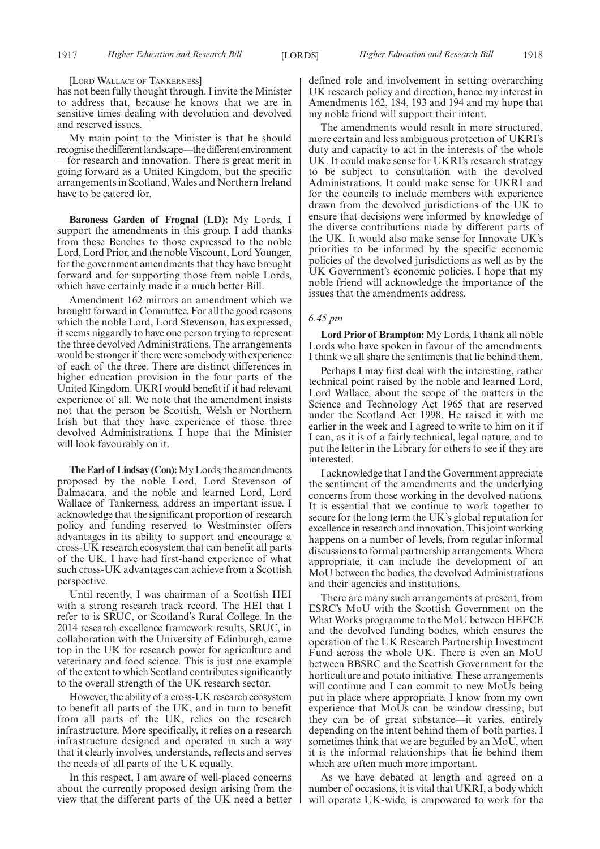#### [LORD WALLACE OF TANKERNESS]

has not been fully thought through. I invite the Minister to address that, because he knows that we are in sensitive times dealing with devolution and devolved and reserved issues.

My main point to the Minister is that he should recognise the different landscape—the different environment —for research and innovation. There is great merit in going forward as a United Kingdom, but the specific arrangements in Scotland, Wales and Northern Ireland have to be catered for.

**Baroness Garden of Frognal (LD):** My Lords, I support the amendments in this group. I add thanks from these Benches to those expressed to the noble Lord, Lord Prior, and the noble Viscount, Lord Younger, for the government amendments that they have brought forward and for supporting those from noble Lords, which have certainly made it a much better Bill.

Amendment 162 mirrors an amendment which we brought forward in Committee. For all the good reasons which the noble Lord, Lord Stevenson, has expressed, it seems niggardly to have one person trying to represent the three devolved Administrations. The arrangements would be stronger if there were somebody with experience of each of the three. There are distinct differences in higher education provision in the four parts of the United Kingdom. UKRI would benefit if it had relevant experience of all. We note that the amendment insists not that the person be Scottish, Welsh or Northern Irish but that they have experience of those three devolved Administrations. I hope that the Minister will look favourably on it.

**The Earl of Lindsay (Con):**My Lords, the amendments proposed by the noble Lord, Lord Stevenson of Balmacara, and the noble and learned Lord, Lord Wallace of Tankerness, address an important issue. I acknowledge that the significant proportion of research policy and funding reserved to Westminster offers advantages in its ability to support and encourage a cross-UK research ecosystem that can benefit all parts of the UK. I have had first-hand experience of what such cross-UK advantages can achieve from a Scottish perspective.

Until recently, I was chairman of a Scottish HEI with a strong research track record. The HEI that I refer to is SRUC, or Scotland's Rural College. In the 2014 research excellence framework results, SRUC, in collaboration with the University of Edinburgh, came top in the UK for research power for agriculture and veterinary and food science. This is just one example of the extent to which Scotland contributes significantly to the overall strength of the UK research sector.

However, the ability of a cross-UK research ecosystem to benefit all parts of the UK, and in turn to benefit from all parts of the UK, relies on the research infrastructure. More specifically, it relies on a research infrastructure designed and operated in such a way that it clearly involves, understands, reflects and serves the needs of all parts of the UK equally.

In this respect, I am aware of well-placed concerns about the currently proposed design arising from the view that the different parts of the UK need a better defined role and involvement in setting overarching UK research policy and direction, hence my interest in Amendments 162, 184, 193 and 194 and my hope that my noble friend will support their intent.

The amendments would result in more structured, more certain and less ambiguous protection of UKRI's duty and capacity to act in the interests of the whole UK. It could make sense for UKRI's research strategy to be subject to consultation with the devolved Administrations. It could make sense for UKRI and for the councils to include members with experience drawn from the devolved jurisdictions of the UK to ensure that decisions were informed by knowledge of the diverse contributions made by different parts of the UK. It would also make sense for Innovate UK's priorities to be informed by the specific economic policies of the devolved jurisdictions as well as by the UK Government's economic policies. I hope that my noble friend will acknowledge the importance of the issues that the amendments address.

#### *6.45 pm*

**Lord Prior of Brampton:** My Lords, I thank all noble Lords who have spoken in favour of the amendments. I think we all share the sentiments that lie behind them.

Perhaps I may first deal with the interesting, rather technical point raised by the noble and learned Lord, Lord Wallace, about the scope of the matters in the Science and Technology Act 1965 that are reserved under the Scotland Act 1998. He raised it with me earlier in the week and I agreed to write to him on it if I can, as it is of a fairly technical, legal nature, and to put the letter in the Library for others to see if they are interested.

I acknowledge that I and the Government appreciate the sentiment of the amendments and the underlying concerns from those working in the devolved nations. It is essential that we continue to work together to secure for the long term the UK's global reputation for excellence in research and innovation. This joint working happens on a number of levels, from regular informal discussions to formal partnership arrangements. Where appropriate, it can include the development of an MoU between the bodies, the devolved Administrations and their agencies and institutions.

There are many such arrangements at present, from ESRC's MoU with the Scottish Government on the What Works programme to the MoU between HEFCE and the devolved funding bodies, which ensures the operation of the UK Research Partnership Investment Fund across the whole UK. There is even an MoU between BBSRC and the Scottish Government for the horticulture and potato initiative. These arrangements will continue and I can commit to new MoUs being put in place where appropriate. I know from my own experience that MoUs can be window dressing, but they can be of great substance—it varies, entirely depending on the intent behind them of both parties. I sometimes think that we are beguiled by an MoU, when it is the informal relationships that lie behind them which are often much more important.

As we have debated at length and agreed on a number of occasions, it is vital that UKRI, a body which will operate UK-wide, is empowered to work for the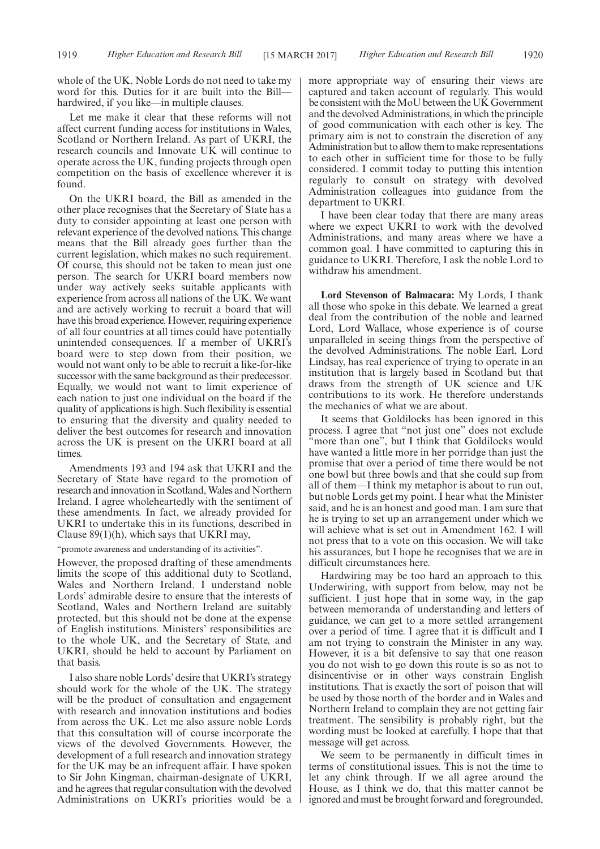whole of the UK. Noble Lords do not need to take my word for this. Duties for it are built into the Bill hardwired, if you like—in multiple clauses.

Let me make it clear that these reforms will not affect current funding access for institutions in Wales, Scotland or Northern Ireland. As part of UKRI, the research councils and Innovate UK will continue to operate across the UK, funding projects through open competition on the basis of excellence wherever it is found.

On the UKRI board, the Bill as amended in the other place recognises that the Secretary of State has a duty to consider appointing at least one person with relevant experience of the devolved nations. This change means that the Bill already goes further than the current legislation, which makes no such requirement. Of course, this should not be taken to mean just one person. The search for UKRI board members now under way actively seeks suitable applicants with experience from across all nations of the UK. We want and are actively working to recruit a board that will have this broad experience. However, requiring experience of all four countries at all times could have potentially unintended consequences. If a member of UKRI's board were to step down from their position, we would not want only to be able to recruit a like-for-like successor with the same background as their predecessor. Equally, we would not want to limit experience of each nation to just one individual on the board if the quality of applications is high. Such flexibility is essential to ensuring that the diversity and quality needed to deliver the best outcomes for research and innovation across the UK is present on the UKRI board at all times.

Amendments 193 and 194 ask that UKRI and the Secretary of State have regard to the promotion of research and innovation in Scotland, Wales and Northern Ireland. I agree wholeheartedly with the sentiment of these amendments. In fact, we already provided for UKRI to undertake this in its functions, described in Clause 89(1)(h), which says that UKRI may,

"promote awareness and understanding of its activities".

However, the proposed drafting of these amendments limits the scope of this additional duty to Scotland, Wales and Northern Ireland. I understand noble Lords' admirable desire to ensure that the interests of Scotland, Wales and Northern Ireland are suitably protected, but this should not be done at the expense of English institutions. Ministers' responsibilities are to the whole UK, and the Secretary of State, and UKRI, should be held to account by Parliament on that basis.

I also share noble Lords' desire that UKRI's strategy should work for the whole of the UK. The strategy will be the product of consultation and engagement with research and innovation institutions and bodies from across the UK. Let me also assure noble Lords that this consultation will of course incorporate the views of the devolved Governments. However, the development of a full research and innovation strategy for the UK may be an infrequent affair. I have spoken to Sir John Kingman, chairman-designate of UKRI, and he agrees that regular consultation with the devolved Administrations on UKRI's priorities would be a more appropriate way of ensuring their views are captured and taken account of regularly. This would be consistent with the MoU between the UK Government and the devolved Administrations, in which the principle of good communication with each other is key. The primary aim is not to constrain the discretion of any Administration but to allow them to make representations to each other in sufficient time for those to be fully considered. I commit today to putting this intention regularly to consult on strategy with devolved Administration colleagues into guidance from the department to UKRI.

I have been clear today that there are many areas where we expect UKRI to work with the devolved Administrations, and many areas where we have a common goal. I have committed to capturing this in guidance to UKRI. Therefore, I ask the noble Lord to withdraw his amendment.

**Lord Stevenson of Balmacara:** My Lords, I thank all those who spoke in this debate. We learned a great deal from the contribution of the noble and learned Lord, Lord Wallace, whose experience is of course unparalleled in seeing things from the perspective of the devolved Administrations. The noble Earl, Lord Lindsay, has real experience of trying to operate in an institution that is largely based in Scotland but that draws from the strength of UK science and UK contributions to its work. He therefore understands the mechanics of what we are about.

It seems that Goldilocks has been ignored in this process. I agree that "not just one" does not exclude 'more than one", but I think that Goldilocks would have wanted a little more in her porridge than just the promise that over a period of time there would be not one bowl but three bowls and that she could sup from all of them—I think my metaphor is about to run out, but noble Lords get my point. I hear what the Minister said, and he is an honest and good man. I am sure that he is trying to set up an arrangement under which we will achieve what is set out in Amendment 162. I will not press that to a vote on this occasion. We will take his assurances, but I hope he recognises that we are in difficult circumstances here.

Hardwiring may be too hard an approach to this. Underwiring, with support from below, may not be sufficient. I just hope that in some way, in the gap between memoranda of understanding and letters of guidance, we can get to a more settled arrangement over a period of time. I agree that it is difficult and I am not trying to constrain the Minister in any way. However, it is a bit defensive to say that one reason you do not wish to go down this route is so as not to disincentivise or in other ways constrain English institutions. That is exactly the sort of poison that will be used by those north of the border and in Wales and Northern Ireland to complain they are not getting fair treatment. The sensibility is probably right, but the wording must be looked at carefully. I hope that that message will get across.

We seem to be permanently in difficult times in terms of constitutional issues. This is not the time to let any chink through. If we all agree around the House, as I think we do, that this matter cannot be ignored and must be brought forward and foregrounded,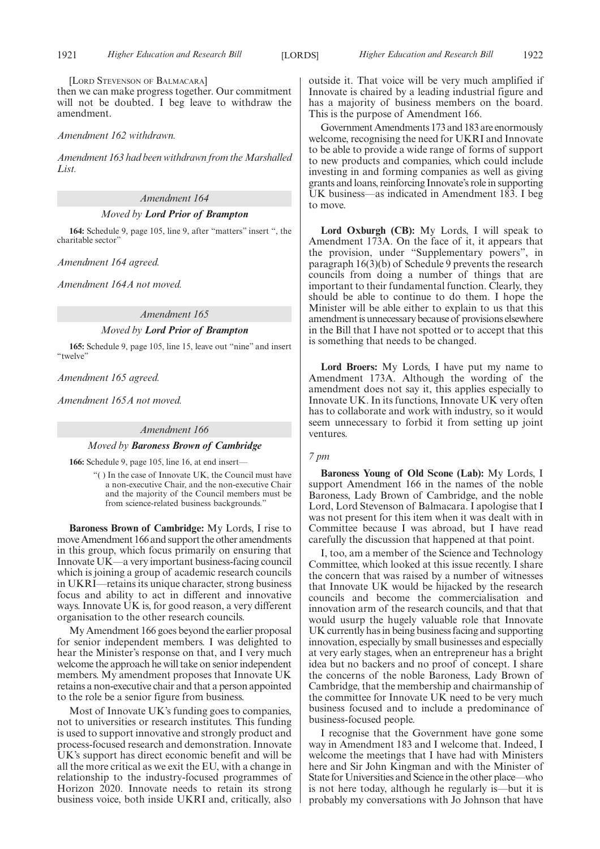[LORD STEVENSON OF BALMACARA]

then we can make progress together. Our commitment will not be doubted. I beg leave to withdraw the amendment.

#### *Amendment 162 withdrawn.*

*Amendment 163 had been withdrawn from the Marshalled List.*

*Amendment 164*

#### *Moved by Lord Prior of Brampton*

**164:** Schedule 9, page 105, line 9, after "matters" insert ", the charitable sector"

*Amendment 164 agreed.*

*Amendment 164A not moved.*

#### *Amendment 165*

#### *Moved by Lord Prior of Brampton*

**165:** Schedule 9, page 105, line 15, leave out "nine" and insert "twelve"

*Amendment 165 agreed.*

*Amendment 165A not moved.*

#### *Amendment 166*

#### *Moved by Baroness Brown of Cambridge*

**166:** Schedule 9, page 105, line 16, at end insert—

"( ) In the case of Innovate UK, the Council must have a non-executive Chair, and the non-executive Chair and the majority of the Council members must be from science-related business backgrounds."

**Baroness Brown of Cambridge:** My Lords, I rise to move Amendment 166 and support the other amendments in this group, which focus primarily on ensuring that Innovate UK—a very important business-facing council which is joining a group of academic research councils in UKRI—retains its unique character, strong business focus and ability to act in different and innovative ways. Innovate UK is, for good reason, a very different organisation to the other research councils.

My Amendment 166 goes beyond the earlier proposal for senior independent members. I was delighted to hear the Minister's response on that, and I very much welcome the approach he will take on senior independent members. My amendment proposes that Innovate UK retains a non-executive chair and that a person appointed to the role be a senior figure from business.

Most of Innovate UK's funding goes to companies, not to universities or research institutes. This funding is used to support innovative and strongly product and process-focused research and demonstration. Innovate UK's support has direct economic benefit and will be all the more critical as we exit the EU, with a change in relationship to the industry-focused programmes of Horizon 2020. Innovate needs to retain its strong business voice, both inside UKRI and, critically, also outside it. That voice will be very much amplified if Innovate is chaired by a leading industrial figure and has a majority of business members on the board. This is the purpose of Amendment 166.

Government Amendments 173 and 183 are enormously welcome, recognising the need for UKRI and Innovate to be able to provide a wide range of forms of support to new products and companies, which could include investing in and forming companies as well as giving grants and loans, reinforcing Innovate's role in supporting UK business—as indicated in Amendment 183. I beg to move.

**Lord Oxburgh (CB):** My Lords, I will speak to Amendment 173A. On the face of it, it appears that the provision, under "Supplementary powers", in paragraph 16(3)(b) of Schedule 9 prevents the research councils from doing a number of things that are important to their fundamental function. Clearly, they should be able to continue to do them. I hope the Minister will be able either to explain to us that this amendment is unnecessary because of provisions elsewhere in the Bill that I have not spotted or to accept that this is something that needs to be changed.

**Lord Broers:** My Lords, I have put my name to Amendment 173A. Although the wording of the amendment does not say it, this applies especially to Innovate UK. In its functions, Innovate UK very often has to collaborate and work with industry, so it would seem unnecessary to forbid it from setting up joint ventures.

#### *7 pm*

**Baroness Young of Old Scone (Lab):** My Lords, I support Amendment 166 in the names of the noble Baroness, Lady Brown of Cambridge, and the noble Lord, Lord Stevenson of Balmacara. I apologise that I was not present for this item when it was dealt with in Committee because I was abroad, but I have read carefully the discussion that happened at that point.

I, too, am a member of the Science and Technology Committee, which looked at this issue recently. I share the concern that was raised by a number of witnesses that Innovate UK would be hijacked by the research councils and become the commercialisation and innovation arm of the research councils, and that that would usurp the hugely valuable role that Innovate UK currently has in being business facing and supporting innovation, especially by small businesses and especially at very early stages, when an entrepreneur has a bright idea but no backers and no proof of concept. I share the concerns of the noble Baroness, Lady Brown of Cambridge, that the membership and chairmanship of the committee for Innovate UK need to be very much business focused and to include a predominance of business-focused people.

I recognise that the Government have gone some way in Amendment 183 and I welcome that. Indeed, I welcome the meetings that I have had with Ministers here and Sir John Kingman and with the Minister of State for Universities and Science in the other place—who is not here today, although he regularly is—but it is probably my conversations with Jo Johnson that have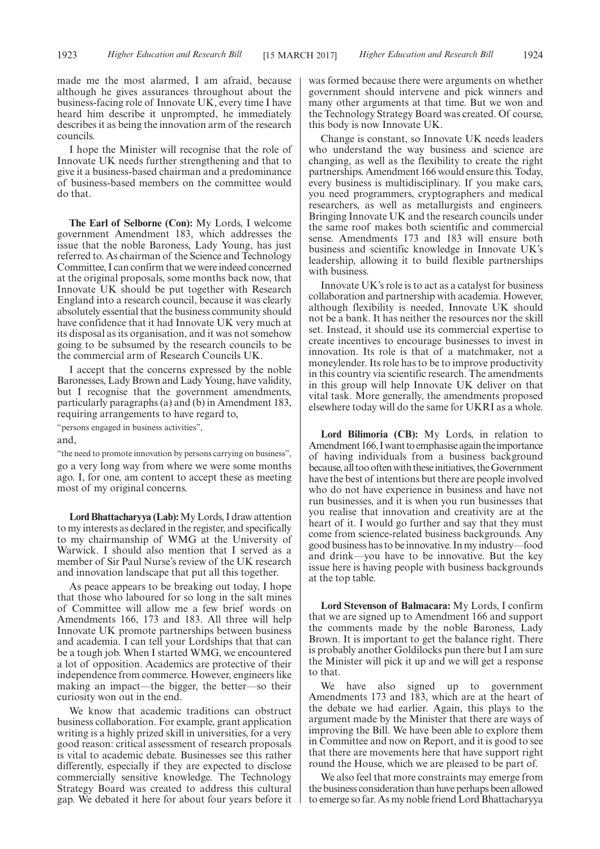made me the most alarmed, I am afraid, because although he gives assurances throughout about the business-facing role of Innovate UK, every time I have heard him describe it unprompted, he immediately describes it as being the innovation arm of the research councils.

I hope the Minister will recognise that the role of Innovate UK needs further strengthening and that to give it a business-based chairman and a predominance of business-based members on the committee would do that.

**The Earl of Selborne (Con):** My Lords, I welcome government Amendment 183, which addresses the issue that the noble Baroness, Lady Young, has just referred to. As chairman of the Science and Technology Committee, I can confirm that we were indeed concerned at the original proposals, some months back now, that Innovate UK should be put together with Research England into a research council, because it was clearly absolutely essential that the business community should have confidence that it had Innovate UK very much at its disposal as its organisation, and it was not somehow going to be subsumed by the research councils to be the commercial arm of Research Councils UK.

I accept that the concerns expressed by the noble Baronesses, Lady Brown and Lady Young, have validity, but I recognise that the government amendments, particularly paragraphs (a) and (b) in Amendment 183, requiring arrangements to have regard to,

"persons engaged in business activities",

and,

"the need to promote innovation by persons carrying on business", go a very long way from where we were some months ago. I, for one, am content to accept these as meeting most of my original concerns.

**Lord Bhattacharyya (Lab):**My Lords, I draw attention to my interests as declared in the register, and specifically to my chairmanship of WMG at the University of Warwick. I should also mention that I served as a member of Sir Paul Nurse's review of the UK research and innovation landscape that put all this together.

As peace appears to be breaking out today, I hope that those who laboured for so long in the salt mines of Committee will allow me a few brief words on Amendments 166, 173 and 183. All three will help Innovate UK promote partnerships between business and academia. I can tell your Lordships that that can be a tough job. When I started WMG, we encountered a lot of opposition. Academics are protective of their independence from commerce. However, engineers like making an impact—the bigger, the better—so their curiosity won out in the end.

We know that academic traditions can obstruct business collaboration. For example, grant application writing is a highly prized skill in universities, for a very good reason: critical assessment of research proposals is vital to academic debate. Businesses see this rather differently, especially if they are expected to disclose commercially sensitive knowledge. The Technology Strategy Board was created to address this cultural gap. We debated it here for about four years before it was formed because there were arguments on whether government should intervene and pick winners and many other arguments at that time. But we won and the Technology Strategy Board was created. Of course, this body is now Innovate UK.

Change is constant, so Innovate UK needs leaders who understand the way business and science are changing, as well as the flexibility to create the right partnerships. Amendment 166 would ensure this. Today, every business is multidisciplinary. If you make cars, you need programmers, cryptographers and medical researchers, as well as metallurgists and engineers. Bringing Innovate UK and the research councils under the same roof makes both scientific and commercial sense. Amendments 173 and 183 will ensure both business and scientific knowledge in Innovate UK's leadership, allowing it to build flexible partnerships with business.

Innovate UK's role is to act as a catalyst for business collaboration and partnership with academia. However, although flexibility is needed, Innovate UK should not be a bank. It has neither the resources nor the skill set. Instead, it should use its commercial expertise to create incentives to encourage businesses to invest in innovation. Its role is that of a matchmaker, not a moneylender. Its role has to be to improve productivity in this country via scientific research. The amendments in this group will help Innovate UK deliver on that vital task. More generally, the amendments proposed elsewhere today will do the same for UKRI as a whole.

**Lord Bilimoria (CB):** My Lords, in relation to Amendment 166, I want to emphasise again the importance of having individuals from a business background because, all too often with these initiatives, the Government have the best of intentions but there are people involved who do not have experience in business and have not run businesses, and it is when you run businesses that you realise that innovation and creativity are at the heart of it. I would go further and say that they must come from science-related business backgrounds. Any good business has to be innovative. In my industry—food and drink—you have to be innovative. But the key issue here is having people with business backgrounds at the top table.

**Lord Stevenson of Balmacara:** My Lords, I confirm that we are signed up to Amendment 166 and support the comments made by the noble Baroness, Lady Brown. It is important to get the balance right. There is probably another Goldilocks pun there but I am sure the Minister will pick it up and we will get a response to that.

We have also signed up to government Amendments 173 and 183, which are at the heart of the debate we had earlier. Again, this plays to the argument made by the Minister that there are ways of improving the Bill. We have been able to explore them in Committee and now on Report, and it is good to see that there are movements here that have support right round the House, which we are pleased to be part of.

We also feel that more constraints may emerge from the business consideration than have perhaps been allowed to emerge so far. As my noble friend Lord Bhattacharyya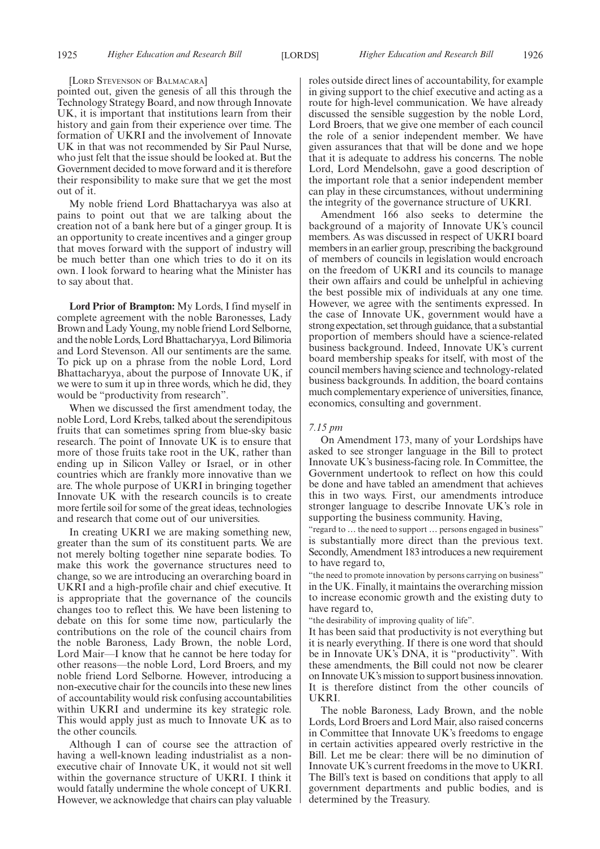#### [LORD STEVENSON OF BALMACARA]

pointed out, given the genesis of all this through the Technology Strategy Board, and now through Innovate UK, it is important that institutions learn from their history and gain from their experience over time. The formation of UKRI and the involvement of Innovate UK in that was not recommended by Sir Paul Nurse, who just felt that the issue should be looked at. But the Government decided to move forward and it is therefore their responsibility to make sure that we get the most out of it.

My noble friend Lord Bhattacharyya was also at pains to point out that we are talking about the creation not of a bank here but of a ginger group. It is an opportunity to create incentives and a ginger group that moves forward with the support of industry will be much better than one which tries to do it on its own. I look forward to hearing what the Minister has to say about that.

**Lord Prior of Brampton:** My Lords, I find myself in complete agreement with the noble Baronesses, Lady Brown and Lady Young, my noble friend Lord Selborne, and the noble Lords, Lord Bhattacharyya, Lord Bilimoria and Lord Stevenson. All our sentiments are the same. To pick up on a phrase from the noble Lord, Lord Bhattacharyya, about the purpose of Innovate UK, if we were to sum it up in three words, which he did, they would be "productivity from research".

When we discussed the first amendment today, the noble Lord, Lord Krebs, talked about the serendipitous fruits that can sometimes spring from blue-sky basic research. The point of Innovate UK is to ensure that more of those fruits take root in the UK, rather than ending up in Silicon Valley or Israel, or in other countries which are frankly more innovative than we are. The whole purpose of UKRI in bringing together Innovate UK with the research councils is to create more fertile soil for some of the great ideas, technologies and research that come out of our universities.

In creating UKRI we are making something new, greater than the sum of its constituent parts. We are not merely bolting together nine separate bodies. To make this work the governance structures need to change, so we are introducing an overarching board in UKRI and a high-profile chair and chief executive. It is appropriate that the governance of the councils changes too to reflect this. We have been listening to debate on this for some time now, particularly the contributions on the role of the council chairs from the noble Baroness, Lady Brown, the noble Lord, Lord Mair—I know that he cannot be here today for other reasons—the noble Lord, Lord Broers, and my noble friend Lord Selborne. However, introducing a non-executive chair for the councils into these new lines of accountability would risk confusing accountabilities within UKRI and undermine its key strategic role. This would apply just as much to Innovate UK as to the other councils.

Although I can of course see the attraction of having a well-known leading industrialist as a nonexecutive chair of Innovate UK, it would not sit well within the governance structure of UKRI. I think it would fatally undermine the whole concept of UKRI. However, we acknowledge that chairs can play valuable

roles outside direct lines of accountability, for example in giving support to the chief executive and acting as a route for high-level communication. We have already discussed the sensible suggestion by the noble Lord, Lord Broers, that we give one member of each council the role of a senior independent member. We have given assurances that that will be done and we hope that it is adequate to address his concerns. The noble Lord, Lord Mendelsohn, gave a good description of the important role that a senior independent member can play in these circumstances, without undermining the integrity of the governance structure of UKRI.

Amendment 166 also seeks to determine the background of a majority of Innovate UK's council members. As was discussed in respect of UKRI board members in an earlier group, prescribing the background of members of councils in legislation would encroach on the freedom of UKRI and its councils to manage their own affairs and could be unhelpful in achieving the best possible mix of individuals at any one time. However, we agree with the sentiments expressed. In the case of Innovate UK, government would have a strong expectation, set through guidance, that a substantial proportion of members should have a science-related business background. Indeed, Innovate UK's current board membership speaks for itself, with most of the council members having science and technology-related business backgrounds. In addition, the board contains much complementary experience of universities, finance, economics, consulting and government.

#### *7.15 pm*

On Amendment 173, many of your Lordships have asked to see stronger language in the Bill to protect Innovate UK's business-facing role. In Committee, the Government undertook to reflect on how this could be done and have tabled an amendment that achieves this in two ways. First, our amendments introduce stronger language to describe Innovate UK's role in supporting the business community. Having,

"regard to … the need to support … persons engaged in business" is substantially more direct than the previous text. Secondly, Amendment 183 introduces a new requirement to have regard to,

"the need to promote innovation by persons carrying on business" in the UK. Finally, it maintains the overarching mission to increase economic growth and the existing duty to have regard to,

"the desirability of improving quality of life".

It has been said that productivity is not everything but it is nearly everything. If there is one word that should be in Innovate UK's DNA, it is "productivity". With these amendments, the Bill could not now be clearer on Innovate UK's mission to support business innovation. It is therefore distinct from the other councils of UKRI.

The noble Baroness, Lady Brown, and the noble Lords, Lord Broers and Lord Mair, also raised concerns in Committee that Innovate UK's freedoms to engage in certain activities appeared overly restrictive in the Bill. Let me be clear: there will be no diminution of Innovate UK's current freedoms in the move to UKRI. The Bill's text is based on conditions that apply to all government departments and public bodies, and is determined by the Treasury.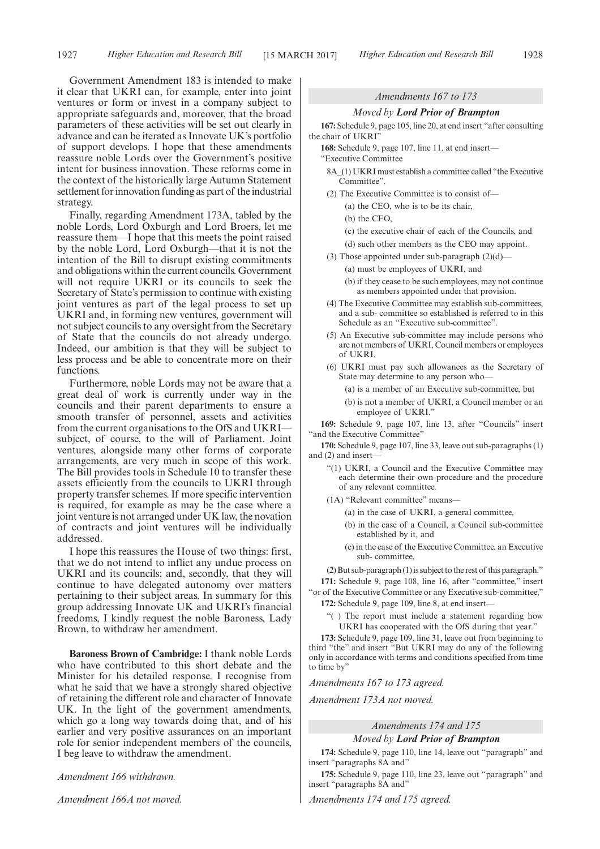Government Amendment 183 is intended to make it clear that UKRI can, for example, enter into joint ventures or form or invest in a company subject to appropriate safeguards and, moreover, that the broad parameters of these activities will be set out clearly in advance and can be iterated as Innovate UK's portfolio of support develops. I hope that these amendments reassure noble Lords over the Government's positive intent for business innovation. These reforms come in the context of the historically large Autumn Statement settlement for innovation funding as part of the industrial strategy.

Finally, regarding Amendment 173A, tabled by the noble Lords, Lord Oxburgh and Lord Broers, let me reassure them—I hope that this meets the point raised by the noble Lord, Lord Oxburgh—that it is not the intention of the Bill to disrupt existing commitments and obligations within the current councils. Government will not require UKRI or its councils to seek the Secretary of State's permission to continue with existing joint ventures as part of the legal process to set up UKRI and, in forming new ventures, government will not subject councils to any oversight from the Secretary of State that the councils do not already undergo. Indeed, our ambition is that they will be subject to less process and be able to concentrate more on their functions.

Furthermore, noble Lords may not be aware that a great deal of work is currently under way in the councils and their parent departments to ensure a smooth transfer of personnel, assets and activities from the current organisations to the OfS and UKRI subject, of course, to the will of Parliament. Joint ventures, alongside many other forms of corporate arrangements, are very much in scope of this work. The Bill provides tools in Schedule 10 to transfer these assets efficiently from the councils to UKRI through property transfer schemes. If more specific intervention is required, for example as may be the case where a joint venture is not arranged under UK law, the novation of contracts and joint ventures will be individually addressed.

I hope this reassures the House of two things: first, that we do not intend to inflict any undue process on UKRI and its councils; and, secondly, that they will continue to have delegated autonomy over matters pertaining to their subject areas. In summary for this group addressing Innovate UK and UKRI's financial freedoms, I kindly request the noble Baroness, Lady Brown, to withdraw her amendment.

**Baroness Brown of Cambridge:** I thank noble Lords who have contributed to this short debate and the Minister for his detailed response. I recognise from what he said that we have a strongly shared objective of retaining the different role and character of Innovate UK. In the light of the government amendments, which go a long way towards doing that, and of his earlier and very positive assurances on an important role for senior independent members of the councils, I beg leave to withdraw the amendment.

*Amendment 166 withdrawn.*

*Amendment 166A not moved.*

# *Amendments 167 to 173*

#### *Moved by Lord Prior of Brampton*

**167:** Schedule 9, page 105, line 20, at end insert "after consulting the chair of UKRI"

**168:** Schedule 9, page 107, line 11, at end insert— "Executive Committee

- 8A\_(1) UKRI must establish a committee called "the Executive Committee".
- (2) The Executive Committee is to consist of— (a) the CEO, who is to be its chair,
	- (b) the CFO,
	- (c) the executive chair of each of the Councils, and
	- (d) such other members as the CEO may appoint.
- (3) Those appointed under sub-paragraph  $(2)(d)$ 
	- (a) must be employees of UKRI, and
	- (b) if they cease to be such employees, may not continue as members appointed under that provision.
- (4) The Executive Committee may establish sub-committees, and a sub- committee so established is referred to in this Schedule as an "Executive sub-committee".
- (5) An Executive sub-committee may include persons who are not members of UKRI, Council members or employees of UKRI.
- (6) UKRI must pay such allowances as the Secretary of State may determine to any person who—
	- (a) is a member of an Executive sub-committee, but
	- (b) is not a member of UKRI, a Council member or an employee of UKRI."

**169:** Schedule 9, page 107, line 13, after "Councils" insert "and the Executive Committee"

**170:** Schedule 9, page 107, line 33, leave out sub-paragraphs (1) and (2) and insert-

"(1) UKRI, a Council and the Executive Committee may each determine their own procedure and the procedure of any relevant committee.

(1A) "Relevant committee" means—

- (a) in the case of UKRI, a general committee,
- (b) in the case of a Council, a Council sub-committee established by it, and
- (c) in the case of the Executive Committee, an Executive sub- committee.

(2) But sub-paragraph (1) is subject to the rest of this paragraph." **171:** Schedule 9, page 108, line 16, after "committee," insert "or of the Executive Committee or any Executive sub-committee,"

- **172:** Schedule 9, page 109, line 8, at end insert—
	- ) The report must include a statement regarding how UKRI has cooperated with the OfS during that year."

**173:** Schedule 9, page 109, line 31, leave out from beginning to third "the" and insert "But UKRI may do any of the following only in accordance with terms and conditions specified from time to time by"

*Amendments 167 to 173 agreed.*

*Amendment 173A not moved.*

*Amendments 174 and 175*

*Moved by Lord Prior of Brampton*

**174:** Schedule 9, page 110, line 14, leave out "paragraph" and insert "paragraphs 8A and"

**175:** Schedule 9, page 110, line 23, leave out "paragraph" and insert "paragraphs 8A and"

*Amendments 174 and 175 agreed.*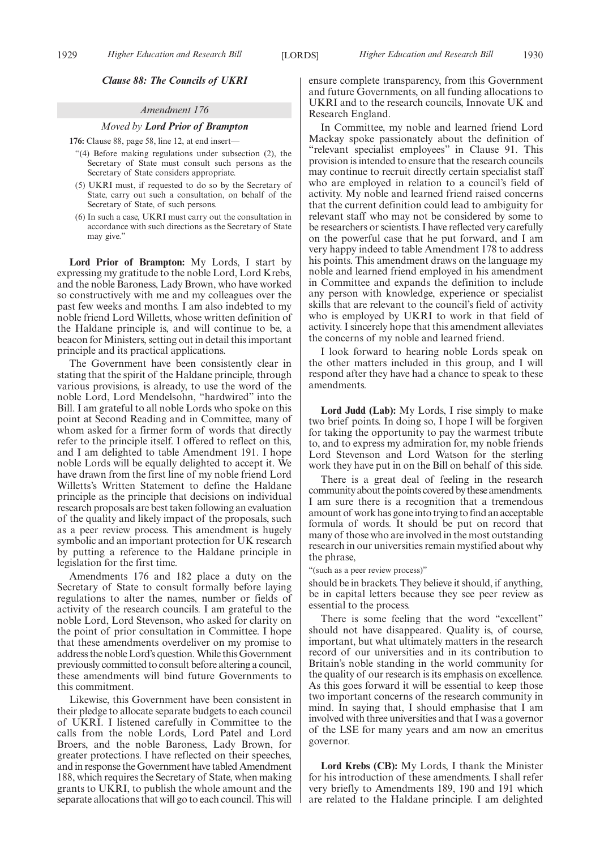#### *Clause 88: The Councils of UKRI*

#### *Amendment 176*

#### *Moved by Lord Prior of Brampton*

**176:** Clause 88, page 58, line 12, at end insert—

- "(4) Before making regulations under subsection (2), the Secretary of State must consult such persons as the Secretary of State considers appropriate.
- (5) UKRI must, if requested to do so by the Secretary of State, carry out such a consultation, on behalf of the Secretary of State, of such persons.
- (6) In such a case, UKRI must carry out the consultation in accordance with such directions as the Secretary of State may give."

**Lord Prior of Brampton:** My Lords, I start by expressing my gratitude to the noble Lord, Lord Krebs, and the noble Baroness, Lady Brown, who have worked so constructively with me and my colleagues over the past few weeks and months. I am also indebted to my noble friend Lord Willetts, whose written definition of the Haldane principle is, and will continue to be, a beacon for Ministers, setting out in detail this important principle and its practical applications.

The Government have been consistently clear in stating that the spirit of the Haldane principle, through various provisions, is already, to use the word of the noble Lord, Lord Mendelsohn, "hardwired" into the Bill. I am grateful to all noble Lords who spoke on this point at Second Reading and in Committee, many of whom asked for a firmer form of words that directly refer to the principle itself. I offered to reflect on this, and I am delighted to table Amendment 191. I hope noble Lords will be equally delighted to accept it. We have drawn from the first line of my noble friend Lord Willetts's Written Statement to define the Haldane principle as the principle that decisions on individual research proposals are best taken following an evaluation of the quality and likely impact of the proposals, such as a peer review process. This amendment is hugely symbolic and an important protection for UK research by putting a reference to the Haldane principle in legislation for the first time.

Amendments 176 and 182 place a duty on the Secretary of State to consult formally before laying regulations to alter the names, number or fields of activity of the research councils. I am grateful to the noble Lord, Lord Stevenson, who asked for clarity on the point of prior consultation in Committee. I hope that these amendments overdeliver on my promise to address the noble Lord's question. While this Government previously committed to consult before altering a council, these amendments will bind future Governments to this commitment.

Likewise, this Government have been consistent in their pledge to allocate separate budgets to each council of UKRI. I listened carefully in Committee to the calls from the noble Lords, Lord Patel and Lord Broers, and the noble Baroness, Lady Brown, for greater protections. I have reflected on their speeches, and in response the Government have tabled Amendment 188, which requires the Secretary of State, when making grants to UKRI, to publish the whole amount and the separate allocations that will go to each council. This will ensure complete transparency, from this Government and future Governments, on all funding allocations to UKRI and to the research councils, Innovate UK and Research England.

In Committee, my noble and learned friend Lord Mackay spoke passionately about the definition of "relevant specialist employees" in Clause 91. This provision is intended to ensure that the research councils may continue to recruit directly certain specialist staff who are employed in relation to a council's field of activity. My noble and learned friend raised concerns that the current definition could lead to ambiguity for relevant staff who may not be considered by some to be researchers or scientists. I have reflected very carefully on the powerful case that he put forward, and I am very happy indeed to table Amendment 178 to address his points. This amendment draws on the language my noble and learned friend employed in his amendment in Committee and expands the definition to include any person with knowledge, experience or specialist skills that are relevant to the council's field of activity who is employed by UKRI to work in that field of activity. I sincerely hope that this amendment alleviates the concerns of my noble and learned friend.

I look forward to hearing noble Lords speak on the other matters included in this group, and I will respond after they have had a chance to speak to these amendments.

**Lord Judd (Lab):** My Lords, I rise simply to make two brief points. In doing so, I hope I will be forgiven for taking the opportunity to pay the warmest tribute to, and to express my admiration for, my noble friends Lord Stevenson and Lord Watson for the sterling work they have put in on the Bill on behalf of this side.

There is a great deal of feeling in the research community about the points covered by these amendments. I am sure there is a recognition that a tremendous amount of work has gone into trying to find an acceptable formula of words. It should be put on record that many of those who are involved in the most outstanding research in our universities remain mystified about why the phrase,

"(such as a peer review process)"

should be in brackets. They believe it should, if anything, be in capital letters because they see peer review as essential to the process.

There is some feeling that the word "excellent" should not have disappeared. Quality is, of course, important, but what ultimately matters in the research record of our universities and in its contribution to Britain's noble standing in the world community for the quality of our research is its emphasis on excellence. As this goes forward it will be essential to keep those two important concerns of the research community in mind. In saying that, I should emphasise that I am involved with three universities and that I was a governor of the LSE for many years and am now an emeritus governor.

**Lord Krebs (CB):** My Lords, I thank the Minister for his introduction of these amendments. I shall refer very briefly to Amendments 189, 190 and 191 which are related to the Haldane principle. I am delighted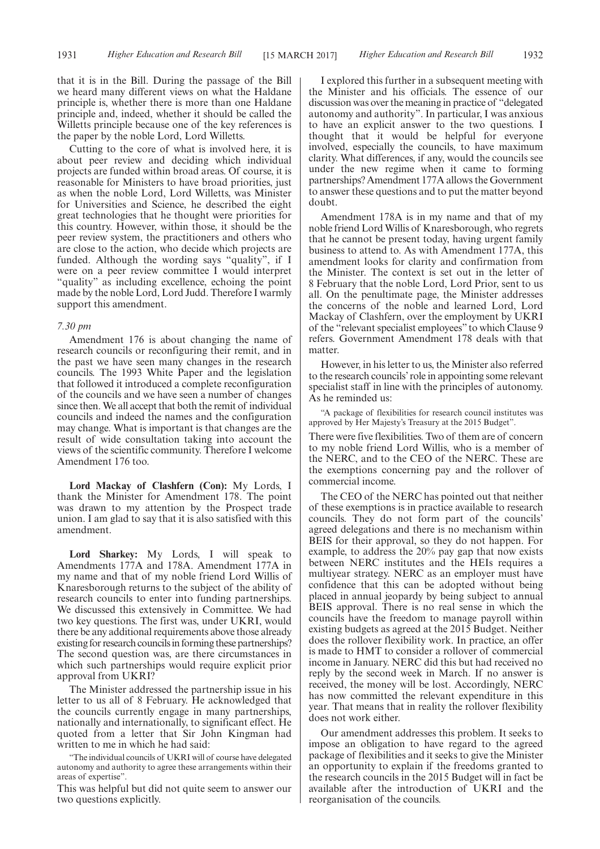that it is in the Bill. During the passage of the Bill we heard many different views on what the Haldane principle is, whether there is more than one Haldane principle and, indeed, whether it should be called the Willetts principle because one of the key references is the paper by the noble Lord, Lord Willetts.

Cutting to the core of what is involved here, it is about peer review and deciding which individual projects are funded within broad areas. Of course, it is reasonable for Ministers to have broad priorities, just as when the noble Lord, Lord Willetts, was Minister for Universities and Science, he described the eight great technologies that he thought were priorities for this country. However, within those, it should be the peer review system, the practitioners and others who are close to the action, who decide which projects are funded. Although the wording says "quality", if I were on a peer review committee I would interpret "quality" as including excellence, echoing the point made by the noble Lord, Lord Judd. Therefore I warmly support this amendment.

#### *7.30 pm*

Amendment 176 is about changing the name of research councils or reconfiguring their remit, and in the past we have seen many changes in the research councils. The 1993 White Paper and the legislation that followed it introduced a complete reconfiguration of the councils and we have seen a number of changes since then. We all accept that both the remit of individual councils and indeed the names and the configuration may change. What is important is that changes are the result of wide consultation taking into account the views of the scientific community. Therefore I welcome Amendment 176 too.

**Lord Mackay of Clashfern (Con):** My Lords, I thank the Minister for Amendment 178. The point was drawn to my attention by the Prospect trade union. I am glad to say that it is also satisfied with this amendment.

**Lord Sharkey:** My Lords, I will speak to Amendments 177A and 178A. Amendment 177A in my name and that of my noble friend Lord Willis of Knaresborough returns to the subject of the ability of research councils to enter into funding partnerships. We discussed this extensively in Committee. We had two key questions. The first was, under UKRI, would there be any additional requirements above those already existing for research councils in forming these partnerships? The second question was, are there circumstances in which such partnerships would require explicit prior approval from UKRI?

The Minister addressed the partnership issue in his letter to us all of 8 February. He acknowledged that the councils currently engage in many partnerships, nationally and internationally, to significant effect. He quoted from a letter that Sir John Kingman had written to me in which he had said:

"The individual councils of UKRI will of course have delegated autonomy and authority to agree these arrangements within their areas of expertise".

This was helpful but did not quite seem to answer our two questions explicitly.

I explored this further in a subsequent meeting with the Minister and his officials. The essence of our discussion was over the meaning in practice of "delegated autonomy and authority". In particular, I was anxious to have an explicit answer to the two questions. I thought that it would be helpful for everyone involved, especially the councils, to have maximum clarity. What differences, if any, would the councils see under the new regime when it came to forming partnerships? Amendment 177A allows the Government to answer these questions and to put the matter beyond doubt.

Amendment 178A is in my name and that of my noble friend Lord Willis of Knaresborough, who regrets that he cannot be present today, having urgent family business to attend to. As with Amendment 177A, this amendment looks for clarity and confirmation from the Minister. The context is set out in the letter of 8 February that the noble Lord, Lord Prior, sent to us all. On the penultimate page, the Minister addresses the concerns of the noble and learned Lord, Lord Mackay of Clashfern, over the employment by UKRI of the "relevant specialist employees" to which Clause 9 refers. Government Amendment 178 deals with that matter.

However, in his letter to us, the Minister also referred to the research councils' role in appointing some relevant specialist staff in line with the principles of autonomy. As he reminded us:

"A package of flexibilities for research council institutes was approved by Her Majesty's Treasury at the 2015 Budget".

There were five flexibilities. Two of them are of concern to my noble friend Lord Willis, who is a member of the NERC, and to the CEO of the NERC. These are the exemptions concerning pay and the rollover of commercial income.

The CEO of the NERC has pointed out that neither of these exemptions is in practice available to research councils. They do not form part of the councils' agreed delegations and there is no mechanism within BEIS for their approval, so they do not happen. For example, to address the 20% pay gap that now exists between NERC institutes and the HEIs requires a multiyear strategy. NERC as an employer must have confidence that this can be adopted without being placed in annual jeopardy by being subject to annual BEIS approval. There is no real sense in which the councils have the freedom to manage payroll within existing budgets as agreed at the 2015 Budget. Neither does the rollover flexibility work. In practice, an offer is made to HMT to consider a rollover of commercial income in January. NERC did this but had received no reply by the second week in March. If no answer is received, the money will be lost. Accordingly, NERC has now committed the relevant expenditure in this year. That means that in reality the rollover flexibility does not work either.

Our amendment addresses this problem. It seeks to impose an obligation to have regard to the agreed package of flexibilities and it seeks to give the Minister an opportunity to explain if the freedoms granted to the research councils in the 2015 Budget will in fact be available after the introduction of UKRI and the reorganisation of the councils.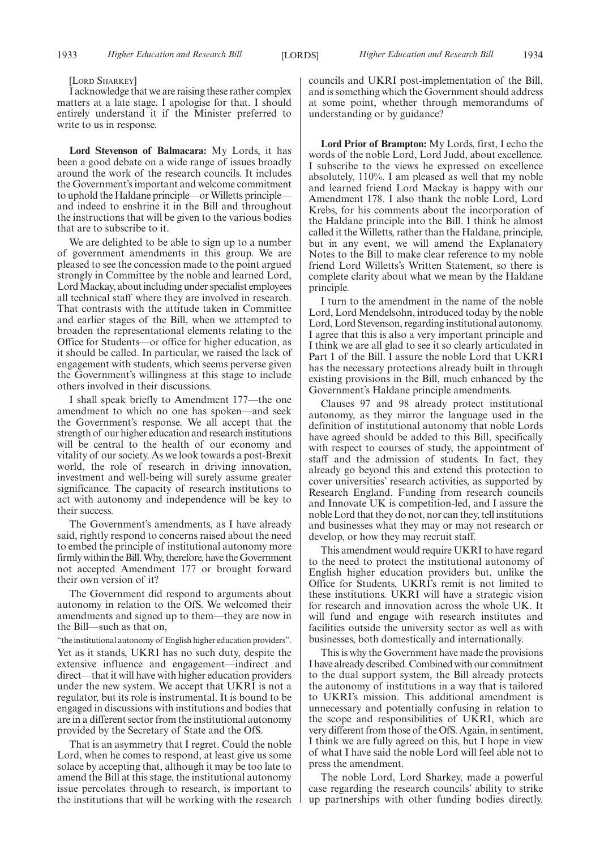#### [LORD SHARKEY]

I acknowledge that we are raising these rather complex matters at a late stage. I apologise for that. I should entirely understand it if the Minister preferred to write to us in response.

**Lord Stevenson of Balmacara:** My Lords, it has been a good debate on a wide range of issues broadly around the work of the research councils. It includes the Government's important and welcome commitment to uphold the Haldane principle—or Willetts principle and indeed to enshrine it in the Bill and throughout the instructions that will be given to the various bodies that are to subscribe to it.

We are delighted to be able to sign up to a number of government amendments in this group. We are pleased to see the concession made to the point argued strongly in Committee by the noble and learned Lord, Lord Mackay, about including under specialist employees all technical staff where they are involved in research. That contrasts with the attitude taken in Committee and earlier stages of the Bill, when we attempted to broaden the representational elements relating to the Office for Students—or office for higher education, as it should be called. In particular, we raised the lack of engagement with students, which seems perverse given the Government's willingness at this stage to include others involved in their discussions.

I shall speak briefly to Amendment 177—the one amendment to which no one has spoken—and seek the Government's response. We all accept that the strength of our higher education and research institutions will be central to the health of our economy and vitality of our society. As we look towards a post-Brexit world, the role of research in driving innovation, investment and well-being will surely assume greater significance. The capacity of research institutions to act with autonomy and independence will be key to their success.

The Government's amendments, as I have already said, rightly respond to concerns raised about the need to embed the principle of institutional autonomy more firmly within the Bill. Why, therefore, have the Government not accepted Amendment 177 or brought forward their own version of it?

The Government did respond to arguments about autonomy in relation to the OfS. We welcomed their amendments and signed up to them—they are now in the Bill—such as that on,

"the institutional autonomy of English higher education providers". Yet as it stands, UKRI has no such duty, despite the extensive influence and engagement—indirect and direct—that it will have with higher education providers under the new system. We accept that UKRI is not a regulator, but its role is instrumental. It is bound to be engaged in discussions with institutions and bodies that are in a different sector from the institutional autonomy provided by the Secretary of State and the OfS.

That is an asymmetry that I regret. Could the noble Lord, when he comes to respond, at least give us some solace by accepting that, although it may be too late to amend the Bill at this stage, the institutional autonomy issue percolates through to research, is important to the institutions that will be working with the research councils and UKRI post-implementation of the Bill, and is something which the Government should address at some point, whether through memorandums of understanding or by guidance?

**Lord Prior of Brampton:** My Lords, first, I echo the words of the noble Lord, Lord Judd, about excellence. I subscribe to the views he expressed on excellence absolutely, 110%. I am pleased as well that my noble and learned friend Lord Mackay is happy with our Amendment 178. I also thank the noble Lord, Lord Krebs, for his comments about the incorporation of the Haldane principle into the Bill. I think he almost called it the Willetts, rather than the Haldane, principle, but in any event, we will amend the Explanatory Notes to the Bill to make clear reference to my noble friend Lord Willetts's Written Statement, so there is complete clarity about what we mean by the Haldane principle.

I turn to the amendment in the name of the noble Lord, Lord Mendelsohn, introduced today by the noble Lord, Lord Stevenson, regarding institutional autonomy. I agree that this is also a very important principle and I think we are all glad to see it so clearly articulated in Part 1 of the Bill. I assure the noble Lord that UKRI has the necessary protections already built in through existing provisions in the Bill, much enhanced by the Government's Haldane principle amendments.

Clauses 97 and 98 already protect institutional autonomy, as they mirror the language used in the definition of institutional autonomy that noble Lords have agreed should be added to this Bill, specifically with respect to courses of study, the appointment of staff and the admission of students. In fact, they already go beyond this and extend this protection to cover universities' research activities, as supported by Research England. Funding from research councils and Innovate UK is competition-led, and I assure the noble Lord that they do not, nor can they, tell institutions and businesses what they may or may not research or develop, or how they may recruit staff.

This amendment would require UKRI to have regard to the need to protect the institutional autonomy of English higher education providers but, unlike the Office for Students, UKRI's remit is not limited to these institutions. UKRI will have a strategic vision for research and innovation across the whole UK. It will fund and engage with research institutes and facilities outside the university sector as well as with businesses, both domestically and internationally.

This is why the Government have made the provisions I have already described. Combined with our commitment to the dual support system, the Bill already protects the autonomy of institutions in a way that is tailored to UKRI's mission. This additional amendment is unnecessary and potentially confusing in relation to the scope and responsibilities of UKRI, which are very different from those of the OfS. Again, in sentiment, I think we are fully agreed on this, but I hope in view of what I have said the noble Lord will feel able not to press the amendment.

The noble Lord, Lord Sharkey, made a powerful case regarding the research councils' ability to strike up partnerships with other funding bodies directly.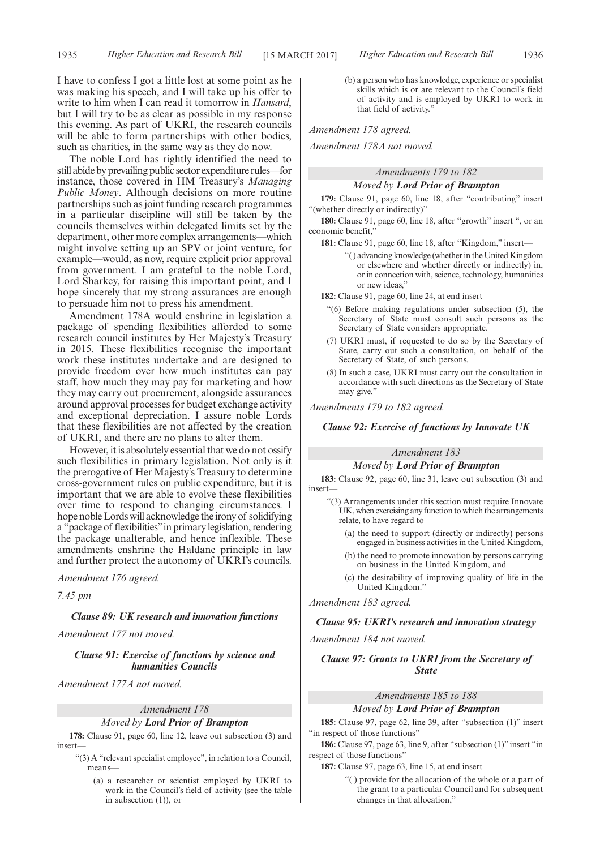I have to confess I got a little lost at some point as he was making his speech, and I will take up his offer to write to him when I can read it tomorrow in *Hansard*, but I will try to be as clear as possible in my response this evening. As part of UKRI, the research councils will be able to form partnerships with other bodies, such as charities, in the same way as they do now.

The noble Lord has rightly identified the need to still abide by prevailing public sector expenditure rules—for instance, those covered in HM Treasury's *Managing Public Money*. Although decisions on more routine partnerships such as joint funding research programmes in a particular discipline will still be taken by the councils themselves within delegated limits set by the department, other more complex arrangements—which might involve setting up an SPV or joint venture, for example—would, as now, require explicit prior approval from government. I am grateful to the noble Lord, Lord Sharkey, for raising this important point, and I hope sincerely that my strong assurances are enough to persuade him not to press his amendment.

Amendment 178A would enshrine in legislation a package of spending flexibilities afforded to some research council institutes by Her Majesty's Treasury in 2015. These flexibilities recognise the important work these institutes undertake and are designed to provide freedom over how much institutes can pay staff, how much they may pay for marketing and how they may carry out procurement, alongside assurances around approval processes for budget exchange activity and exceptional depreciation. I assure noble Lords that these flexibilities are not affected by the creation of UKRI, and there are no plans to alter them.

However, it is absolutely essential that we do not ossify such flexibilities in primary legislation. Not only is it the prerogative of Her Majesty's Treasury to determine cross-government rules on public expenditure, but it is important that we are able to evolve these flexibilities over time to respond to changing circumstances. I hope noble Lords will acknowledge the irony of solidifying a "package of flexibilities"in primary legislation, rendering the package unalterable, and hence inflexible. These amendments enshrine the Haldane principle in law and further protect the autonomy of UKRI's councils.

*Amendment 176 agreed.*

*7.45 pm*

## *Clause 89: UK research and innovation functions*

*Amendment 177 not moved.*

*Clause 91: Exercise of functions by science and humanities Councils*

*Amendment 177A not moved.*

# *Amendment 178 Moved by Lord Prior of Brampton*

**178:** Clause 91, page 60, line 12, leave out subsection (3) and insert—

- "(3) A "relevant specialist employee", in relation to a Council, means—
	- (a) a researcher or scientist employed by UKRI to work in the Council's field of activity (see the table in subsection (1)), or

(b) a person who has knowledge, experience or specialist skills which is or are relevant to the Council's field of activity and is employed by UKRI to work in that field of activity."

*Amendment 178 agreed.*

*Amendment 178A not moved.*

# *Amendments 179 to 182 Moved by Lord Prior of Brampton*

**179:** Clause 91, page 60, line 18, after "contributing" insert "(whether directly or indirectly)"

**180:** Clause 91, page 60, line 18, after "growth" insert ", or an economic benefit,'

**181:** Clause 91, page 60, line 18, after "Kingdom," insert—

"( ) advancing knowledge (whether in the United Kingdom or elsewhere and whether directly or indirectly) in, or in connection with, science, technology, humanities or new ideas,"

**182:** Clause 91, page 60, line 24, at end insert—

- "(6) Before making regulations under subsection (5), the Secretary of State must consult such persons as the Secretary of State considers appropriate.
- (7) UKRI must, if requested to do so by the Secretary of State, carry out such a consultation, on behalf of the Secretary of State, of such persons.
- (8) In such a case, UKRI must carry out the consultation in accordance with such directions as the Secretary of State may give.'

*Amendments 179 to 182 agreed.*

#### *Clause 92: Exercise of functions by Innovate UK*

# *Amendment 183*

#### *Moved by Lord Prior of Brampton*

**183:** Clause 92, page 60, line 31, leave out subsection (3) and insert—

- "(3) Arrangements under this section must require Innovate UK, when exercising any function to which the arrangements relate, to have regard to—
	- (a) the need to support (directly or indirectly) persons engaged in business activities in the United Kingdom,
	- (b) the need to promote innovation by persons carrying on business in the United Kingdom, and
	- (c) the desirability of improving quality of life in the United Kingdom."

*Amendment 183 agreed.*

# *Clause 95: UKRI's research and innovation strategy*

*Amendment 184 not moved.*

# *Clause 97: Grants to UKRI from the Secretary of State*

### *Amendments 185 to 188*

*Moved by Lord Prior of Brampton*

**185:** Clause 97, page 62, line 39, after "subsection (1)" insert "in respect of those functions"

**186:** Clause 97, page 63, line 9, after "subsection (1)" insert "in respect of those functions"

**187:** Clause 97, page 63, line 15, at end insert—

"( ) provide for the allocation of the whole or a part of the grant to a particular Council and for subsequent changes in that allocation,"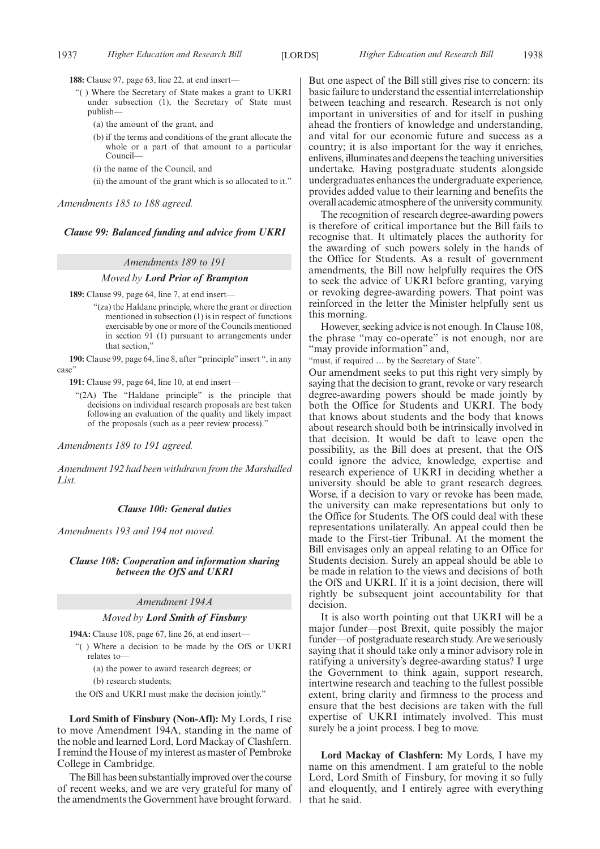**188:** Clause 97, page 63, line 22, at end insert—

- "( ) Where the Secretary of State makes a grant to UKRI under subsection (1), the Secretary of State must publish—
	- (a) the amount of the grant, and
	- (b) if the terms and conditions of the grant allocate the whole or a part of that amount to a particular Council—
	- (i) the name of the Council, and
	- (ii) the amount of the grant which is so allocated to it."

*Amendments 185 to 188 agreed.*

#### *Clause 99: Balanced funding and advice from UKRI*

#### *Amendments 189 to 191*

#### *Moved by Lord Prior of Brampton*

**189:** Clause 99, page 64, line 7, at end insert—

- "(za) the Haldane principle, where the grant or direction mentioned in subsection (1) is in respect of functions exercisable by one or more of the Councils mentioned in section 91 (1) pursuant to arrangements under that section,'
- **190:** Clause 99, page 64, line 8, after "principle" insert ", in any case"

**191:** Clause 99, page 64, line 10, at end insert—

"(2A) The "Haldane principle" is the principle that decisions on individual research proposals are best taken following an evaluation of the quality and likely impact of the proposals (such as a peer review process)."

*Amendments 189 to 191 agreed.*

*Amendment 192 had been withdrawn from the Marshalled List.*

#### *Clause 100: General duties*

*Amendments 193 and 194 not moved.*

*Clause 108: Cooperation and information sharing between the OfS and UKRI*

### *Amendment 194A*

#### *Moved by Lord Smith of Finsbury*

**194A:** Clause 108, page 67, line 26, at end insert—

"( ) Where a decision to be made by the OfS or UKRI relates to—

(a) the power to award research degrees; or

(b) research students;

the OfS and UKRI must make the decision jointly."

**Lord Smith of Finsbury (Non-Afl):** My Lords, I rise to move Amendment 194A, standing in the name of the noble and learned Lord, Lord Mackay of Clashfern. I remind the House of my interest as master of Pembroke College in Cambridge.

The Bill has been substantially improved over the course of recent weeks, and we are very grateful for many of the amendments the Government have brought forward. But one aspect of the Bill still gives rise to concern: its basic failure to understand the essential interrelationship between teaching and research. Research is not only important in universities of and for itself in pushing ahead the frontiers of knowledge and understanding, and vital for our economic future and success as a country; it is also important for the way it enriches, enlivens, illuminates and deepens the teaching universities undertake. Having postgraduate students alongside undergraduates enhances the undergraduate experience, provides added value to their learning and benefits the overall academic atmosphere of the university community.

The recognition of research degree-awarding powers is therefore of critical importance but the Bill fails to recognise that. It ultimately places the authority for the awarding of such powers solely in the hands of the Office for Students. As a result of government amendments, the Bill now helpfully requires the OfS to seek the advice of UKRI before granting, varying or revoking degree-awarding powers. That point was reinforced in the letter the Minister helpfully sent us this morning.

However, seeking advice is not enough. In Clause 108, the phrase "may co-operate" is not enough, nor are "may provide information" and,

"must, if required … by the Secretary of State".

Our amendment seeks to put this right very simply by saying that the decision to grant, revoke or vary research degree-awarding powers should be made jointly by both the Office for Students and UKRI. The body that knows about students and the body that knows about research should both be intrinsically involved in that decision. It would be daft to leave open the possibility, as the Bill does at present, that the OfS could ignore the advice, knowledge, expertise and research experience of UKRI in deciding whether a university should be able to grant research degrees. Worse, if a decision to vary or revoke has been made, the university can make representations but only to the Office for Students. The OfS could deal with these representations unilaterally. An appeal could then be made to the First-tier Tribunal. At the moment the Bill envisages only an appeal relating to an Office for Students decision. Surely an appeal should be able to be made in relation to the views and decisions of both the OfS and UKRI. If it is a joint decision, there will rightly be subsequent joint accountability for that decision.

It is also worth pointing out that UKRI will be a major funder—post Brexit, quite possibly the major funder—of postgraduate research study. Are we seriously saying that it should take only a minor advisory role in ratifying a university's degree-awarding status? I urge the Government to think again, support research, intertwine research and teaching to the fullest possible extent, bring clarity and firmness to the process and ensure that the best decisions are taken with the full expertise of UKRI intimately involved. This must surely be a joint process. I beg to move.

**Lord Mackay of Clashfern:** My Lords, I have my name on this amendment. I am grateful to the noble Lord, Lord Smith of Finsbury, for moving it so fully and eloquently, and I entirely agree with everything that he said.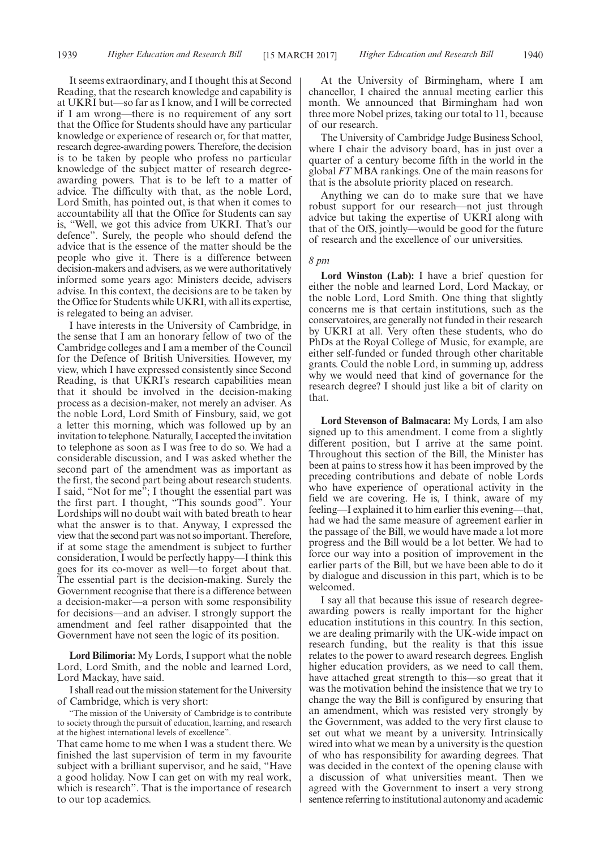It seems extraordinary, and I thought this at Second Reading, that the research knowledge and capability is at UKRI but—so far as I know, and I will be corrected if I am wrong—there is no requirement of any sort that the Office for Students should have any particular knowledge or experience of research or, for that matter, research degree-awarding powers. Therefore, the decision is to be taken by people who profess no particular knowledge of the subject matter of research degreeawarding powers. That is to be left to a matter of advice. The difficulty with that, as the noble Lord, Lord Smith, has pointed out, is that when it comes to accountability all that the Office for Students can say is, "Well, we got this advice from UKRI. That's our defence". Surely, the people who should defend the advice that is the essence of the matter should be the people who give it. There is a difference between decision-makers and advisers, as we were authoritatively informed some years ago: Ministers decide, advisers advise. In this context, the decisions are to be taken by the Office for Students while UKRI, with all its expertise, is relegated to being an adviser.

I have interests in the University of Cambridge, in the sense that I am an honorary fellow of two of the Cambridge colleges and I am a member of the Council for the Defence of British Universities. However, my view, which I have expressed consistently since Second Reading, is that UKRI's research capabilities mean that it should be involved in the decision-making process as a decision-maker, not merely an adviser. As the noble Lord, Lord Smith of Finsbury, said, we got a letter this morning, which was followed up by an invitation to telephone. Naturally, I accepted the invitation to telephone as soon as I was free to do so. We had a considerable discussion, and I was asked whether the second part of the amendment was as important as the first, the second part being about research students. I said, "Not for me"; I thought the essential part was the first part. I thought, "This sounds good". Your Lordships will no doubt wait with bated breath to hear what the answer is to that. Anyway, I expressed the view that the second part was not so important. Therefore, if at some stage the amendment is subject to further consideration, I would be perfectly happy—I think this goes for its co-mover as well—to forget about that. The essential part is the decision-making. Surely the Government recognise that there is a difference between a decision-maker—a person with some responsibility for decisions—and an adviser. I strongly support the amendment and feel rather disappointed that the Government have not seen the logic of its position.

**Lord Bilimoria:** My Lords, I support what the noble Lord, Lord Smith, and the noble and learned Lord, Lord Mackay, have said.

I shall read out the mission statement for the University of Cambridge, which is very short:

"The mission of the University of Cambridge is to contribute to society through the pursuit of education, learning, and research at the highest international levels of excellence".

That came home to me when I was a student there. We finished the last supervision of term in my favourite subject with a brilliant supervisor, and he said, "Have a good holiday. Now I can get on with my real work, which is research". That is the importance of research to our top academics.

At the University of Birmingham, where I am chancellor, I chaired the annual meeting earlier this month. We announced that Birmingham had won three more Nobel prizes, taking our total to 11, because of our research.

The University of Cambridge Judge Business School, where I chair the advisory board, has in just over a quarter of a century become fifth in the world in the global *FT* MBA rankings. One of the main reasons for that is the absolute priority placed on research.

Anything we can do to make sure that we have robust support for our research—not just through advice but taking the expertise of UKRI along with that of the OfS, jointly—would be good for the future of research and the excellence of our universities.

*8 pm*

**Lord Winston (Lab):** I have a brief question for either the noble and learned Lord, Lord Mackay, or the noble Lord, Lord Smith. One thing that slightly concerns me is that certain institutions, such as the conservatoires, are generally not funded in their research by UKRI at all. Very often these students, who do PhDs at the Royal College of Music, for example, are either self-funded or funded through other charitable grants. Could the noble Lord, in summing up, address why we would need that kind of governance for the research degree? I should just like a bit of clarity on that.

**Lord Stevenson of Balmacara:** My Lords, I am also signed up to this amendment. I come from a slightly different position, but I arrive at the same point. Throughout this section of the Bill, the Minister has been at pains to stress how it has been improved by the preceding contributions and debate of noble Lords who have experience of operational activity in the field we are covering. He is, I think, aware of my feeling—I explained it to him earlier this evening—that, had we had the same measure of agreement earlier in the passage of the Bill, we would have made a lot more progress and the Bill would be a lot better. We had to force our way into a position of improvement in the earlier parts of the Bill, but we have been able to do it by dialogue and discussion in this part, which is to be welcomed.

I say all that because this issue of research degreeawarding powers is really important for the higher education institutions in this country. In this section, we are dealing primarily with the UK-wide impact on research funding, but the reality is that this issue relates to the power to award research degrees. English higher education providers, as we need to call them, have attached great strength to this—so great that it was the motivation behind the insistence that we try to change the way the Bill is configured by ensuring that an amendment, which was resisted very strongly by the Government, was added to the very first clause to set out what we meant by a university. Intrinsically wired into what we mean by a university is the question of who has responsibility for awarding degrees. That was decided in the context of the opening clause with a discussion of what universities meant. Then we agreed with the Government to insert a very strong sentence referring to institutional autonomy and academic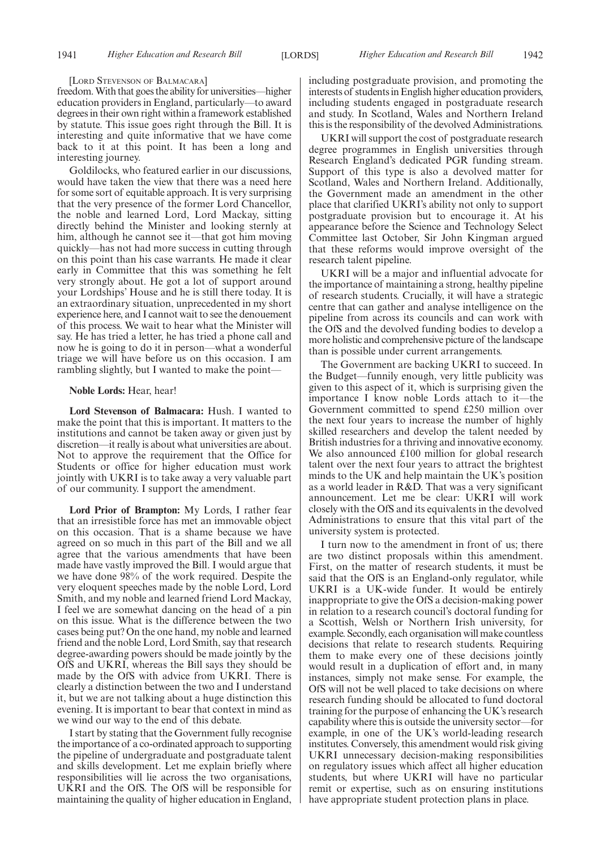#### [LORD STEVENSON OF BALMACARA]

freedom. With that goes the ability for universities—higher education providers in England, particularly—to award degrees in their own right within a framework established by statute. This issue goes right through the Bill. It is interesting and quite informative that we have come back to it at this point. It has been a long and interesting journey.

Goldilocks, who featured earlier in our discussions, would have taken the view that there was a need here for some sort of equitable approach. It is very surprising that the very presence of the former Lord Chancellor, the noble and learned Lord, Lord Mackay, sitting directly behind the Minister and looking sternly at him, although he cannot see it—that got him moving quickly—has not had more success in cutting through on this point than his case warrants. He made it clear early in Committee that this was something he felt very strongly about. He got a lot of support around your Lordships' House and he is still there today. It is an extraordinary situation, unprecedented in my short experience here, and I cannot wait to see the denouement of this process. We wait to hear what the Minister will say. He has tried a letter, he has tried a phone call and now he is going to do it in person—what a wonderful triage we will have before us on this occasion. I am rambling slightly, but I wanted to make the point—

#### **Noble Lords:** Hear, hear!

**Lord Stevenson of Balmacara:** Hush. I wanted to make the point that this is important. It matters to the institutions and cannot be taken away or given just by discretion—it really is about what universities are about. Not to approve the requirement that the Office for Students or office for higher education must work jointly with UKRI is to take away a very valuable part of our community. I support the amendment.

**Lord Prior of Brampton:** My Lords, I rather fear that an irresistible force has met an immovable object on this occasion. That is a shame because we have agreed on so much in this part of the Bill and we all agree that the various amendments that have been made have vastly improved the Bill. I would argue that we have done 98% of the work required. Despite the very eloquent speeches made by the noble Lord, Lord Smith, and my noble and learned friend Lord Mackay, I feel we are somewhat dancing on the head of a pin on this issue. What is the difference between the two cases being put? On the one hand, my noble and learned friend and the noble Lord, Lord Smith, say that research degree-awarding powers should be made jointly by the OfS and UKRI, whereas the Bill says they should be made by the OfS with advice from UKRI. There is clearly a distinction between the two and I understand it, but we are not talking about a huge distinction this evening. It is important to bear that context in mind as we wind our way to the end of this debate.

I start by stating that the Government fully recognise the importance of a co-ordinated approach to supporting the pipeline of undergraduate and postgraduate talent and skills development. Let me explain briefly where responsibilities will lie across the two organisations, UKRI and the OfS. The OfS will be responsible for maintaining the quality of higher education in England, including postgraduate provision, and promoting the interests of students in English higher education providers, including students engaged in postgraduate research and study. In Scotland, Wales and Northern Ireland this is the responsibility of the devolved Administrations.

UKRI will support the cost of postgraduate research degree programmes in English universities through Research England's dedicated PGR funding stream. Support of this type is also a devolved matter for Scotland, Wales and Northern Ireland. Additionally, the Government made an amendment in the other place that clarified UKRI's ability not only to support postgraduate provision but to encourage it. At his appearance before the Science and Technology Select Committee last October, Sir John Kingman argued that these reforms would improve oversight of the research talent pipeline.

UKRI will be a major and influential advocate for the importance of maintaining a strong, healthy pipeline of research students. Crucially, it will have a strategic centre that can gather and analyse intelligence on the pipeline from across its councils and can work with the OfS and the devolved funding bodies to develop a more holistic and comprehensive picture of the landscape than is possible under current arrangements.

The Government are backing UKRI to succeed. In the Budget—funnily enough, very little publicity was given to this aspect of it, which is surprising given the importance I know noble Lords attach to it—the Government committed to spend £250 million over the next four years to increase the number of highly skilled researchers and develop the talent needed by British industries for a thriving and innovative economy. We also announced £100 million for global research talent over the next four years to attract the brightest minds to the UK and help maintain the UK's position as a world leader in R&D. That was a very significant announcement. Let me be clear: UKRI will work closely with the OfS and its equivalents in the devolved Administrations to ensure that this vital part of the university system is protected.

I turn now to the amendment in front of us; there are two distinct proposals within this amendment. First, on the matter of research students, it must be said that the OfS is an England-only regulator, while UKRI is a UK-wide funder. It would be entirely inappropriate to give the OfS a decision-making power in relation to a research council's doctoral funding for a Scottish, Welsh or Northern Irish university, for example. Secondly, each organisation will make countless decisions that relate to research students. Requiring them to make every one of these decisions jointly would result in a duplication of effort and, in many instances, simply not make sense. For example, the OfS will not be well placed to take decisions on where research funding should be allocated to fund doctoral training for the purpose of enhancing the UK's research capability where this is outside the university sector—for example, in one of the UK's world-leading research institutes. Conversely, this amendment would risk giving UKRI unnecessary decision-making responsibilities on regulatory issues which affect all higher education students, but where UKRI will have no particular remit or expertise, such as on ensuring institutions have appropriate student protection plans in place.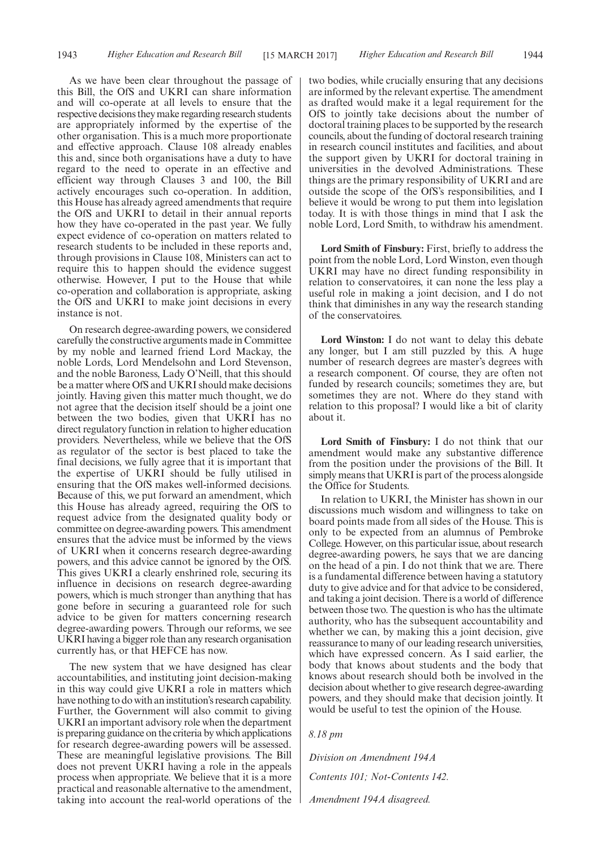As we have been clear throughout the passage of this Bill, the OfS and UKRI can share information and will co-operate at all levels to ensure that the respective decisions they make regarding research students are appropriately informed by the expertise of the other organisation. This is a much more proportionate and effective approach. Clause 108 already enables this and, since both organisations have a duty to have regard to the need to operate in an effective and efficient way through Clauses 3 and 100, the Bill actively encourages such co-operation. In addition, this House has already agreed amendments that require the OfS and UKRI to detail in their annual reports how they have co-operated in the past year. We fully expect evidence of co-operation on matters related to research students to be included in these reports and, through provisions in Clause 108, Ministers can act to require this to happen should the evidence suggest otherwise. However, I put to the House that while co-operation and collaboration is appropriate, asking the OfS and UKRI to make joint decisions in every instance is not.

On research degree-awarding powers, we considered carefully the constructive arguments made in Committee by my noble and learned friend Lord Mackay, the noble Lords, Lord Mendelsohn and Lord Stevenson, and the noble Baroness, Lady O'Neill, that this should be a matter where OfS and UKRI should make decisions jointly. Having given this matter much thought, we do not agree that the decision itself should be a joint one between the two bodies, given that UKRI has no direct regulatory function in relation to higher education providers. Nevertheless, while we believe that the OfS as regulator of the sector is best placed to take the final decisions, we fully agree that it is important that the expertise of UKRI should be fully utilised in ensuring that the OfS makes well-informed decisions. Because of this, we put forward an amendment, which this House has already agreed, requiring the OfS to request advice from the designated quality body or committee on degree-awarding powers. This amendment ensures that the advice must be informed by the views of UKRI when it concerns research degree-awarding powers, and this advice cannot be ignored by the OfS. This gives UKRI a clearly enshrined role, securing its influence in decisions on research degree-awarding powers, which is much stronger than anything that has gone before in securing a guaranteed role for such advice to be given for matters concerning research degree-awarding powers. Through our reforms, we see UKRI having a bigger role than any research organisation currently has, or that HEFCE has now.

The new system that we have designed has clear accountabilities, and instituting joint decision-making in this way could give UKRI a role in matters which have nothing to do with an institution's research capability. Further, the Government will also commit to giving UKRI an important advisory role when the department is preparing guidance on the criteria by which applications for research degree-awarding powers will be assessed. These are meaningful legislative provisions. The Bill does not prevent UKRI having a role in the appeals process when appropriate. We believe that it is a more practical and reasonable alternative to the amendment, taking into account the real-world operations of the two bodies, while crucially ensuring that any decisions are informed by the relevant expertise. The amendment as drafted would make it a legal requirement for the OfS to jointly take decisions about the number of doctoral training places to be supported by the research councils, about the funding of doctoral research training in research council institutes and facilities, and about the support given by UKRI for doctoral training in universities in the devolved Administrations. These things are the primary responsibility of UKRI and are outside the scope of the OfS's responsibilities, and I believe it would be wrong to put them into legislation today. It is with those things in mind that I ask the noble Lord, Lord Smith, to withdraw his amendment.

**Lord Smith of Finsbury:** First, briefly to address the point from the noble Lord, Lord Winston, even though UKRI may have no direct funding responsibility in relation to conservatoires, it can none the less play a useful role in making a joint decision, and I do not think that diminishes in any way the research standing of the conservatoires.

**Lord Winston:** I do not want to delay this debate any longer, but I am still puzzled by this. A huge number of research degrees are master's degrees with a research component. Of course, they are often not funded by research councils; sometimes they are, but sometimes they are not. Where do they stand with relation to this proposal? I would like a bit of clarity about it.

**Lord Smith of Finsbury:** I do not think that our amendment would make any substantive difference from the position under the provisions of the Bill. It simply means that UKRI is part of the process alongside the Office for Students.

In relation to UKRI, the Minister has shown in our discussions much wisdom and willingness to take on board points made from all sides of the House. This is only to be expected from an alumnus of Pembroke College. However, on this particular issue, about research degree-awarding powers, he says that we are dancing on the head of a pin. I do not think that we are. There is a fundamental difference between having a statutory duty to give advice and for that advice to be considered, and taking a joint decision. There is a world of difference between those two. The question is who has the ultimate authority, who has the subsequent accountability and whether we can, by making this a joint decision, give reassurance to many of our leading research universities, which have expressed concern. As I said earlier, the body that knows about students and the body that knows about research should both be involved in the decision about whether to give research degree-awarding powers, and they should make that decision jointly. It would be useful to test the opinion of the House.

*8.18 pm*

*Division on Amendment 194A Contents 101; Not-Contents 142. Amendment 194A disagreed.*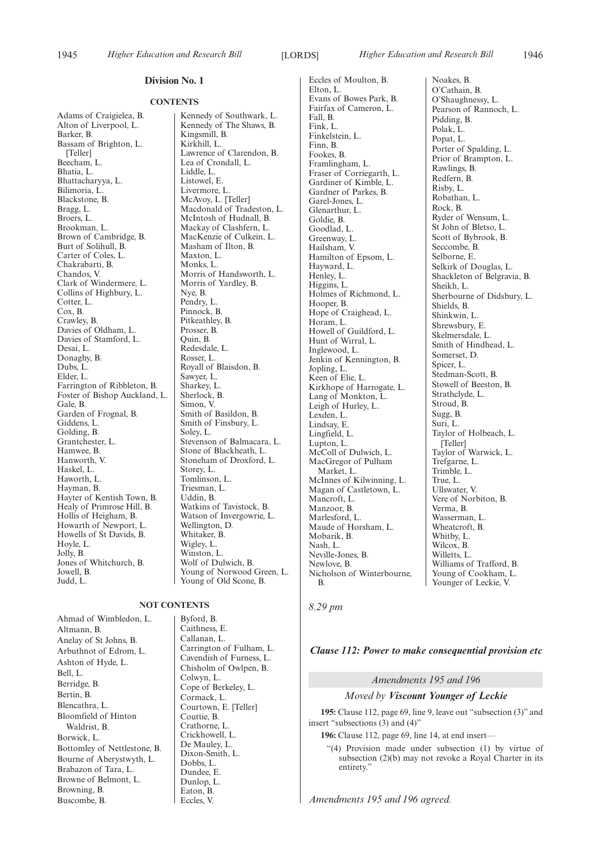#### **CONTENTS**

Adams of Craigielea, B. Alton of Liverpool, L. Barker, B. Bassam of Brighton, L. [Teller] Beecham, L. Bhatia, L. Bhattacharyya, L. Bilimoria, L. Blackstone, B. Bragg, L. Broers, L. Brookman, L. Brown of Cambridge, B. Burt of Solihull, B. Carter of Coles, L. Chakrabarti, B. Chandos, V. Clark of Windermere, L. Collins of Highbury, L. Cotter, L. Cox, B. Crawley, B. Davies of Oldham, L. Davies of Stamford, L. Desai, L. Donaghy, B. Dubs, L. Elder, L. Farrington of Ribbleton, B. Foster of Bishop Auckland, L. Gale, B. Garden of Frognal, B. Giddens, L. Golding, B. Grantchester, L. Hamwee, B. Hanworth, V. Haskel, L. Haworth, L. Hayman, B. Hayter of Kentish Town, B. Healy of Primrose Hill, B. Hollis of Heigham, B. Howarth of Newport, L. Howells of St Davids, B. Hoyle, L. Jolly, B. Jones of Whitchurch, B. Jowell, B. Judd, L.

**NOT CONTENTS**

Ahmad of Wimbledon, L. Altmann, B. Anelay of St Johns, B. Arbuthnot of Edrom, L. Ashton of Hyde, L. Bell, L. Berridge, B. Bertin, B. Blencathra, L. Bloomfield of Hinton Waldrist, B. Borwick, L. Bottomley of Nettlestone, B. Bourne of Aberystwyth, L. Brabazon of Tara, L. Browne of Belmont, L. Browning, B. Buscombe, B.

Kennedy of The Shaws, B. Kingsmill, B. Kirkhill, L. Lawrence of Clarendon, B. Lea of Crondall, L. Liddle, L. Listowel, E. Livermore, L. McAvoy, L. [Teller] Macdonald of Tradeston, L. McIntosh of Hudnall, B. Mackay of Clashfern, L. MacKenzie of Culkein, L. Masham of Ilton, B. Maxton, L. Monks, L. Morris of Handsworth, L. Morris of Yardley, B. Nye, B. Pendry, L. Pinnock, B. Pitkeathley, B. Prosser, B. Quin, B. Redesdale, L. Rosser, L. Royall of Blaisdon, B. Sawyer, L. Sharkey, L. Sherlock, B. Simon, V. Smith of Basildon, B. Smith of Finsbury, L. Soley, L. Stevenson of Balmacara, L. Stone of Blackheath, L. Stoneham of Droxford, L. Storey, L. Tomlinson, L. Triesman, L. Uddin, B. Watkins of Tavistock, B. Watson of Invergowrie, L. Wellington, D. Whitaker, B. Wigley, L. Winston, L. Wolf of Dulwich, B. Young of Norwood Green, L. Young of Old Scone, B.

Kennedy of Southwark, L.

Byford, B. Caithness, E. Callanan, L. Carrington of Fulham, L. Cavendish of Furness, L. Chisholm of Owlpen, B. Colwyn, L. Cope of Berkeley, L. Cormack, L. Courtown, E. [Teller] Couttie, B. Crathorne, L. Crickhowell, L. De Mauley, L. Dixon-Smith, L. Dobbs, L. Dundee, E. Dunlop, L. Eaton, B. Eccles, V.

Eccles of Moulton, B. Elton, L. Evans of Bowes Park, B. Fairfax of Cameron, L. Fall, B. Fink, L. Finkelstein, L. Finn, B. Fookes, B. Framlingham, L. Fraser of Corriegarth, L. Gardiner of Kimble, L. Gardner of Parkes, B. Garel-Jones, L. Glenarthur, L. Goldie, B. Goodlad, L. Greenway, L. Hailsham, V. Hamilton of Epsom, L. Hayward, L. Henley, L. Higgins, L. Holmes of Richmond, L. Hooper, B. Hope of Craighead, L. Horam, L. Howell of Guildford, L. Hunt of Wirral, L. Inglewood, L. Jenkin of Kennington, B. Jopling, L. Keen of Elie, L. Kirkhope of Harrogate, L. Lang of Monkton, L. Leigh of Hurley, L. Lexden, L. Lindsay, E. Lingfield, L. Lupton, L. McColl of Dulwich, L. MacGregor of Pulham Market, L. McInnes of Kilwinning, L. Magan of Castletown, L. Mancroft<sub>L</sub>. Manzoor, B. Marlesford, L. Maude of Horsham, L. Mobarik, B. Nash, L. Neville-Jones, B. Newlove, B. Nicholson of Winterbourne, B.

Noakes, B. O'Cathain, B. O'Shaughnessy, L. Pearson of Rannoch, L. Pidding, B. Polak, L. Popat, L. Porter of Spalding, L. Prior of Brampton, L. Rawlings, B. Redfern, B. Risby, L. Robathan, L. Rock, B. Ryder of Wensum, L. St John of Bletso, L. Scott of Bybrook, B. Seccombe, B. Selborne, E. Selkirk of Douglas, L. Shackleton of Belgravia, B. Sheikh, L. Sherbourne of Didsbury, L. Shields, B. Shinkwin, L. Shrewsbury, E. Skelmersdale, L. Smith of Hindhead, L. Somerset, D. Spicer, L. Stedman-Scott, B. Stowell of Beeston, B. Strathclyde, L. Stroud, B. Sugg, B. Suri, L. Taylor of Holbeach, L. [Teller] Taylor of Warwick, L. Trefgarne, L. Trimble, L. True, L. Ullswater, V. Vere of Norbiton, B. Verma, B. Wasserman, L. Wheatcroft, B. Whitby, L. Wilcox, B. Willetts, L. Williams of Trafford, B. Young of Cookham, L. Younger of Leckie, V.

*8.29 pm*

#### *Clause 112: Power to make consequential provision etc*

# *Amendments 195 and 196*

### *Moved by Viscount Younger of Leckie*

**195:** Clause 112, page 69, line 9, leave out "subsection (3)" and insert "subsections (3) and (4)"

**196:** Clause 112, page 69, line 14, at end insert—

"(4) Provision made under subsection (1) by virtue of subsection (2)(b) may not revoke a Royal Charter in its entirety."

*Amendments 195 and 196 agreed.*